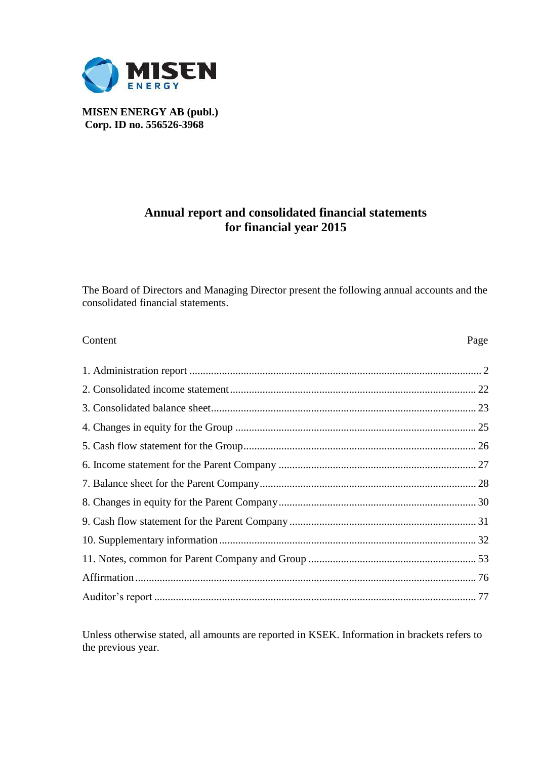

**MISEN ENERGY AB (publ.) Corp. ID no. 556526-3968**

## **Annual report and consolidated financial statements for financial year 2015**

The Board of Directors and Managing Director present the following annual accounts and the consolidated financial statements.

| Content | Page |
|---------|------|
|         |      |
|         |      |
|         |      |
|         |      |
|         |      |
|         |      |
|         |      |
|         |      |
|         |      |
|         |      |
|         |      |
|         |      |
|         |      |

Unless otherwise stated, all amounts are reported in KSEK. Information in brackets refers to the previous year.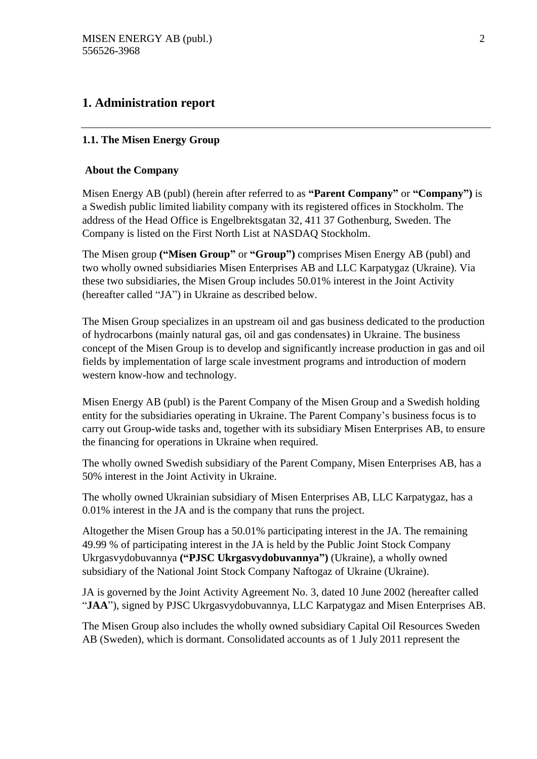## **1. Administration report**

#### **1.1. The Misen Energy Group**

#### **About the Company**

Misen Energy AB (publ) (herein after referred to as **"Parent Company"** or **"Company")** is a Swedish public limited liability company with its registered offices in Stockholm. The address of the Head Office is Engelbrektsgatan 32, 411 37 Gothenburg, Sweden. The Company is listed on the First North List at NASDAQ Stockholm.

The Misen group **("Misen Group"** or **"Group")** comprises Misen Energy AB (publ) and two wholly owned subsidiaries Misen Enterprises AB and LLC Karpatygaz (Ukraine). Via these two subsidiaries, the Misen Group includes 50.01% interest in the Joint Activity (hereafter called "JA") in Ukraine as described below.

The Misen Group specializes in an upstream oil and gas business dedicated to the production of hydrocarbons (mainly natural gas, oil and gas condensates) in Ukraine. The business concept of the Misen Group is to develop and significantly increase production in gas and oil fields by implementation of large scale investment programs and introduction of modern western know-how and technology.

Misen Energy AB (publ) is the Parent Company of the Misen Group and a Swedish holding entity for the subsidiaries operating in Ukraine. The Parent Company's business focus is to carry out Group-wide tasks and, together with its subsidiary Misen Enterprises AB, to ensure the financing for operations in Ukraine when required.

The wholly owned Swedish subsidiary of the Parent Company, Misen Enterprises AB, has a 50% interest in the Joint Activity in Ukraine.

The wholly owned Ukrainian subsidiary of Misen Enterprises AB, LLC Karpatygaz, has a 0.01% interest in the JA and is the company that runs the project.

Altogether the Misen Group has a 50.01% participating interest in the JA. The remaining 49.99 % of participating interest in the JA is held by the Public Joint Stock Company Ukrgasvydobuvannya **("PJSC Ukrgasvydobuvannya")** (Ukraine), a wholly owned subsidiary of the National Joint Stock Company Naftogaz of Ukraine (Ukraine).

JA is governed by the Joint Activity Agreement No. 3, dated 10 June 2002 (hereafter called "**JAA**"), signed by PJSC Ukrgasvydobuvannya, LLC Karpatygaz and Misen Enterprises AB.

The Misen Group also includes the wholly owned subsidiary Capital Oil Resources Sweden AB (Sweden), which is dormant. Consolidated accounts as of 1 July 2011 represent the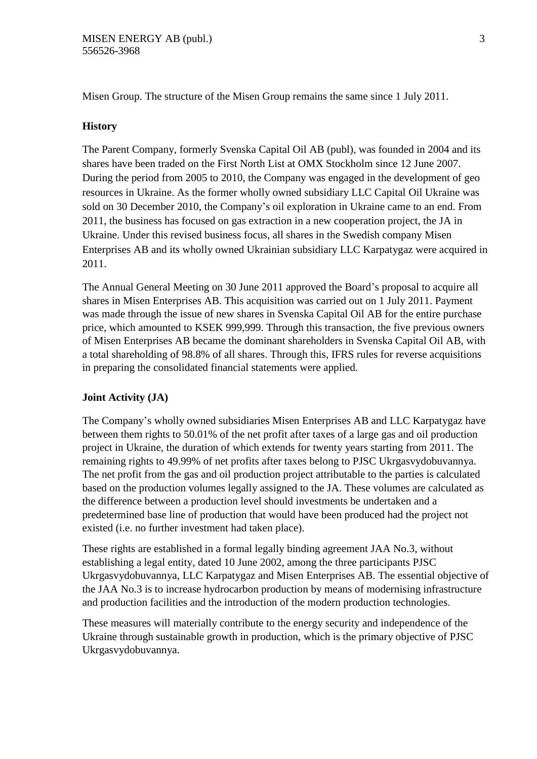Misen Group. The structure of the Misen Group remains the same since 1 July 2011.

#### **History**

The Parent Company, formerly Svenska Capital Oil AB (publ), was founded in 2004 and its shares have been traded on the First North List at OMX Stockholm since 12 June 2007. During the period from 2005 to 2010, the Company was engaged in the development of geo resources in Ukraine. As the former wholly owned subsidiary LLC Capital Oil Ukraine was sold on 30 December 2010, the Company's oil exploration in Ukraine came to an end. From 2011, the business has focused on gas extraction in a new cooperation project, the JA in Ukraine. Under this revised business focus, all shares in the Swedish company Misen Enterprises AB and its wholly owned Ukrainian subsidiary LLC Karpatygaz were acquired in 2011.

The Annual General Meeting on 30 June 2011 approved the Board's proposal to acquire all shares in Misen Enterprises AB. This acquisition was carried out on 1 July 2011. Payment was made through the issue of new shares in Svenska Capital Oil AB for the entire purchase price, which amounted to KSEK 999,999. Through this transaction, the five previous owners of Misen Enterprises AB became the dominant shareholders in Svenska Capital Oil AB, with a total shareholding of 98.8% of all shares. Through this, IFRS rules for reverse acquisitions in preparing the consolidated financial statements were applied.

#### **Joint Activity (JA)**

The Company's wholly owned subsidiaries Misen Enterprises AB and LLC Karpatygaz have between them rights to 50.01% of the net profit after taxes of a large gas and oil production project in Ukraine, the duration of which extends for twenty years starting from 2011. The remaining rights to 49.99% of net profits after taxes belong to PJSC Ukrgasvydobuvannya. The net profit from the gas and oil production project attributable to the parties is calculated based on the production volumes legally assigned to the JA. These volumes are calculated as the difference between a production level should investments be undertaken and a predetermined base line of production that would have been produced had the project not existed (i.e. no further investment had taken place).

These rights are established in a formal legally binding agreement JAA No.3, without establishing a legal entity, dated 10 June 2002, among the three participants PJSC Ukrgasvydobuvannya, LLC Karpatygaz and Misen Enterprises AB. The essential objective of the JAA No.3 is to increase hydrocarbon production by means of modernising infrastructure and production facilities and the introduction of the modern production technologies.

These measures will materially contribute to the energy security and independence of the Ukraine through sustainable growth in production, which is the primary objective of PJSC Ukrgasvydobuvannya.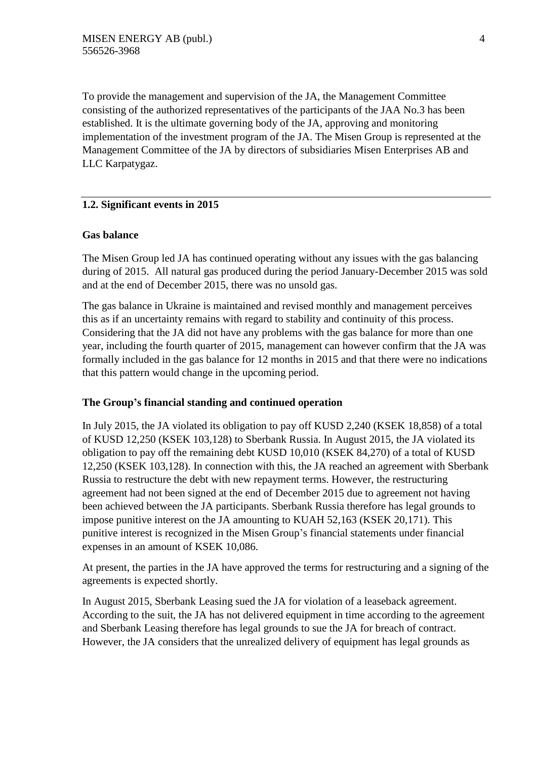To provide the management and supervision of the JA, the Management Committee consisting of the authorized representatives of the participants of the JAA No.3 has been established. It is the ultimate governing body of the JA, approving and monitoring implementation of the investment program of the JA. The Misen Group is represented at the Management Committee of the JA by directors of subsidiaries Misen Enterprises AB and LLC Karpatygaz.

#### **1.2. Significant events in 2015**

#### **Gas balance**

The Misen Group led JA has continued operating without any issues with the gas balancing during of 2015. All natural gas produced during the period January-December 2015 was sold and at the end of December 2015, there was no unsold gas.

The gas balance in Ukraine is maintained and revised monthly and management perceives this as if an uncertainty remains with regard to stability and continuity of this process. Considering that the JA did not have any problems with the gas balance for more than one year, including the fourth quarter of 2015, management can however confirm that the JA was formally included in the gas balance for 12 months in 2015 and that there were no indications that this pattern would change in the upcoming period.

#### **The Group's financial standing and continued operation**

In July 2015, the JA violated its obligation to pay off KUSD 2,240 (KSEK 18,858) of a total of KUSD 12,250 (KSEK 103,128) to Sberbank Russia. In August 2015, the JA violated its obligation to pay off the remaining debt KUSD 10,010 (KSEK 84,270) of a total of KUSD 12,250 (KSEK 103,128). In connection with this, the JA reached an agreement with Sberbank Russia to restructure the debt with new repayment terms. However, the restructuring agreement had not been signed at the end of December 2015 due to agreement not having been achieved between the JA participants. Sberbank Russia therefore has legal grounds to impose punitive interest on the JA amounting to KUAH 52,163 (KSEK 20,171). This punitive interest is recognized in the Misen Group's financial statements under financial expenses in an amount of KSEK 10,086.

At present, the parties in the JA have approved the terms for restructuring and a signing of the agreements is expected shortly.

In August 2015, Sberbank Leasing sued the JA for violation of a leaseback agreement. According to the suit, the JA has not delivered equipment in time according to the agreement and Sberbank Leasing therefore has legal grounds to sue the JA for breach of contract. However, the JA considers that the unrealized delivery of equipment has legal grounds as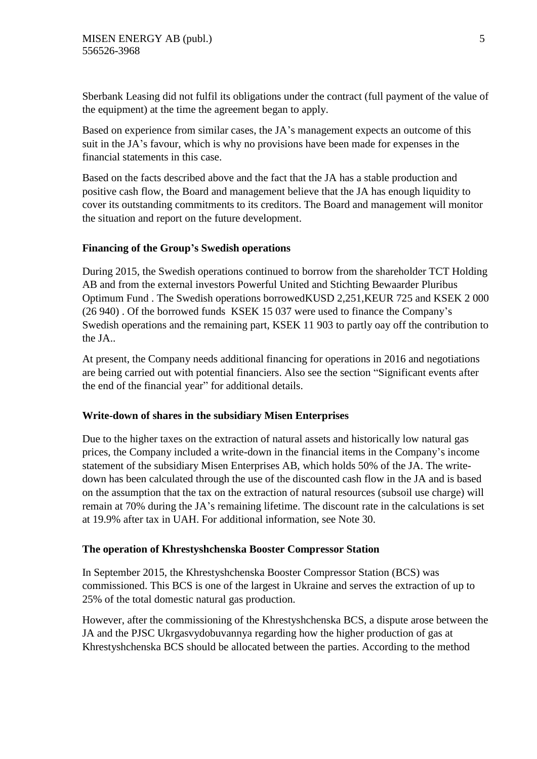Sberbank Leasing did not fulfil its obligations under the contract (full payment of the value of the equipment) at the time the agreement began to apply.

Based on experience from similar cases, the JA's management expects an outcome of this suit in the JA's favour, which is why no provisions have been made for expenses in the financial statements in this case.

Based on the facts described above and the fact that the JA has a stable production and positive cash flow, the Board and management believe that the JA has enough liquidity to cover its outstanding commitments to its creditors. The Board and management will monitor the situation and report on the future development.

#### **Financing of the Group's Swedish operations**

During 2015, the Swedish operations continued to borrow from the shareholder TCT Holding AB and from the external investors Powerful United and Stichting Bewaarder Pluribus Optimum Fund . The Swedish operations borrowedKUSD 2,251,KEUR 725 and KSEK 2 000 (26 940) . Of the borrowed funds KSEK 15 037 were used to finance the Company's Swedish operations and the remaining part, KSEK 11 903 to partly oay off the contribution to the JA..

At present, the Company needs additional financing for operations in 2016 and negotiations are being carried out with potential financiers. Also see the section "Significant events after the end of the financial year" for additional details.

#### **Write-down of shares in the subsidiary Misen Enterprises**

Due to the higher taxes on the extraction of natural assets and historically low natural gas prices, the Company included a write-down in the financial items in the Company's income statement of the subsidiary Misen Enterprises AB, which holds 50% of the JA. The writedown has been calculated through the use of the discounted cash flow in the JA and is based on the assumption that the tax on the extraction of natural resources (subsoil use charge) will remain at 70% during the JA's remaining lifetime. The discount rate in the calculations is set at 19.9% after tax in UAH. For additional information, see Note 30.

#### **The operation of Khrestyshchenska Booster Compressor Station**

In September 2015, the Khrestyshchenska Booster Compressor Station (BCS) was commissioned. This BCS is one of the largest in Ukraine and serves the extraction of up to 25% of the total domestic natural gas production.

However, after the commissioning of the Khrestyshchenska BCS, a dispute arose between the JA and the PJSC Ukrgasvydobuvannya regarding how the higher production of gas at Khrestyshchenska BCS should be allocated between the parties. According to the method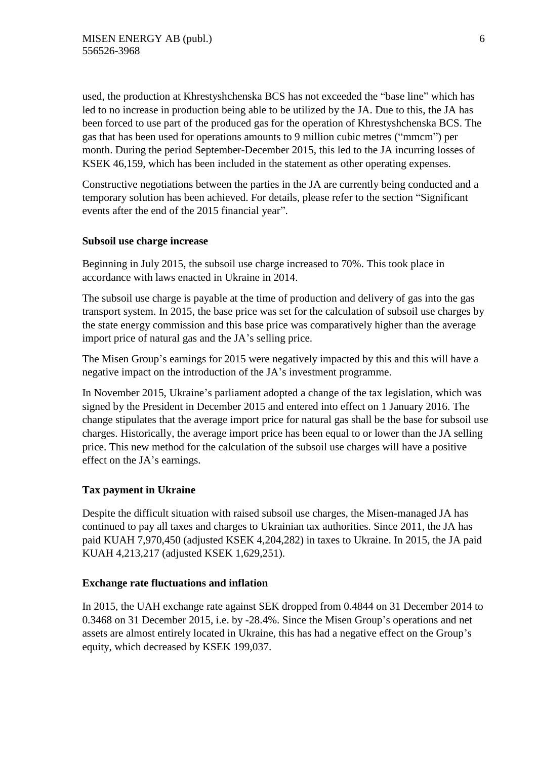used, the production at Khrestyshchenska BCS has not exceeded the "base line" which has led to no increase in production being able to be utilized by the JA. Due to this, the JA has been forced to use part of the produced gas for the operation of Khrestyshchenska BCS. The gas that has been used for operations amounts to 9 million cubic metres ("mmcm") per month. During the period September-December 2015, this led to the JA incurring losses of KSEK 46,159, which has been included in the statement as other operating expenses.

Constructive negotiations between the parties in the JA are currently being conducted and a temporary solution has been achieved. For details, please refer to the section "Significant events after the end of the 2015 financial year".

#### **Subsoil use charge increase**

Beginning in July 2015, the subsoil use charge increased to 70%. This took place in accordance with laws enacted in Ukraine in 2014.

The subsoil use charge is payable at the time of production and delivery of gas into the gas transport system. In 2015, the base price was set for the calculation of subsoil use charges by the state energy commission and this base price was comparatively higher than the average import price of natural gas and the JA's selling price.

The Misen Group's earnings for 2015 were negatively impacted by this and this will have a negative impact on the introduction of the JA's investment programme.

In November 2015, Ukraine's parliament adopted a change of the tax legislation, which was signed by the President in December 2015 and entered into effect on 1 January 2016. The change stipulates that the average import price for natural gas shall be the base for subsoil use charges. Historically, the average import price has been equal to or lower than the JA selling price. This new method for the calculation of the subsoil use charges will have a positive effect on the JA's earnings.

#### **Tax payment in Ukraine**

Despite the difficult situation with raised subsoil use charges, the Misen-managed JA has continued to pay all taxes and charges to Ukrainian tax authorities. Since 2011, the JA has paid KUAH 7,970,450 (adjusted KSEK 4,204,282) in taxes to Ukraine. In 2015, the JA paid KUAH 4,213,217 (adjusted KSEK 1,629,251).

#### **Exchange rate fluctuations and inflation**

In 2015, the UAH exchange rate against SEK dropped from 0.4844 on 31 December 2014 to 0.3468 on 31 December 2015, i.e. by -28.4%. Since the Misen Group's operations and net assets are almost entirely located in Ukraine, this has had a negative effect on the Group's equity, which decreased by KSEK 199,037.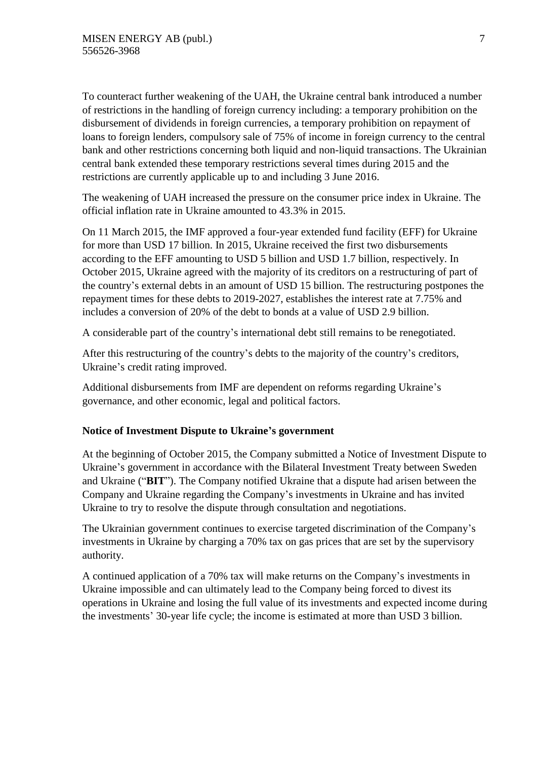To counteract further weakening of the UAH, the Ukraine central bank introduced a number of restrictions in the handling of foreign currency including: a temporary prohibition on the disbursement of dividends in foreign currencies, a temporary prohibition on repayment of loans to foreign lenders, compulsory sale of 75% of income in foreign currency to the central bank and other restrictions concerning both liquid and non-liquid transactions. The Ukrainian central bank extended these temporary restrictions several times during 2015 and the restrictions are currently applicable up to and including 3 June 2016.

The weakening of UAH increased the pressure on the consumer price index in Ukraine. The official inflation rate in Ukraine amounted to 43.3% in 2015.

On 11 March 2015, the IMF approved a four-year extended fund facility (EFF) for Ukraine for more than USD 17 billion. In 2015, Ukraine received the first two disbursements according to the EFF amounting to USD 5 billion and USD 1.7 billion, respectively. In October 2015, Ukraine agreed with the majority of its creditors on a restructuring of part of the country's external debts in an amount of USD 15 billion. The restructuring postpones the repayment times for these debts to 2019-2027, establishes the interest rate at 7.75% and includes a conversion of 20% of the debt to bonds at a value of USD 2.9 billion.

A considerable part of the country's international debt still remains to be renegotiated.

After this restructuring of the country's debts to the majority of the country's creditors, Ukraine's credit rating improved.

Additional disbursements from IMF are dependent on reforms regarding Ukraine's governance, and other economic, legal and political factors.

#### **Notice of Investment Dispute to Ukraine's government**

At the beginning of October 2015, the Company submitted a Notice of Investment Dispute to Ukraine's government in accordance with the Bilateral Investment Treaty between Sweden and Ukraine ("**BIT**"). The Company notified Ukraine that a dispute had arisen between the Company and Ukraine regarding the Company's investments in Ukraine and has invited Ukraine to try to resolve the dispute through consultation and negotiations.

The Ukrainian government continues to exercise targeted discrimination of the Company's investments in Ukraine by charging a 70% tax on gas prices that are set by the supervisory authority.

A continued application of a 70% tax will make returns on the Company's investments in Ukraine impossible and can ultimately lead to the Company being forced to divest its operations in Ukraine and losing the full value of its investments and expected income during the investments' 30-year life cycle; the income is estimated at more than USD 3 billion.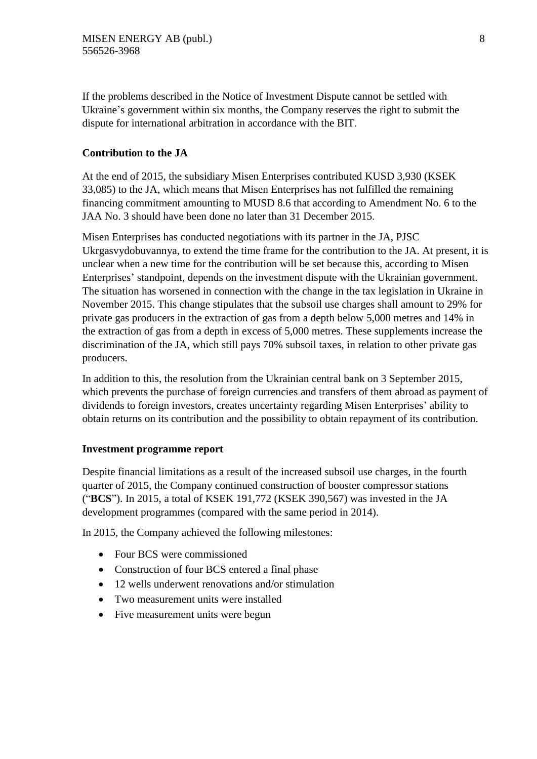If the problems described in the Notice of Investment Dispute cannot be settled with Ukraine's government within six months, the Company reserves the right to submit the dispute for international arbitration in accordance with the BIT.

#### **Contribution to the JA**

At the end of 2015, the subsidiary Misen Enterprises contributed KUSD 3,930 (KSEK 33,085) to the JA, which means that Misen Enterprises has not fulfilled the remaining financing commitment amounting to MUSD 8.6 that according to Amendment No. 6 to the JAA No. 3 should have been done no later than 31 December 2015.

Misen Enterprises has conducted negotiations with its partner in the JA, PJSC Ukrgasvydobuvannya, to extend the time frame for the contribution to the JA. At present, it is unclear when a new time for the contribution will be set because this, according to Misen Enterprises' standpoint, depends on the investment dispute with the Ukrainian government. The situation has worsened in connection with the change in the tax legislation in Ukraine in November 2015. This change stipulates that the subsoil use charges shall amount to 29% for private gas producers in the extraction of gas from a depth below 5,000 metres and 14% in the extraction of gas from a depth in excess of 5,000 metres. These supplements increase the discrimination of the JA, which still pays 70% subsoil taxes, in relation to other private gas producers.

In addition to this, the resolution from the Ukrainian central bank on 3 September 2015, which prevents the purchase of foreign currencies and transfers of them abroad as payment of dividends to foreign investors, creates uncertainty regarding Misen Enterprises' ability to obtain returns on its contribution and the possibility to obtain repayment of its contribution.

#### **Investment programme report**

Despite financial limitations as a result of the increased subsoil use charges, in the fourth quarter of 2015, the Company continued construction of booster compressor stations ("**BCS**"). In 2015, a total of KSEK 191,772 (KSEK 390,567) was invested in the JA development programmes (compared with the same period in 2014).

In 2015, the Company achieved the following milestones:

- Four BCS were commissioned
- Construction of four BCS entered a final phase
- 12 wells underwent renovations and/or stimulation
- Two measurement units were installed
- Five measurement units were begun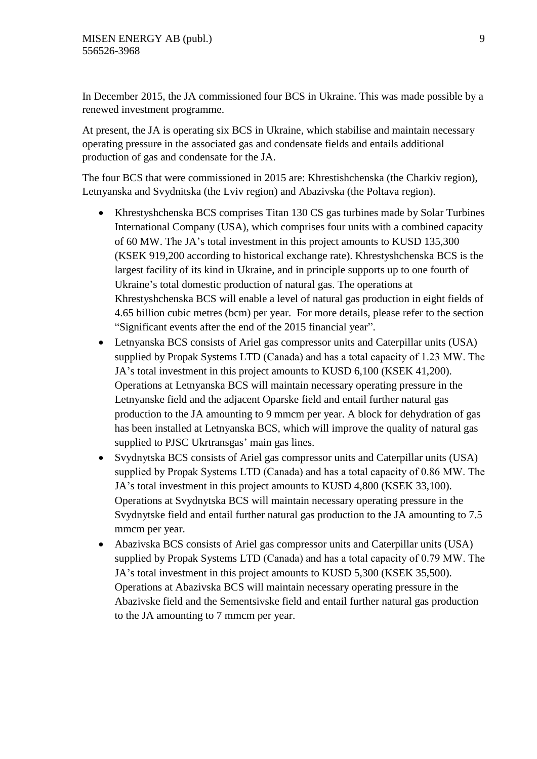In December 2015, the JA commissioned four BCS in Ukraine. This was made possible by a renewed investment programme.

At present, the JA is operating six BCS in Ukraine, which stabilise and maintain necessary operating pressure in the associated gas and condensate fields and entails additional production of gas and condensate for the JA.

The four BCS that were commissioned in 2015 are: Khrestishchenska (the Charkiv region), Letnyanska and Svydnitska (the Lviv region) and Abazivska (the Poltava region).

- Khrestyshchenska BCS comprises Titan 130 CS gas turbines made by Solar Turbines International Company (USA), which comprises four units with a combined capacity of 60 MW. The JA's total investment in this project amounts to KUSD 135,300 (KSEK 919,200 according to historical exchange rate). Khrestyshchenska BCS is the largest facility of its kind in Ukraine, and in principle supports up to one fourth of Ukraine's total domestic production of natural gas. The operations at Khrestyshchenska BCS will enable a level of natural gas production in eight fields of 4.65 billion cubic metres (bcm) per year. For more details, please refer to the section "Significant events after the end of the 2015 financial year".
- Letnyanska BCS consists of Ariel gas compressor units and Caterpillar units (USA) supplied by Propak Systems LTD (Canada) and has a total capacity of 1.23 МW. The JA's total investment in this project amounts to KUSD 6,100 (KSEK 41,200). Operations at Letnyanska BCS will maintain necessary operating pressure in the Letnyanske field and the adjacent Oparske field and entail further natural gas production to the JA amounting to 9 mmcm per year. A block for dehydration of gas has been installed at Letnyanska BCS, which will improve the quality of natural gas supplied to PJSC Ukrtransgas' main gas lines.
- Svydnytska BCS consists of Ariel gas compressor units and Caterpillar units (USA) supplied by Propak Systems LTD (Canada) and has a total capacity of 0.86 МW. The JA's total investment in this project amounts to KUSD 4,800 (KSEK 33,100). Operations at Svydnytska BCS will maintain necessary operating pressure in the Svydnytske field and entail further natural gas production to the JA amounting to 7.5 mmcm per year.
- Abazivska BCS consists of Ariel gas compressor units and Caterpillar units (USA) supplied by Propak Systems LTD (Canada) and has a total capacity of 0.79 МW. The JA's total investment in this project amounts to KUSD 5,300 (KSEK 35,500). Operations at Abazivska BCS will maintain necessary operating pressure in the Abazivske field and the Sementsivske field and entail further natural gas production to the JA amounting to 7 mmcm per year.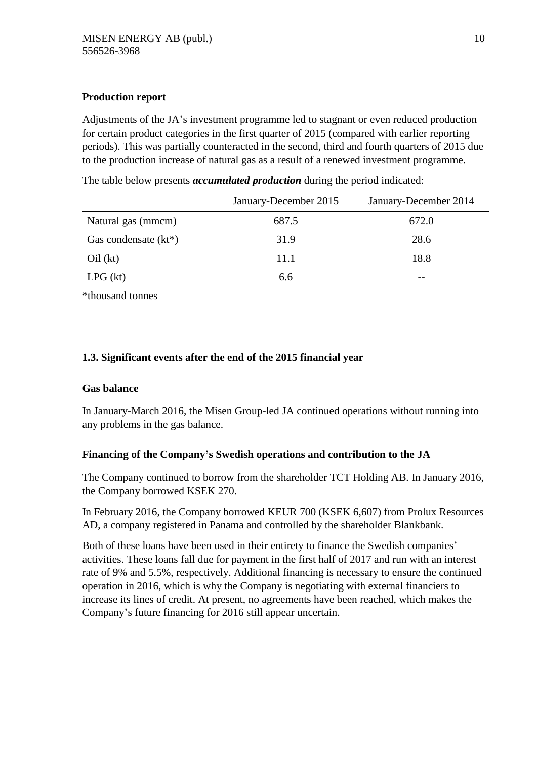#### **Production report**

Adjustments of the JA's investment programme led to stagnant or even reduced production for certain product categories in the first quarter of 2015 (compared with earlier reporting periods). This was partially counteracted in the second, third and fourth quarters of 2015 due to the production increase of natural gas as a result of a renewed investment programme.

The table below presents *accumulated production* during the period indicated:

|                         | January-December 2015 | January-December 2014 |
|-------------------------|-----------------------|-----------------------|
| Natural gas (mmcm)      | 687.5                 | 672.0                 |
| Gas condensate $(kt^*)$ | 31.9                  | 28.6                  |
| Oil (kt)                | 11.1                  | 18.8                  |
| LPG (kt)                | 6.6                   | $- -$                 |
| *thousand tonnes        |                       |                       |

### **1.3. Significant events after the end of the 2015 financial year**

#### **Gas balance**

In January-March 2016, the Misen Group-led JA continued operations without running into any problems in the gas balance.

#### **Financing of the Company's Swedish operations and contribution to the JA**

The Company continued to borrow from the shareholder TCT Holding AB. In January 2016, the Company borrowed KSEK 270.

In February 2016, the Company borrowed KEUR 700 (KSEK 6,607) from Prolux Resources AD, a company registered in Panama and controlled by the shareholder Blankbank.

Both of these loans have been used in their entirety to finance the Swedish companies' activities. These loans fall due for payment in the first half of 2017 and run with an interest rate of 9% and 5.5%, respectively. Additional financing is necessary to ensure the continued operation in 2016, which is why the Company is negotiating with external financiers to increase its lines of credit. At present, no agreements have been reached, which makes the Company's future financing for 2016 still appear uncertain.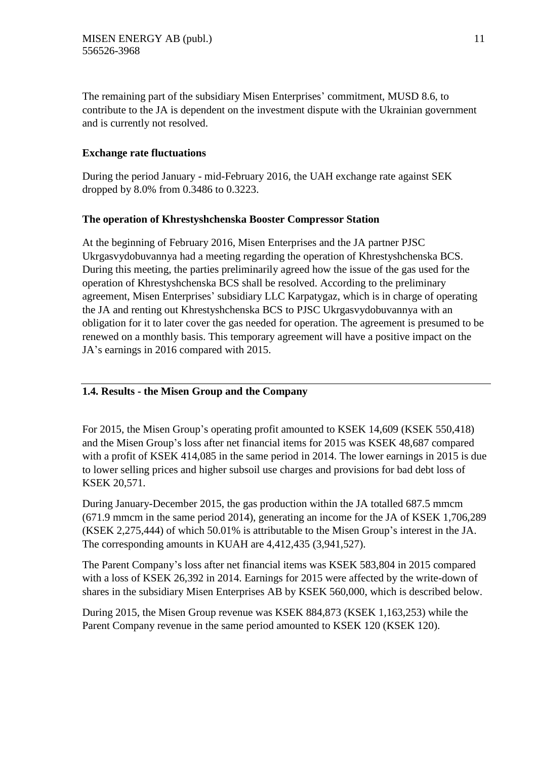The remaining part of the subsidiary Misen Enterprises' commitment, MUSD 8.6, to contribute to the JA is dependent on the investment dispute with the Ukrainian government and is currently not resolved.

#### **Exchange rate fluctuations**

During the period January - mid-February 2016, the UAH exchange rate against SEK dropped by 8.0% from 0.3486 to 0.3223.

#### **The operation of Khrestyshchenska Booster Compressor Station**

At the beginning of February 2016, Misen Enterprises and the JA partner PJSC Ukrgasvydobuvannya had a meeting regarding the operation of Khrestyshchenska BCS. During this meeting, the parties preliminarily agreed how the issue of the gas used for the operation of Khrestyshchenska BCS shall be resolved. According to the preliminary agreement, Misen Enterprises' subsidiary LLC Karpatygaz, which is in charge of operating the JA and renting out Khrestyshchenska BCS to PJSC Ukrgasvydobuvannya with an obligation for it to later cover the gas needed for operation. The agreement is presumed to be renewed on a monthly basis. This temporary agreement will have a positive impact on the JA's earnings in 2016 compared with 2015.

#### **1.4. Results - the Misen Group and the Company**

For 2015, the Misen Group's operating profit amounted to KSEK 14,609 (KSEK 550,418) and the Misen Group's loss after net financial items for 2015 was KSEK 48,687 compared with a profit of KSEK 414,085 in the same period in 2014. The lower earnings in 2015 is due to lower selling prices and higher subsoil use charges and provisions for bad debt loss of KSEK 20,571.

During January-December 2015, the gas production within the JA totalled 687.5 mmcm (671.9 mmcm in the same period 2014), generating an income for the JA of KSEK 1,706,289 (KSEK 2,275,444) of which 50.01% is attributable to the Misen Group's interest in the JA. The corresponding amounts in KUAH are 4,412,435 (3,941,527).

The Parent Company's loss after net financial items was KSEK 583,804 in 2015 compared with a loss of KSEK 26,392 in 2014. Earnings for 2015 were affected by the write-down of shares in the subsidiary Misen Enterprises AB by KSEK 560,000, which is described below.

During 2015, the Misen Group revenue was KSEK 884,873 (KSEK 1,163,253) while the Parent Company revenue in the same period amounted to KSEK 120 (KSEK 120).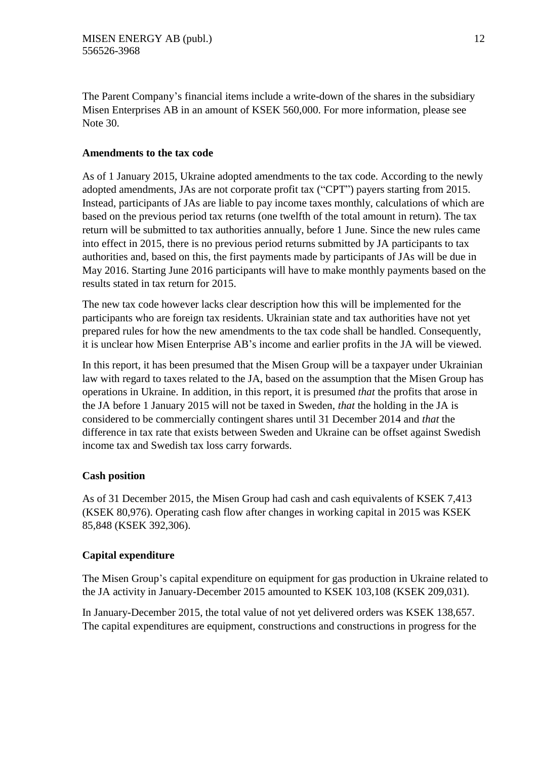The Parent Company's financial items include a write-down of the shares in the subsidiary Misen Enterprises AB in an amount of KSEK 560,000. For more information, please see Note 30.

#### **Amendments to the tax code**

As of 1 January 2015, Ukraine adopted amendments to the tax code. According to the newly adopted amendments, JAs are not corporate profit tax ("CPT") payers starting from 2015. Instead, participants of JAs are liable to pay income taxes monthly, calculations of which are based on the previous period tax returns (one twelfth of the total amount in return). The tax return will be submitted to tax authorities annually, before 1 June. Since the new rules came into effect in 2015, there is no previous period returns submitted by JA participants to tax authorities and, based on this, the first payments made by participants of JAs will be due in May 2016. Starting June 2016 participants will have to make monthly payments based on the results stated in tax return for 2015.

The new tax code however lacks clear description how this will be implemented for the participants who are foreign tax residents. Ukrainian state and tax authorities have not yet prepared rules for how the new amendments to the tax code shall be handled. Consequently, it is unclear how Misen Enterprise AB's income and earlier profits in the JA will be viewed.

In this report, it has been presumed that the Misen Group will be a taxpayer under Ukrainian law with regard to taxes related to the JA, based on the assumption that the Misen Group has operations in Ukraine. In addition, in this report, it is presumed *that* the profits that arose in the JA before 1 January 2015 will not be taxed in Sweden, *that* the holding in the JA is considered to be commercially contingent shares until 31 December 2014 and *that* the difference in tax rate that exists between Sweden and Ukraine can be offset against Swedish income tax and Swedish tax loss carry forwards.

#### **Cash position**

As of 31 December 2015, the Misen Group had cash and cash equivalents of KSEK 7,413 (KSEK 80,976). Operating cash flow after changes in working capital in 2015 was KSEK 85,848 (KSEK 392,306).

### **Capital expenditure**

The Misen Group's capital expenditure on equipment for gas production in Ukraine related to the JA activity in January-December 2015 amounted to KSEK 103,108 (KSEK 209,031).

In January-December 2015, the total value of not yet delivered orders was KSEK 138,657. The capital expenditures are equipment, constructions and constructions in progress for the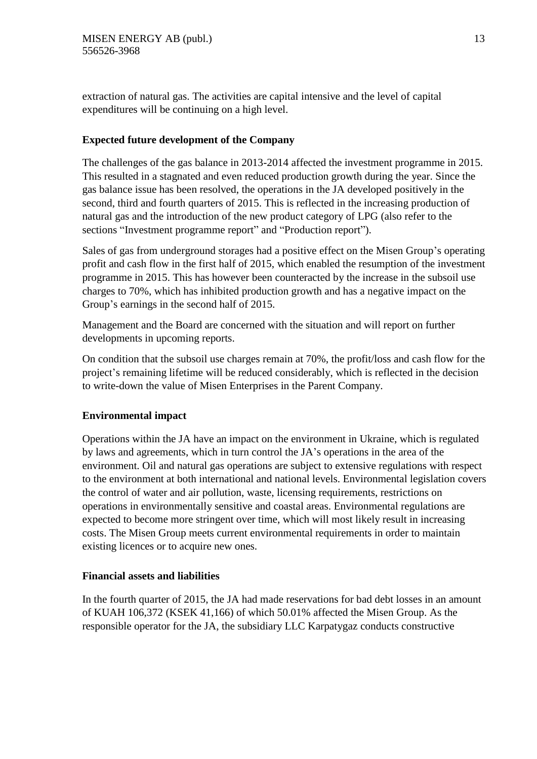extraction of natural gas. The activities are capital intensive and the level of capital expenditures will be continuing on a high level.

#### **Expected future development of the Company**

The challenges of the gas balance in 2013-2014 affected the investment programme in 2015. This resulted in a stagnated and even reduced production growth during the year. Since the gas balance issue has been resolved, the operations in the JA developed positively in the second, third and fourth quarters of 2015. This is reflected in the increasing production of natural gas and the introduction of the new product category of LPG (also refer to the sections "Investment programme report" and "Production report").

Sales of gas from underground storages had a positive effect on the Misen Group's operating profit and cash flow in the first half of 2015, which enabled the resumption of the investment programme in 2015. This has however been counteracted by the increase in the subsoil use charges to 70%, which has inhibited production growth and has a negative impact on the Group's earnings in the second half of 2015.

Management and the Board are concerned with the situation and will report on further developments in upcoming reports.

On condition that the subsoil use charges remain at 70%, the profit/loss and cash flow for the project's remaining lifetime will be reduced considerably, which is reflected in the decision to write-down the value of Misen Enterprises in the Parent Company.

#### **Environmental impact**

Operations within the JA have an impact on the environment in Ukraine, which is regulated by laws and agreements, which in turn control the JA's operations in the area of the environment. Oil and natural gas operations are subject to extensive regulations with respect to the environment at both international and national levels. Environmental legislation covers the control of water and air pollution, waste, licensing requirements, restrictions on operations in environmentally sensitive and coastal areas. Environmental regulations are expected to become more stringent over time, which will most likely result in increasing costs. The Misen Group meets current environmental requirements in order to maintain existing licences or to acquire new ones.

#### **Financial assets and liabilities**

In the fourth quarter of 2015, the JA had made reservations for bad debt losses in an amount of KUAH 106,372 (KSEK 41,166) of which 50.01% affected the Misen Group. As the responsible operator for the JA, the subsidiary LLC Karpatygaz conducts constructive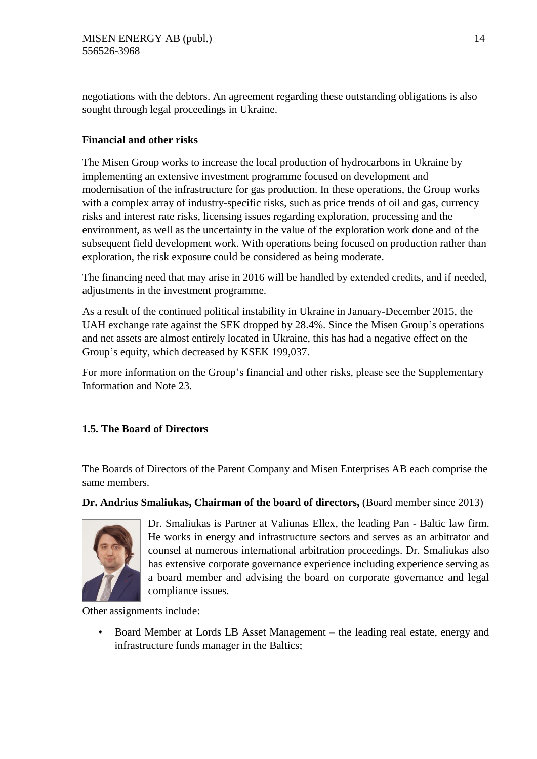negotiations with the debtors. An agreement regarding these outstanding obligations is also sought through legal proceedings in Ukraine.

#### **Financial and other risks**

The Misen Group works to increase the local production of hydrocarbons in Ukraine by implementing an extensive investment programme focused on development and modernisation of the infrastructure for gas production. In these operations, the Group works with a complex array of industry-specific risks, such as price trends of oil and gas, currency risks and interest rate risks, licensing issues regarding exploration, processing and the environment, as well as the uncertainty in the value of the exploration work done and of the subsequent field development work. With operations being focused on production rather than exploration, the risk exposure could be considered as being moderate.

The financing need that may arise in 2016 will be handled by extended credits, and if needed, adjustments in the investment programme.

As a result of the continued political instability in Ukraine in January-December 2015, the UAH exchange rate against the SEK dropped by 28.4%. Since the Misen Group's operations and net assets are almost entirely located in Ukraine, this has had a negative effect on the Group's equity, which decreased by KSEK 199,037.

For more information on the Group's financial and other risks, please see the Supplementary Information and Note 23.

### **1.5. The Board of Directors**

The Boards of Directors of the Parent Company and Misen Enterprises AB each comprise the same members.

**Dr. Andrius Smaliukas, Chairman of the board of directors,** (Board member since 2013)



Dr. Smaliukas is Partner at Valiunas Ellex, the leading Pan - Baltic law firm. He works in energy and infrastructure sectors and serves as an arbitrator and counsel at numerous international arbitration proceedings. Dr. Smaliukas also has extensive corporate governance experience including experience serving as a board member and advising the board on corporate governance and legal compliance issues.

Other assignments include:

• Board Member at Lords LB Asset Management – the leading real estate, energy and infrastructure funds manager in the Baltics;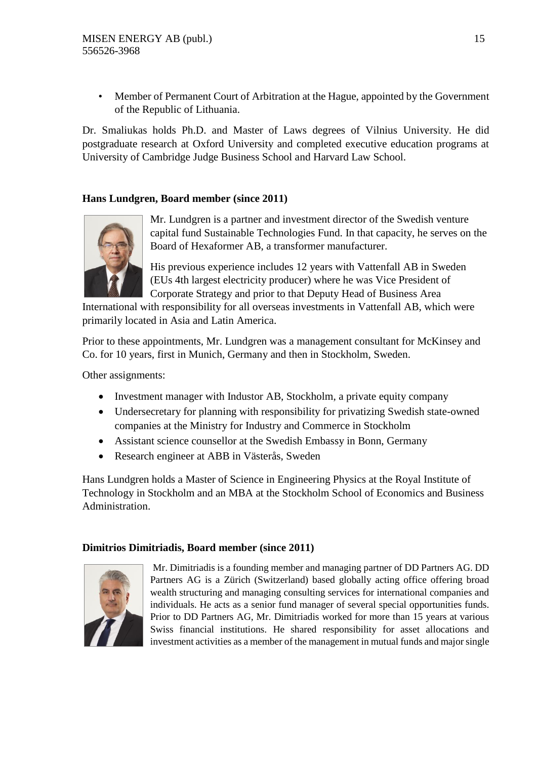• Member of Permanent Court of Arbitration at the Hague, appointed by the Government of the Republic of Lithuania.

Dr. Smaliukas holds Ph.D. and Master of Laws degrees of Vilnius University. He did postgraduate research at Oxford University and completed executive education programs at University of Cambridge Judge Business School and Harvard Law School.

#### **Hans Lundgren, Board member (since 2011)**



Mr. Lundgren is a partner and investment director of the Swedish venture capital fund Sustainable Technologies Fund. In that capacity, he serves on the Board of Hexaformer AB, a transformer manufacturer.

His previous experience includes 12 years with Vattenfall AB in Sweden (EUs 4th largest electricity producer) where he was Vice President of Corporate Strategy and prior to that Deputy Head of Business Area

International with responsibility for all overseas investments in Vattenfall AB, which were primarily located in Asia and Latin America.

Prior to these appointments, Mr. Lundgren was a management consultant for McKinsey and Co. for 10 years, first in Munich, Germany and then in Stockholm, Sweden.

Other assignments:

- Investment manager with Industor AB, Stockholm, a private equity company
- Undersecretary for planning with responsibility for privatizing Swedish state-owned companies at the Ministry for Industry and Commerce in Stockholm
- Assistant science counsellor at the Swedish Embassy in Bonn, Germany
- Research engineer at ABB in Västerås, Sweden

Hans Lundgren holds a Master of Science in Engineering Physics at the Royal Institute of Technology in Stockholm and an MBA at the Stockholm School of Economics and Business Administration.

#### **Dimitrios Dimitriadis, Board member (since 2011)**



Mr. Dimitriadis is a founding member and managing partner of DD Partners AG. DD Partners AG is a Zürich (Switzerland) based globally acting office offering broad wealth structuring and managing consulting services for international companies and individuals. He acts as a senior fund manager of several special opportunities funds. Prior to DD Partners AG, Mr. Dimitriadis worked for more than 15 years at various Swiss financial institutions. He shared responsibility for asset allocations and investment activities as a member of the management in mutual funds and major single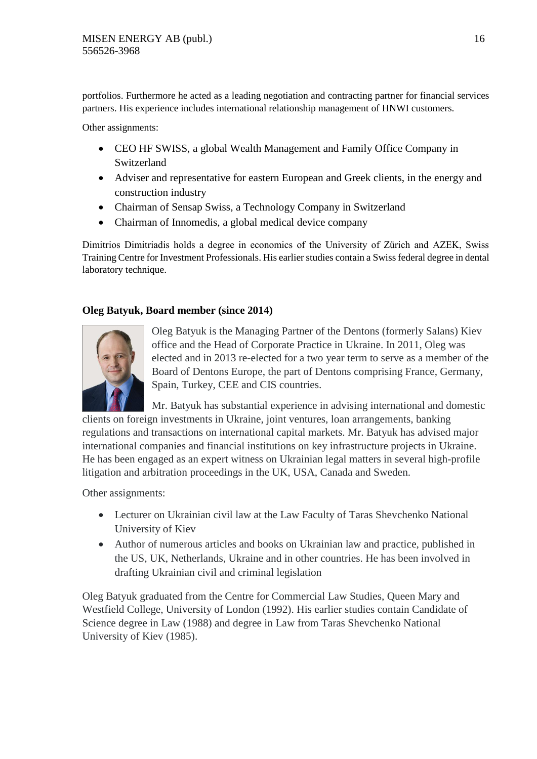portfolios. Furthermore he acted as a leading negotiation and contracting partner for financial services partners. His experience includes international relationship management of HNWI customers.

Other assignments:

- CEO HF SWISS, a global Wealth Management and Family Office Company in Switzerland
- Adviser and representative for eastern European and Greek clients, in the energy and construction industry
- Chairman of Sensap Swiss, a Technology Company in Switzerland
- Chairman of Innomedis, a global medical device company

Dimitrios Dimitriadis holds a degree in economics of the University of Zürich and AZEK, Swiss Training Centre for Investment Professionals. His earlier studies contain a Swiss federal degree in dental laboratory technique.

#### **Oleg Batyuk, Board member (since 2014)**



Oleg Batyuk is the Managing Partner of the Dentons (formerly Salans) Kiev office and the Head of Corporate Practice in Ukraine. In 2011, Oleg was elected and in 2013 re-elected for a two year term to serve as a member of the Board of Dentons Europe, the part of Dentons comprising France, Germany, Spain, Turkey, CEE and CIS countries.

Mr. Batyuk has substantial experience in advising international and domestic clients on foreign investments in Ukraine, joint ventures, loan arrangements, banking regulations and transactions on international capital markets. Mr. Batyuk has advised major international companies and financial institutions on key infrastructure projects in Ukraine. He has been engaged as an expert witness on Ukrainian legal matters in several high-profile litigation and arbitration proceedings in the UK, USA, Canada and Sweden.

Other assignments:

- Lecturer on Ukrainian civil law at the Law Faculty of Taras Shevchenko National University of Kiev
- Author of numerous articles and books on Ukrainian law and practice, published in the US, UK, Netherlands, Ukraine and in other countries. He has been involved in drafting Ukrainian civil and criminal legislation

Oleg Batyuk graduated from the Centre for Commercial Law Studies, Queen Mary and Westfield College, University of London (1992). His earlier studies contain Candidate of Science degree in Law (1988) and degree in Law from Taras Shevchenko National University of Kiev (1985).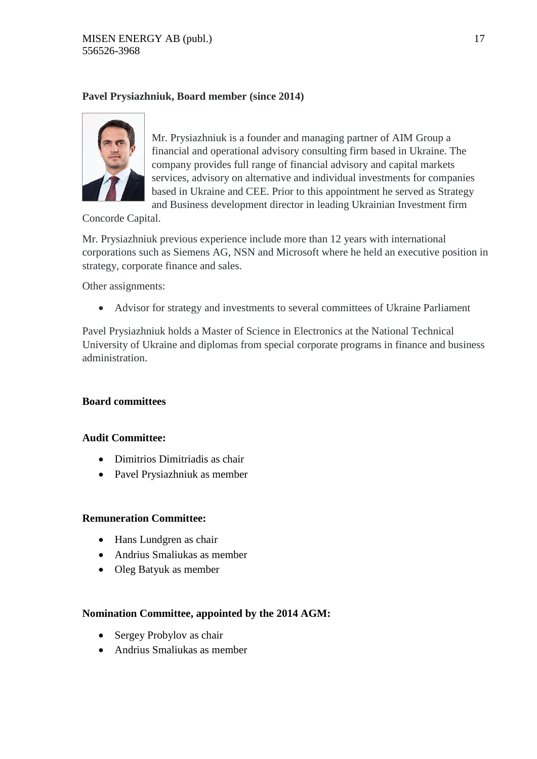#### **Pavel Prysiazhniuk, Board member (since 2014)**



Mr. Prysiazhniuk is a founder and managing partner of AIM Group a financial and operational advisory consulting firm based in Ukraine. The company provides full range of financial advisory and capital markets services, advisory on alternative and individual investments for companies based in Ukraine and CEE. Prior to this appointment he served as Strategy and Business development director in leading Ukrainian Investment firm

Concorde Capital.

Mr. Prysiazhniuk previous experience include more than 12 years with international corporations such as Siemens AG, NSN and Microsoft where he held an executive position in strategy, corporate finance and sales.

Other assignments:

Advisor for strategy and investments to several committees of Ukraine Parliament

Pavel Prysiazhniuk holds a Master of Science in Electronics at the National Technical University of Ukraine and diplomas from special corporate programs in finance and business administration.

#### **Board committees**

#### **Audit Committee:**

- Dimitrios Dimitriadis as chair
- Pavel Prysiazhniuk as member

#### **Remuneration Committee:**

- Hans Lundgren as chair
- Andrius Smaliukas as member
- Oleg Batyuk as member

#### **Nomination Committee, appointed by the 2014 AGM:**

- Sergey Probylov as chair
- Andrius Smaliukas as member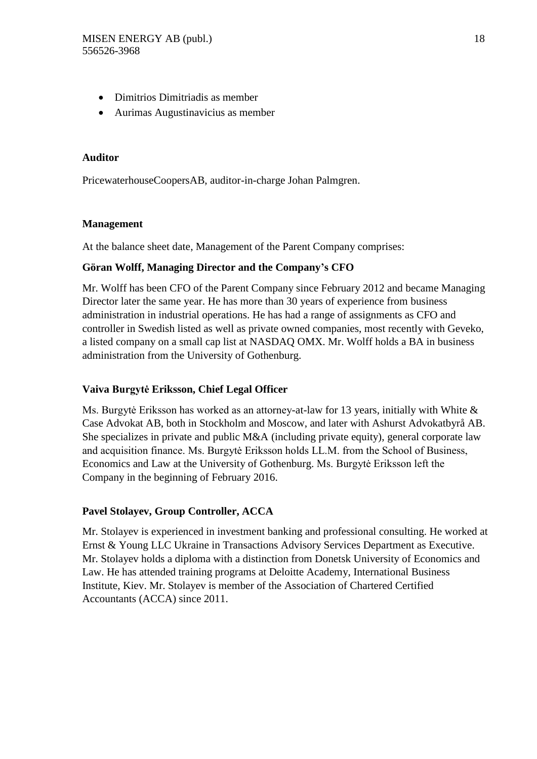- Dimitrios Dimitriadis as member
- Aurimas Augustinavicius as member

#### **Auditor**

PricewaterhouseCoopersAB, auditor-in-charge Johan Palmgren.

#### **Management**

At the balance sheet date, Management of the Parent Company comprises:

#### **Göran Wolff, Managing Director and the Company's CFO**

Mr. Wolff has been CFO of the Parent Company since February 2012 and became Managing Director later the same year. He has more than 30 years of experience from business administration in industrial operations. He has had a range of assignments as CFO and controller in Swedish listed as well as private owned companies, most recently with Geveko, a listed company on a small cap list at NASDAQ OMX. Mr. Wolff holds a BA in business administration from the University of Gothenburg.

#### **Vaiva Burgytė Eriksson, Chief Legal Officer**

Ms. Burgytė Eriksson has worked as an attorney-at-law for 13 years, initially with White & Case Advokat AB, both in Stockholm and Moscow, and later with Ashurst Advokatbyrå AB. She specializes in private and public M&A (including private equity), general corporate law and acquisition finance. Ms. Burgytė Eriksson holds LL.M. from the School of Business, Economics and Law at the University of Gothenburg. Ms. Burgytė Eriksson left the Company in the beginning of February 2016.

#### **Pavel Stolayev, Group Controller, ACCA**

Mr. Stolayev is experienced in investment banking and professional consulting. He worked at Ernst & Young LLC Ukraine in Transactions Advisory Services Department as Executive. Mr. Stolayev holds a diploma with a distinction from Donetsk University of Economics and Law. He has attended training programs at Deloitte Academy, International Business Institute, Kiev. Mr. Stolayev is member of the Association of Chartered Certified Accountants (ACCA) since 2011.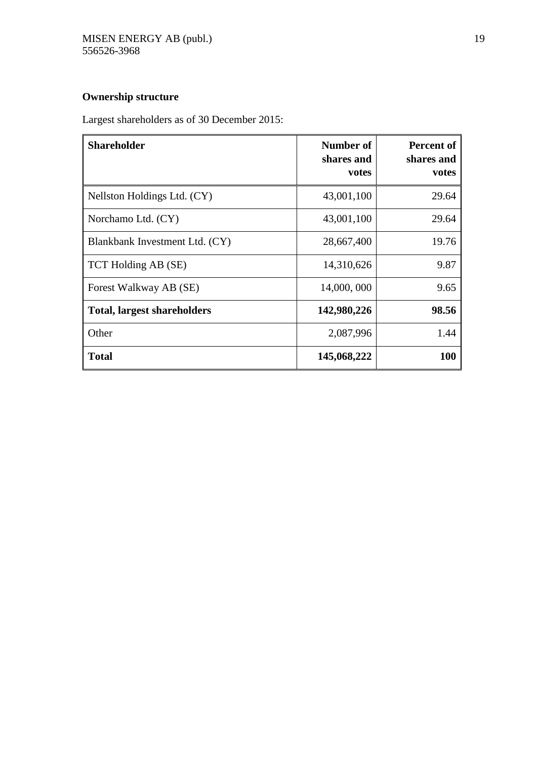## **Ownership structure**

Largest shareholders as of 30 December 2015:

| <b>Shareholder</b>                 | Number of<br>shares and<br>votes | <b>Percent of</b><br>shares and<br>votes |
|------------------------------------|----------------------------------|------------------------------------------|
| Nellston Holdings Ltd. (CY)        | 43,001,100                       | 29.64                                    |
| Norchamo Ltd. (CY)                 | 43,001,100                       | 29.64                                    |
| Blankbank Investment Ltd. (CY)     | 28,667,400                       | 19.76                                    |
| TCT Holding AB (SE)                | 14,310,626                       | 9.87                                     |
| Forest Walkway AB (SE)             | 14,000,000                       | 9.65                                     |
| <b>Total, largest shareholders</b> | 142,980,226                      | 98.56                                    |
| Other                              | 2,087,996                        | 1.44                                     |
| <b>Total</b>                       | 145,068,222                      | <b>100</b>                               |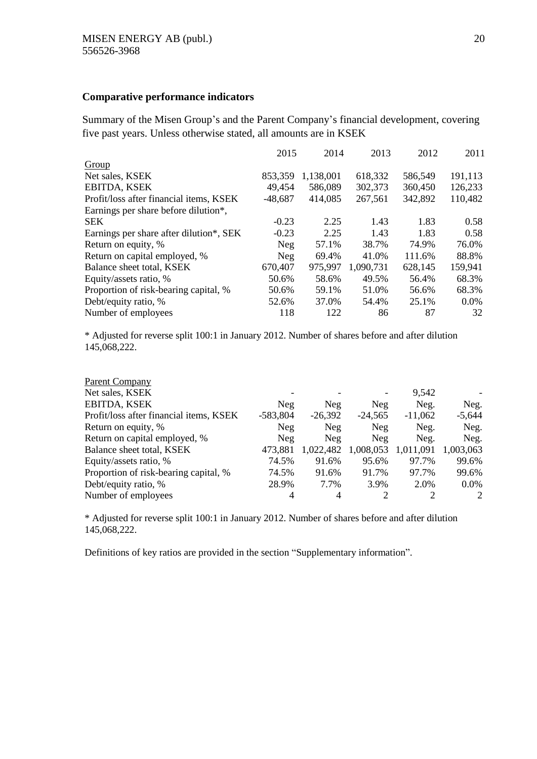#### **Comparative performance indicators**

Summary of the Misen Group's and the Parent Company's financial development, covering five past years. Unless otherwise stated, all amounts are in KSEK

|                                         | 2015      | 2014      | 2013      | 2012    | 2011    |
|-----------------------------------------|-----------|-----------|-----------|---------|---------|
| Group                                   |           |           |           |         |         |
| Net sales, KSEK                         | 853,359   | 1,138,001 | 618,332   | 586,549 | 191,113 |
| <b>EBITDA, KSEK</b>                     | 49,454    | 586,089   | 302,373   | 360,450 | 126,233 |
| Profit/loss after financial items, KSEK | $-48,687$ | 414,085   | 267,561   | 342,892 | 110,482 |
| Earnings per share before dilution*,    |           |           |           |         |         |
| <b>SEK</b>                              | $-0.23$   | 2.25      | 1.43      | 1.83    | 0.58    |
| Earnings per share after dilution*, SEK | $-0.23$   | 2.25      | 1.43      | 1.83    | 0.58    |
| Return on equity, %                     | Neg       | 57.1%     | 38.7%     | 74.9%   | 76.0%   |
| Return on capital employed, %           | Neg       | 69.4%     | 41.0%     | 111.6%  | 88.8%   |
| Balance sheet total, KSEK               | 670,407   | 975,997   | 1,090,731 | 628,145 | 159,941 |
| Equity/assets ratio, %                  | 50.6%     | 58.6%     | 49.5%     | 56.4%   | 68.3%   |
| Proportion of risk-bearing capital, %   | 50.6%     | 59.1%     | 51.0%     | 56.6%   | 68.3%   |
| Debt/equity ratio, %                    | 52.6%     | 37.0%     | 54.4%     | 25.1%   | $0.0\%$ |
| Number of employees                     | 118       | 122       | 86        | 87      | 32      |

\* Adjusted for reverse split 100:1 in January 2012. Number of shares before and after dilution 145,068,222.

| <b>Parent Company</b>                   |            |           |            |           |           |
|-----------------------------------------|------------|-----------|------------|-----------|-----------|
| Net sales, KSEK                         |            |           |            | 9,542     |           |
| <b>EBITDA, KSEK</b>                     | Neg        | Neg       | Neg        | Neg.      | Neg.      |
| Profit/loss after financial items, KSEK | $-583,804$ | $-26,392$ | $-24,565$  | $-11,062$ | $-5,644$  |
| Return on equity, %                     | Neg        | Neg       | <b>Neg</b> | Neg.      | Neg.      |
| Return on capital employed, %           | Neg        | Neg       | Neg        | Neg.      | Neg.      |
| Balance sheet total, KSEK               | 473,881    | 1,022,482 | 1,008,053  | 1,011,091 | 1,003,063 |
| Equity/assets ratio, %                  | 74.5%      | 91.6%     | 95.6%      | 97.7%     | 99.6%     |
| Proportion of risk-bearing capital, %   | 74.5%      | 91.6%     | 91.7%      | 97.7%     | 99.6%     |
| Debt/equity ratio, %                    | 28.9%      | 7.7%      | 3.9%       | 2.0%      | $0.0\%$   |
| Number of employees                     | 4          | 4         | C          |           | 2         |

\* Adjusted for reverse split 100:1 in January 2012. Number of shares before and after dilution 145,068,222.

Definitions of key ratios are provided in the section "Supplementary information".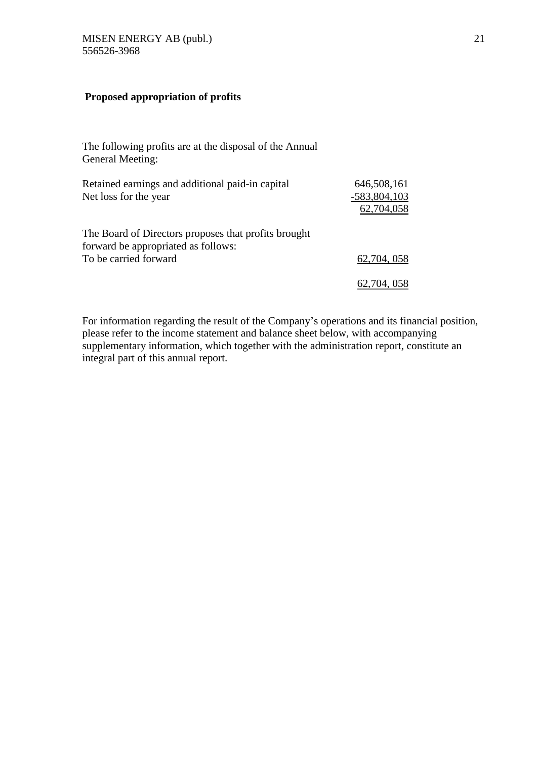#### **Proposed appropriation of profits**

The following profits are at the disposal of the Annual General Meeting:

| Retained earnings and additional paid-in capital                                            | 646,508,161                  |
|---------------------------------------------------------------------------------------------|------------------------------|
| Net loss for the year                                                                       | $-583,804,103$<br>62,704,058 |
| The Board of Directors proposes that profits brought<br>forward be appropriated as follows: |                              |
| To be carried forward                                                                       | 62,704,058                   |
|                                                                                             | 62,704,058                   |

For information regarding the result of the Company's operations and its financial position, please refer to the income statement and balance sheet below, with accompanying supplementary information, which together with the administration report, constitute an integral part of this annual report.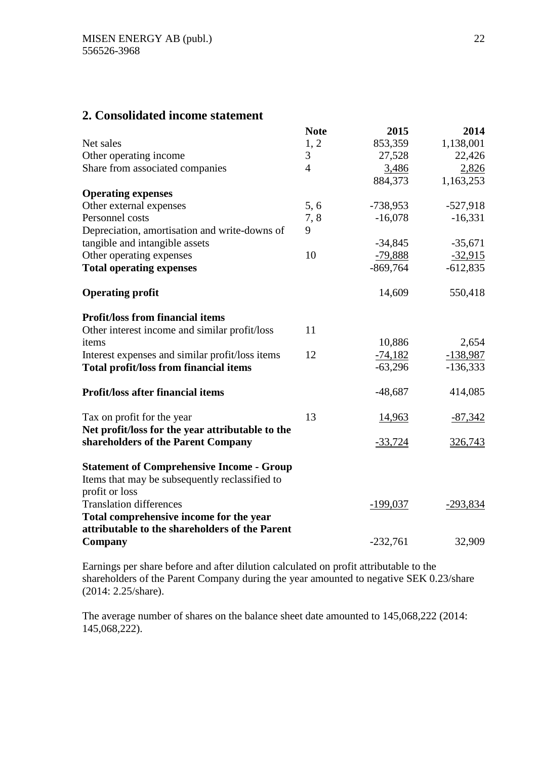## **2. Consolidated income statement**

|                                                  | <b>Note</b>    | 2015           | 2014       |
|--------------------------------------------------|----------------|----------------|------------|
| Net sales                                        | 1, 2           | 853,359        | 1,138,001  |
| Other operating income                           | 3              | 27,528         | 22,426     |
| Share from associated companies                  | $\overline{4}$ | 3,486          | 2,826      |
|                                                  |                | 884,373        | 1,163,253  |
| <b>Operating expenses</b>                        |                |                |            |
| Other external expenses                          | 5, 6           | $-738,953$     | $-527,918$ |
| Personnel costs                                  | 7,8            | $-16,078$      | $-16,331$  |
| Depreciation, amortisation and write-downs of    | 9              |                |            |
| tangible and intangible assets                   |                | $-34,845$      | $-35,671$  |
| Other operating expenses                         | 10             | $-79,888$      | $-32,915$  |
| <b>Total operating expenses</b>                  |                | $-869,764$     | $-612,835$ |
| <b>Operating profit</b>                          |                | 14,609         | 550,418    |
| <b>Profit/loss from financial items</b>          |                |                |            |
| Other interest income and similar profit/loss    | 11             |                |            |
| items                                            |                | 10,886         | 2,654      |
| Interest expenses and similar profit/loss items  | 12             | $-74,182$      | $-138,987$ |
| <b>Total profit/loss from financial items</b>    |                | $-63,296$      | $-136,333$ |
| <b>Profit/loss after financial items</b>         |                | $-48,687$      | 414,085    |
| Tax on profit for the year                       | 13             | 14,963         | $-87,342$  |
| Net profit/loss for the year attributable to the |                |                |            |
| shareholders of the Parent Company               |                | <u>-33,724</u> | 326,743    |
| <b>Statement of Comprehensive Income - Group</b> |                |                |            |
| Items that may be subsequently reclassified to   |                |                |            |
| profit or loss                                   |                |                |            |
| <b>Translation differences</b>                   |                | $-199,037$     | $-293,834$ |
| Total comprehensive income for the year          |                |                |            |
| attributable to the shareholders of the Parent   |                |                |            |
| Company                                          |                | $-232,761$     | 32,909     |

Earnings per share before and after dilution calculated on profit attributable to the shareholders of the Parent Company during the year amounted to negative SEK 0.23/share (2014: 2.25/share).

The average number of shares on the balance sheet date amounted to 145,068,222 (2014: 145,068,222).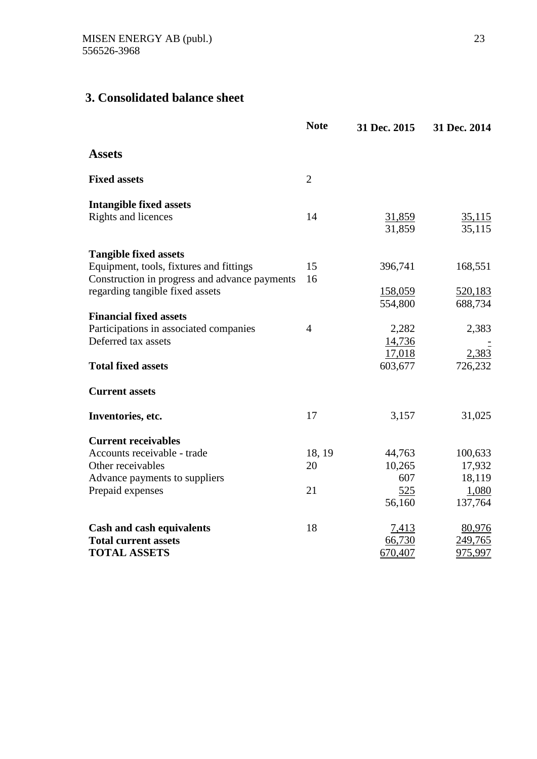## **3. Consolidated balance sheet**

|                                               | <b>Note</b>    | 31 Dec. 2015            | 31 Dec. 2014     |
|-----------------------------------------------|----------------|-------------------------|------------------|
| <b>Assets</b>                                 |                |                         |                  |
| <b>Fixed assets</b>                           | $\overline{2}$ |                         |                  |
| <b>Intangible fixed assets</b>                |                |                         |                  |
| Rights and licences                           | 14             | <u>31,859</u><br>31,859 | 35,115<br>35,115 |
| <b>Tangible fixed assets</b>                  |                |                         |                  |
| Equipment, tools, fixtures and fittings       | 15             | 396,741                 | 168,551          |
| Construction in progress and advance payments | 16             |                         |                  |
| regarding tangible fixed assets               |                | 158,059                 | 520,183          |
|                                               |                | 554,800                 | 688,734          |
| <b>Financial fixed assets</b>                 |                |                         |                  |
| Participations in associated companies        | $\overline{4}$ | 2,282                   | 2,383            |
| Deferred tax assets                           |                | 14,736                  |                  |
|                                               |                | 17,018                  | 2,383            |
| <b>Total fixed assets</b>                     |                | 603,677                 | 726,232          |
| <b>Current assets</b>                         |                |                         |                  |
| Inventories, etc.                             | 17             | 3,157                   | 31,025           |
| <b>Current receivables</b>                    |                |                         |                  |
| Accounts receivable - trade                   | 18, 19         | 44,763                  | 100,633          |
| Other receivables                             | 20             | 10,265                  | 17,932           |
| Advance payments to suppliers                 |                | 607                     | 18,119           |
| Prepaid expenses                              | 21             | 525                     | 1,080            |
|                                               |                | 56,160                  | 137,764          |
| <b>Cash and cash equivalents</b>              | 18             | 7,413                   | 80,976           |
| <b>Total current assets</b>                   |                | 66,730                  | 249,765          |
| <b>TOTAL ASSETS</b>                           |                | 670,407                 | <u>975,997</u>   |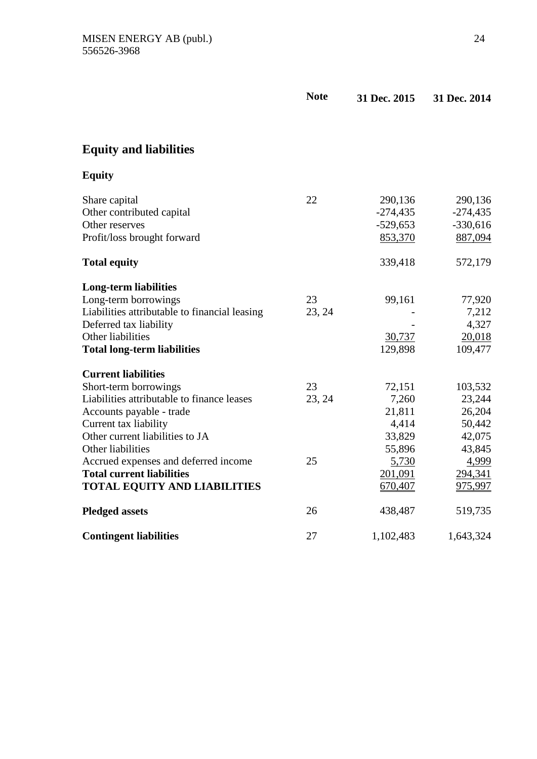|                                               | <b>Note</b> | 31 Dec. 2015 | 31 Dec. 2014 |
|-----------------------------------------------|-------------|--------------|--------------|
|                                               |             |              |              |
| <b>Equity and liabilities</b>                 |             |              |              |
| <b>Equity</b>                                 |             |              |              |
| Share capital                                 | 22          | 290,136      | 290,136      |
| Other contributed capital                     |             | $-274,435$   | $-274,435$   |
| Other reserves                                |             | $-529,653$   | $-330,616$   |
| Profit/loss brought forward                   |             | 853,370      | 887,094      |
| <b>Total equity</b>                           |             | 339,418      | 572,179      |
| <b>Long-term liabilities</b>                  |             |              |              |
| Long-term borrowings                          | 23          | 99,161       | 77,920       |
| Liabilities attributable to financial leasing | 23, 24      |              | 7,212        |
| Deferred tax liability                        |             |              | 4,327        |
| Other liabilities                             |             | 30,737       | 20,018       |
| <b>Total long-term liabilities</b>            |             | 129,898      | 109,477      |
| <b>Current liabilities</b>                    |             |              |              |
| Short-term borrowings                         | 23          | 72,151       | 103,532      |
| Liabilities attributable to finance leases    | 23, 24      | 7,260        | 23,244       |
| Accounts payable - trade                      |             | 21,811       | 26,204       |
| Current tax liability                         |             | 4,414        | 50,442       |
| Other current liabilities to JA               |             | 33,829       | 42,075       |
| Other liabilities                             |             | 55,896       | 43,845       |
| Accrued expenses and deferred income          | 25          | 5,730        | 4,999        |
| <b>Total current liabilities</b>              |             | 201,091      | 294,341      |
| TOTAL EQUITY AND LIABILITIES                  |             | 670,407      | 975,997      |
| <b>Pledged assets</b>                         | 26          | 438,487      | 519,735      |
| <b>Contingent liabilities</b>                 | 27          | 1,102,483    | 1,643,324    |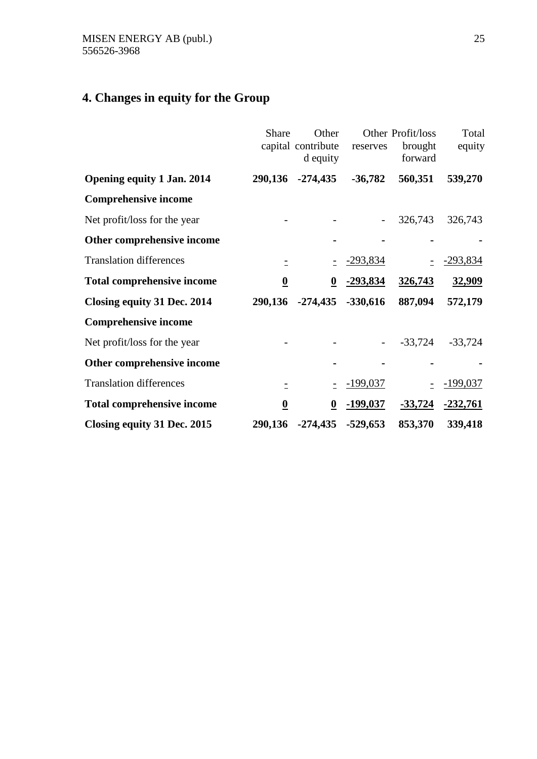# **4. Changes in equity for the Group**

|                                   | Share                   | Other<br>capital contribute<br>d equity | reserves        | Other Profit/loss<br>brought<br>forward | Total<br>equity |
|-----------------------------------|-------------------------|-----------------------------------------|-----------------|-----------------------------------------|-----------------|
| <b>Opening equity 1 Jan. 2014</b> | 290,136                 | $-274,435$                              | $-36,782$       | 560,351                                 | 539,270         |
| <b>Comprehensive income</b>       |                         |                                         |                 |                                         |                 |
| Net profit/loss for the year      |                         |                                         |                 | 326,743                                 | 326,743         |
| Other comprehensive income        |                         |                                         |                 |                                         |                 |
| <b>Translation differences</b>    | $\equiv$                |                                         | <u>-293,834</u> |                                         | <u>-293,834</u> |
| <b>Total comprehensive income</b> | $\overline{\mathbf{0}}$ | $\overline{\mathbf{0}}$                 | -293,834        | 326,743                                 | 32,909          |
| Closing equity 31 Dec. 2014       | 290,136                 | $-274,435$                              | $-330,616$      | 887,094                                 | 572,179         |
| <b>Comprehensive income</b>       |                         |                                         |                 |                                         |                 |
| Net profit/loss for the year      |                         |                                         |                 | $-33,724$                               | $-33,724$       |
| Other comprehensive income        |                         |                                         |                 |                                         |                 |
| <b>Translation differences</b>    | Ė.                      | $\overline{\phantom{a}}$                | $-199,037$      |                                         | $-199,037$      |
| <b>Total comprehensive income</b> | $\overline{\mathbf{0}}$ | $\overline{\mathbf{0}}$                 | $-199,037$      | $-33,724$                               | $-232,761$      |
| Closing equity 31 Dec. 2015       | 290,136                 | $-274,435$                              | $-529,653$      | 853,370                                 | 339,418         |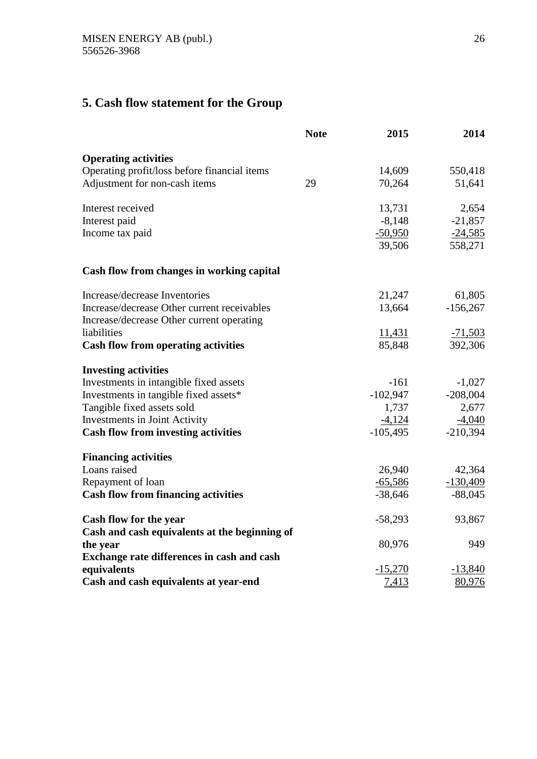# **5. Cash flow statement for the Group**

|                                               | <b>Note</b> | 2015       | 2014       |
|-----------------------------------------------|-------------|------------|------------|
| <b>Operating activities</b>                   |             |            |            |
| Operating profit/loss before financial items  |             | 14,609     | 550,418    |
| Adjustment for non-cash items                 | 29          | 70,264     | 51,641     |
| Interest received                             |             | 13,731     | 2,654      |
| Interest paid                                 |             | $-8,148$   | $-21,857$  |
| Income tax paid                               |             | $-50,950$  | $-24,585$  |
|                                               |             | 39,506     | 558,271    |
| Cash flow from changes in working capital     |             |            |            |
| Increase/decrease Inventories                 |             | 21,247     | 61,805     |
| Increase/decrease Other current receivables   |             | 13,664     | $-156,267$ |
| Increase/decrease Other current operating     |             |            |            |
| liabilities                                   |             | 11,431     | $-71,503$  |
| <b>Cash flow from operating activities</b>    |             | 85,848     | 392,306    |
| <b>Investing activities</b>                   |             |            |            |
| Investments in intangible fixed assets        |             | $-161$     | $-1,027$   |
| Investments in tangible fixed assets*         |             | $-102,947$ | $-208,004$ |
| Tangible fixed assets sold                    |             | 1,737      | 2,677      |
| Investments in Joint Activity                 |             | $-4,124$   | $-4,040$   |
| <b>Cash flow from investing activities</b>    |             | $-105,495$ | $-210,394$ |
| <b>Financing activities</b>                   |             |            |            |
| Loans raised                                  |             | 26,940     | 42,364     |
| Repayment of loan                             |             | $-65,586$  | $-130,409$ |
| <b>Cash flow from financing activities</b>    |             | $-38,646$  | $-88,045$  |
| Cash flow for the year                        |             | $-58,293$  | 93,867     |
| Cash and cash equivalents at the beginning of |             |            |            |
| the year                                      |             | 80,976     | 949        |
| Exchange rate differences in cash and cash    |             |            |            |
| equivalents                                   |             | $-15,270$  | $-13,840$  |
| Cash and cash equivalents at year-end         |             | 7,413      | 80,976     |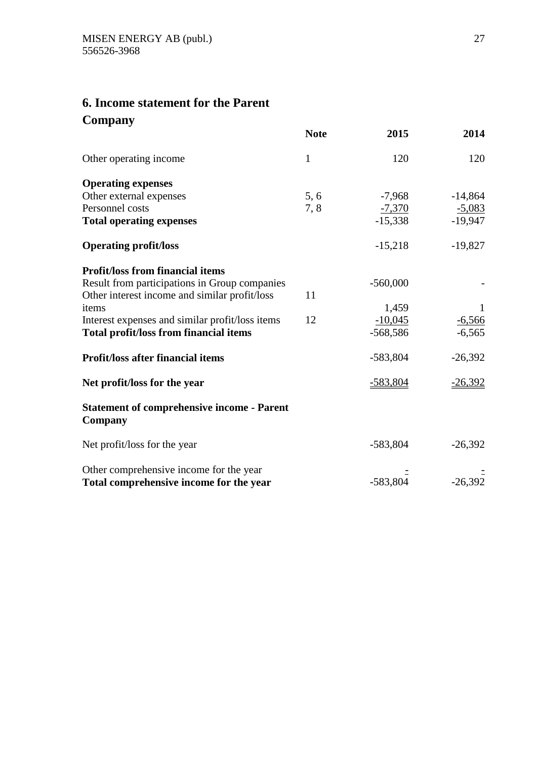## **6. Income statement for the Parent Company**

|                                                              | <b>Note</b>  | 2015       | 2014      |
|--------------------------------------------------------------|--------------|------------|-----------|
| Other operating income                                       | $\mathbf{1}$ | 120        | 120       |
| <b>Operating expenses</b>                                    |              |            |           |
| Other external expenses                                      | 5,6          | $-7,968$   | $-14,864$ |
| Personnel costs                                              | 7,8          | $-7,370$   | $-5,083$  |
| <b>Total operating expenses</b>                              |              | $-15,338$  | $-19,947$ |
| <b>Operating profit/loss</b>                                 |              | $-15,218$  | $-19,827$ |
| <b>Profit/loss from financial items</b>                      |              |            |           |
| Result from participations in Group companies                |              | $-560,000$ |           |
| Other interest income and similar profit/loss                | 11           |            |           |
| items                                                        |              | 1,459      |           |
| Interest expenses and similar profit/loss items              | 12           | $-10,045$  | $-6,566$  |
| <b>Total profit/loss from financial items</b>                |              | $-568,586$ | $-6,565$  |
| <b>Profit/loss after financial items</b>                     |              | $-583,804$ | $-26,392$ |
| Net profit/loss for the year                                 |              | $-583,804$ | $-26,392$ |
| <b>Statement of comprehensive income - Parent</b><br>Company |              |            |           |
| Net profit/loss for the year                                 |              | $-583,804$ | $-26,392$ |
| Other comprehensive income for the year                      |              |            |           |
| Total comprehensive income for the year                      |              | $-583,804$ | $-26,392$ |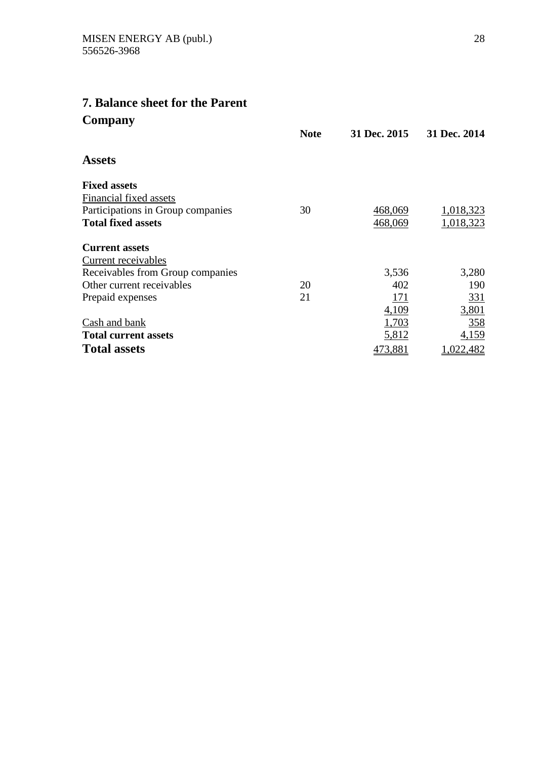## **7. Balance sheet for the Parent Company**

|                                   | <b>Note</b> | 31 Dec. 2015 | 31 Dec. 2014 |
|-----------------------------------|-------------|--------------|--------------|
| <b>Assets</b>                     |             |              |              |
| <b>Fixed assets</b>               |             |              |              |
| Financial fixed assets            |             |              |              |
| Participations in Group companies | 30          | 468,069      | 1,018,323    |
| <b>Total fixed assets</b>         |             | 468,069      | 1,018,323    |
| <b>Current assets</b>             |             |              |              |
| Current receivables               |             |              |              |
| Receivables from Group companies  |             | 3,536        | 3,280        |
| Other current receivables         | 20          | 402          | 190          |
| Prepaid expenses                  | 21          | <u>171</u>   | <u>331</u>   |
|                                   |             | 4,109        | 3,801        |
| Cash and bank                     |             | 1,703        | 358          |
| <b>Total current assets</b>       |             | 5,812        | 4,159        |
| <b>Total assets</b>               |             | 473,881      | 1,022,482    |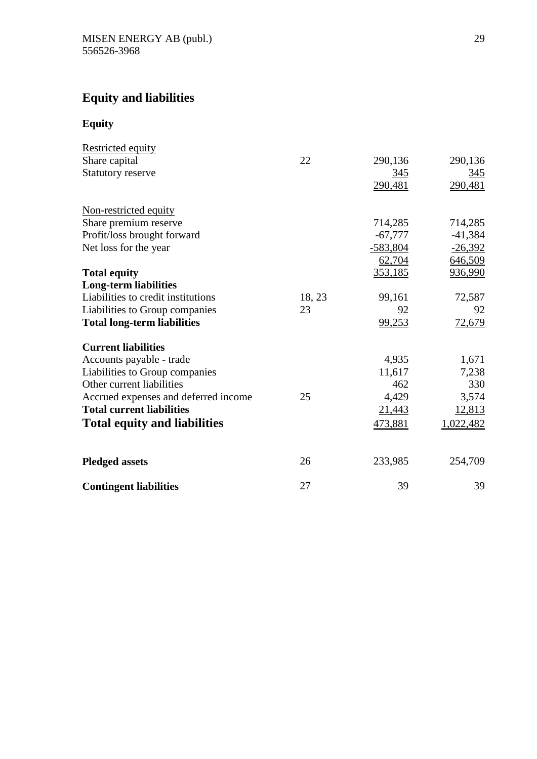# **Equity and liabilities**

**Equity**

| <b>Restricted equity</b>             |        |            |            |
|--------------------------------------|--------|------------|------------|
| Share capital                        | 22     | 290,136    | 290,136    |
| <b>Statutory reserve</b>             |        | 345        | <u>345</u> |
|                                      |        | 290,481    | 290,481    |
| Non-restricted equity                |        |            |            |
| Share premium reserve                |        | 714,285    | 714,285    |
| Profit/loss brought forward          |        | $-67,777$  | $-41,384$  |
| Net loss for the year                |        | $-583,804$ | $-26,392$  |
|                                      |        | 62,704     | 646,509    |
| <b>Total equity</b>                  |        | 353,185    | 936,990    |
| <b>Long-term liabilities</b>         |        |            |            |
| Liabilities to credit institutions   | 18, 23 | 99,161     | 72,587     |
| Liabilities to Group companies       | 23     | 92         | 92         |
| <b>Total long-term liabilities</b>   |        | 99,253     | 72,679     |
| <b>Current liabilities</b>           |        |            |            |
| Accounts payable - trade             |        | 4,935      | 1,671      |
| Liabilities to Group companies       |        | 11,617     | 7,238      |
| Other current liabilities            |        | 462        | 330        |
| Accrued expenses and deferred income | 25     | 4,429      | 3,574      |
| <b>Total current liabilities</b>     |        | 21,443     | 12,813     |
| <b>Total equity and liabilities</b>  |        | 473,881    | 1,022,482  |
| <b>Pledged assets</b>                | 26     | 233,985    | 254,709    |
| <b>Contingent liabilities</b>        | 27     | 39         | 39         |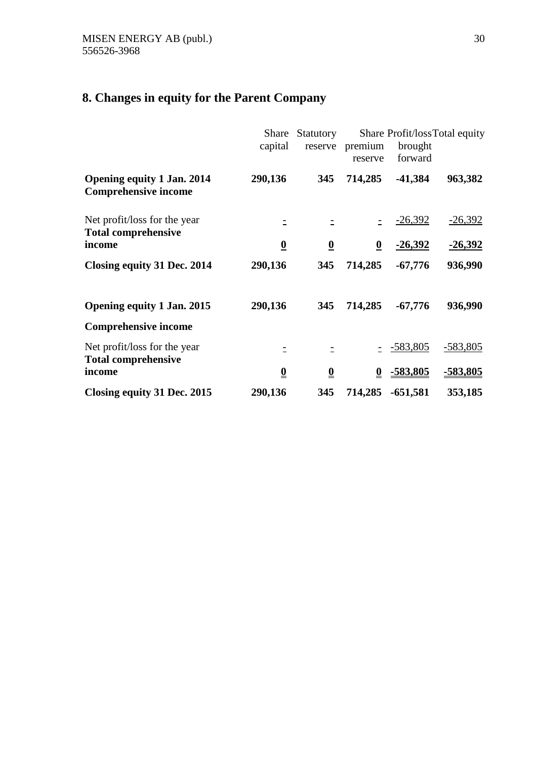# **8. Changes in equity for the Parent Company**

|                                                                  | Share<br>capital        | Statutory<br>reserve     | premium<br>reserve      | brought<br>forward | Share Profit/lossTotal equity |
|------------------------------------------------------------------|-------------------------|--------------------------|-------------------------|--------------------|-------------------------------|
| <b>Opening equity 1 Jan. 2014</b><br><b>Comprehensive income</b> | 290,136                 | 345                      | 714,285                 | $-41,384$          | 963,382                       |
| Net profit/loss for the year<br><b>Total comprehensive</b>       |                         |                          |                         | $-26,392$          | $-26,392$                     |
| income                                                           | $\overline{\mathbf{0}}$ | $\overline{\mathbf{0}}$  | $\boldsymbol{0}$        | <u>-26,392</u>     | $-26,392$                     |
| Closing equity 31 Dec. 2014                                      | 290,136                 | 345                      | 714,285                 | $-67,776$          | 936,990                       |
| <b>Opening equity 1 Jan. 2015</b>                                | 290,136                 | 345                      | 714,285                 | $-67,776$          | 936,990                       |
| <b>Comprehensive income</b>                                      |                         |                          |                         |                    |                               |
| Net profit/loss for the year<br><b>Total comprehensive</b>       |                         |                          |                         | $-583,805$         | $-583,805$                    |
| income                                                           | $\overline{\mathbf{0}}$ | $\underline{\mathbf{0}}$ | $\overline{\mathbf{0}}$ | <u>-583,805</u>    | <u>-583,805</u>               |
| Closing equity 31 Dec. 2015                                      | 290,136                 | 345                      | 714,285                 | $-651,581$         | 353,185                       |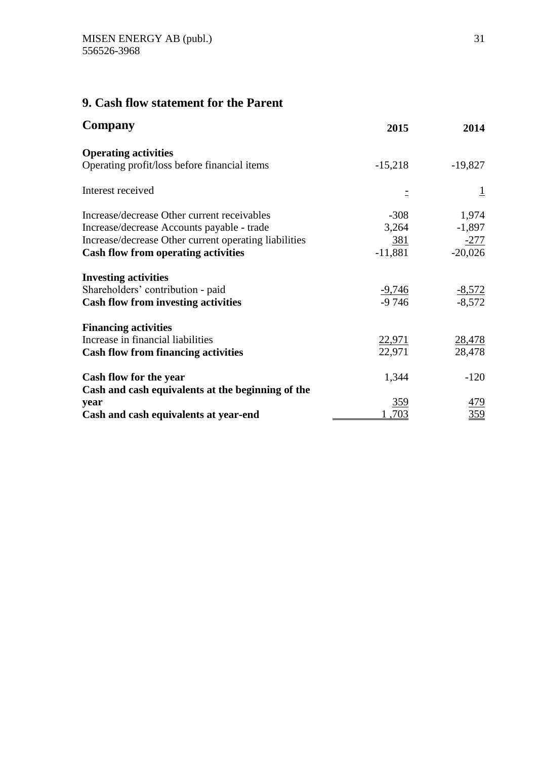## **9. Cash flow statement for the Parent**

| Company                                               | 2015                    | 2014                    |
|-------------------------------------------------------|-------------------------|-------------------------|
| <b>Operating activities</b>                           |                         |                         |
| Operating profit/loss before financial items          | $-15,218$               | $-19,827$               |
| Interest received                                     |                         | $\perp$                 |
| Increase/decrease Other current receivables           | $-308$                  | 1,974                   |
| Increase/decrease Accounts payable - trade            | 3,264                   | $-1,897$                |
| Increase/decrease Other current operating liabilities | 381                     | $-277$                  |
| <b>Cash flow from operating activities</b>            | $-11,881$               | $-20,026$               |
| <b>Investing activities</b>                           |                         |                         |
| Shareholders' contribution - paid                     | <u>-9,746</u>           |                         |
| <b>Cash flow from investing activities</b>            | $-9746$                 | $\frac{-8,572}{-8,572}$ |
| <b>Financing activities</b>                           |                         |                         |
| Increase in financial liabilities                     |                         |                         |
| <b>Cash flow from financing activities</b>            | $\frac{22,971}{22,971}$ | $\frac{28,478}{28,478}$ |
| Cash flow for the year                                | 1,344                   | $-120$                  |
| Cash and cash equivalents at the beginning of the     |                         |                         |
| year                                                  | 359                     | <u>479</u>              |
| Cash and cash equivalents at year-end                 | 703                     | 359                     |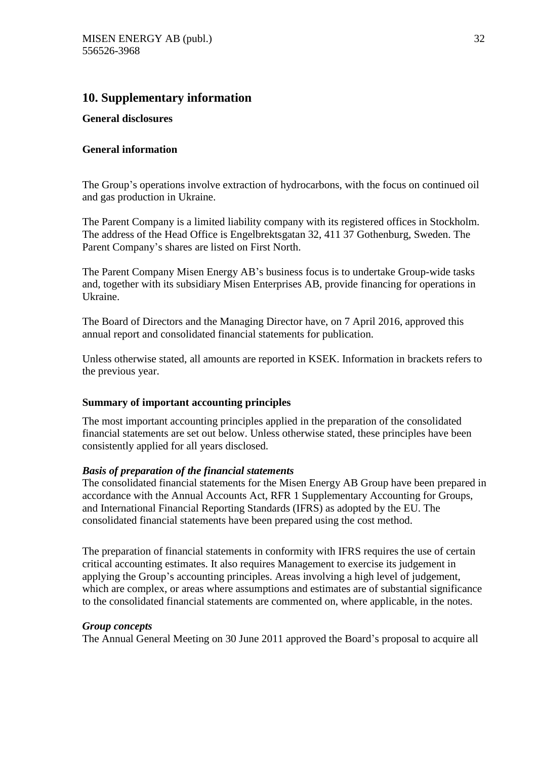### **10. Supplementary information**

#### **General disclosures**

#### **General information**

The Group's operations involve extraction of hydrocarbons, with the focus on continued oil and gas production in Ukraine.

The Parent Company is a limited liability company with its registered offices in Stockholm. The address of the Head Office is Engelbrektsgatan 32, 411 37 Gothenburg, Sweden. The Parent Company's shares are listed on First North.

The Parent Company Misen Energy AB's business focus is to undertake Group-wide tasks and, together with its subsidiary Misen Enterprises AB, provide financing for operations in Ukraine.

The Board of Directors and the Managing Director have, on 7 April 2016, approved this annual report and consolidated financial statements for publication.

Unless otherwise stated, all amounts are reported in KSEK. Information in brackets refers to the previous year.

#### **Summary of important accounting principles**

The most important accounting principles applied in the preparation of the consolidated financial statements are set out below. Unless otherwise stated, these principles have been consistently applied for all years disclosed.

#### *Basis of preparation of the financial statements*

The consolidated financial statements for the Misen Energy AB Group have been prepared in accordance with the Annual Accounts Act, RFR 1 Supplementary Accounting for Groups, and International Financial Reporting Standards (IFRS) as adopted by the EU. The consolidated financial statements have been prepared using the cost method.

The preparation of financial statements in conformity with IFRS requires the use of certain critical accounting estimates. It also requires Management to exercise its judgement in applying the Group's accounting principles. Areas involving a high level of judgement, which are complex, or areas where assumptions and estimates are of substantial significance to the consolidated financial statements are commented on, where applicable, in the notes.

#### *Group concepts*

The Annual General Meeting on 30 June 2011 approved the Board's proposal to acquire all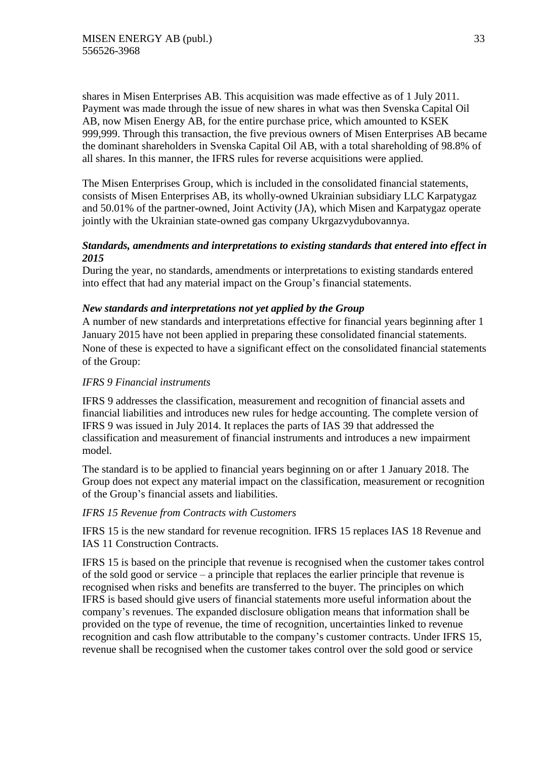shares in Misen Enterprises AB. This acquisition was made effective as of 1 July 2011. Payment was made through the issue of new shares in what was then Svenska Capital Oil AB, now Misen Energy AB, for the entire purchase price, which amounted to KSEK 999,999. Through this transaction, the five previous owners of Misen Enterprises AB became the dominant shareholders in Svenska Capital Oil AB, with a total shareholding of 98.8% of all shares. In this manner, the IFRS rules for reverse acquisitions were applied.

The Misen Enterprises Group, which is included in the consolidated financial statements, consists of Misen Enterprises AB, its wholly-owned Ukrainian subsidiary LLC Karpatygaz and 50.01% of the partner-owned, Joint Activity (JA), which Misen and Karpatygaz operate jointly with the Ukrainian state-owned gas company Ukrgazvydubovannya.

#### *Standards, amendments and interpretations to existing standards that entered into effect in 2015*

During the year, no standards, amendments or interpretations to existing standards entered into effect that had any material impact on the Group's financial statements.

#### *New standards and interpretations not yet applied by the Group*

A number of new standards and interpretations effective for financial years beginning after 1 January 2015 have not been applied in preparing these consolidated financial statements. None of these is expected to have a significant effect on the consolidated financial statements of the Group:

#### *IFRS 9 Financial instruments*

IFRS 9 addresses the classification, measurement and recognition of financial assets and financial liabilities and introduces new rules for hedge accounting. The complete version of IFRS 9 was issued in July 2014. It replaces the parts of IAS 39 that addressed the classification and measurement of financial instruments and introduces a new impairment model.

The standard is to be applied to financial years beginning on or after 1 January 2018. The Group does not expect any material impact on the classification, measurement or recognition of the Group's financial assets and liabilities.

#### *IFRS 15 Revenue from Contracts with Customers*

IFRS 15 is the new standard for revenue recognition. IFRS 15 replaces IAS 18 Revenue and IAS 11 Construction Contracts.

IFRS 15 is based on the principle that revenue is recognised when the customer takes control of the sold good or service – a principle that replaces the earlier principle that revenue is recognised when risks and benefits are transferred to the buyer. The principles on which IFRS is based should give users of financial statements more useful information about the company's revenues. The expanded disclosure obligation means that information shall be provided on the type of revenue, the time of recognition, uncertainties linked to revenue recognition and cash flow attributable to the company's customer contracts. Under IFRS 15, revenue shall be recognised when the customer takes control over the sold good or service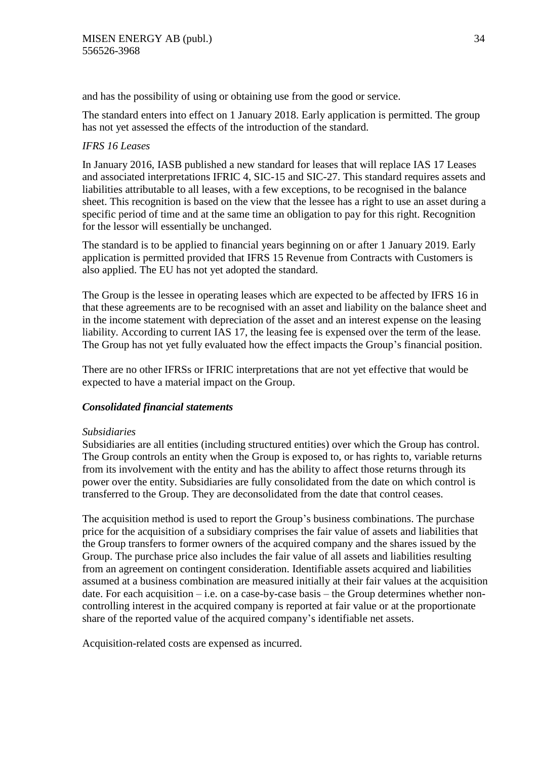and has the possibility of using or obtaining use from the good or service.

The standard enters into effect on 1 January 2018. Early application is permitted. The group has not yet assessed the effects of the introduction of the standard.

#### *IFRS 16 Leases*

In January 2016, IASB published a new standard for leases that will replace IAS 17 Leases and associated interpretations IFRIC 4, SIC-15 and SIC-27. This standard requires assets and liabilities attributable to all leases, with a few exceptions, to be recognised in the balance sheet. This recognition is based on the view that the lessee has a right to use an asset during a specific period of time and at the same time an obligation to pay for this right. Recognition for the lessor will essentially be unchanged.

The standard is to be applied to financial years beginning on or after 1 January 2019. Early application is permitted provided that IFRS 15 Revenue from Contracts with Customers is also applied. The EU has not yet adopted the standard.

The Group is the lessee in operating leases which are expected to be affected by IFRS 16 in that these agreements are to be recognised with an asset and liability on the balance sheet and in the income statement with depreciation of the asset and an interest expense on the leasing liability. According to current IAS 17, the leasing fee is expensed over the term of the lease. The Group has not yet fully evaluated how the effect impacts the Group's financial position.

There are no other IFRSs or IFRIC interpretations that are not yet effective that would be expected to have a material impact on the Group.

#### *Consolidated financial statements*

#### *Subsidiaries*

Subsidiaries are all entities (including structured entities) over which the Group has control. The Group controls an entity when the Group is exposed to, or has rights to, variable returns from its involvement with the entity and has the ability to affect those returns through its power over the entity. Subsidiaries are fully consolidated from the date on which control is transferred to the Group. They are deconsolidated from the date that control ceases.

The acquisition method is used to report the Group's business combinations. The purchase price for the acquisition of a subsidiary comprises the fair value of assets and liabilities that the Group transfers to former owners of the acquired company and the shares issued by the Group. The purchase price also includes the fair value of all assets and liabilities resulting from an agreement on contingent consideration. Identifiable assets acquired and liabilities assumed at a business combination are measured initially at their fair values at the acquisition date. For each acquisition  $-$  i.e. on a case-by-case basis  $-$  the Group determines whether noncontrolling interest in the acquired company is reported at fair value or at the proportionate share of the reported value of the acquired company's identifiable net assets.

Acquisition-related costs are expensed as incurred.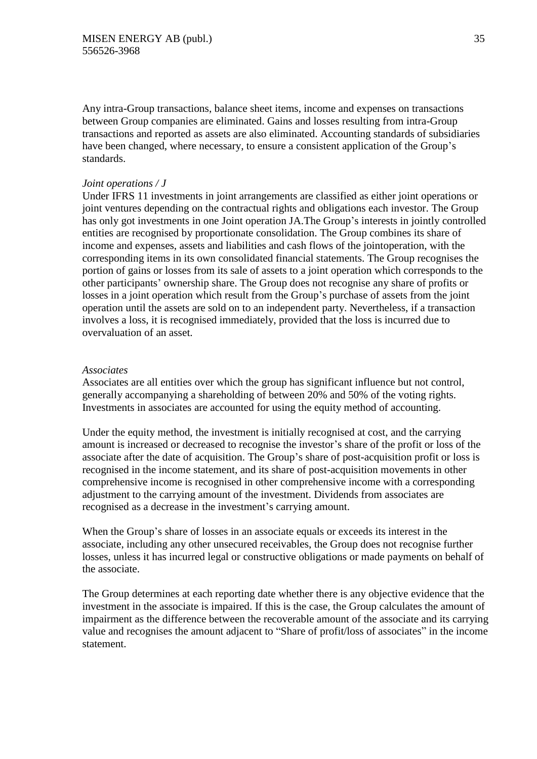Any intra-Group transactions, balance sheet items, income and expenses on transactions between Group companies are eliminated. Gains and losses resulting from intra-Group transactions and reported as assets are also eliminated. Accounting standards of subsidiaries have been changed, where necessary, to ensure a consistent application of the Group's standards.

#### *Joint operations / J*

Under IFRS 11 investments in joint arrangements are classified as either joint operations or joint ventures depending on the contractual rights and obligations each investor. The Group has only got investments in one Joint operation JA.The Group's interests in jointly controlled entities are recognised by proportionate consolidation. The Group combines its share of income and expenses, assets and liabilities and cash flows of the jointoperation, with the corresponding items in its own consolidated financial statements. The Group recognises the portion of gains or losses from its sale of assets to a joint operation which corresponds to the other participants' ownership share. The Group does not recognise any share of profits or losses in a joint operation which result from the Group's purchase of assets from the joint operation until the assets are sold on to an independent party. Nevertheless, if a transaction involves a loss, it is recognised immediately, provided that the loss is incurred due to overvaluation of an asset.

#### *Associates*

Associates are all entities over which the group has significant influence but not control, generally accompanying a shareholding of between 20% and 50% of the voting rights. Investments in associates are accounted for using the equity method of accounting.

Under the equity method, the investment is initially recognised at cost, and the carrying amount is increased or decreased to recognise the investor's share of the profit or loss of the associate after the date of acquisition. The Group's share of post-acquisition profit or loss is recognised in the income statement, and its share of post-acquisition movements in other comprehensive income is recognised in other comprehensive income with a corresponding adjustment to the carrying amount of the investment. Dividends from associates are recognised as a decrease in the investment's carrying amount.

When the Group's share of losses in an associate equals or exceeds its interest in the associate, including any other unsecured receivables, the Group does not recognise further losses, unless it has incurred legal or constructive obligations or made payments on behalf of the associate.

The Group determines at each reporting date whether there is any objective evidence that the investment in the associate is impaired. If this is the case, the Group calculates the amount of impairment as the difference between the recoverable amount of the associate and its carrying value and recognises the amount adjacent to "Share of profit/loss of associates" in the income statement.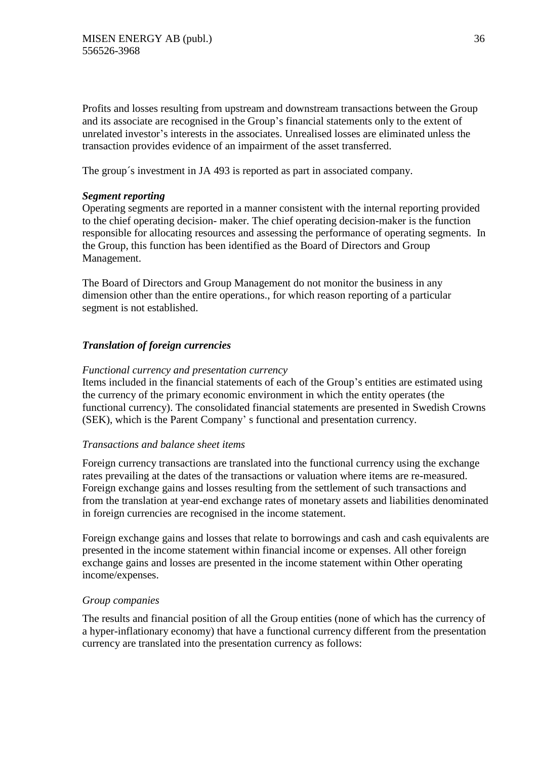Profits and losses resulting from upstream and downstream transactions between the Group and its associate are recognised in the Group's financial statements only to the extent of unrelated investor's interests in the associates. Unrealised losses are eliminated unless the transaction provides evidence of an impairment of the asset transferred.

The group´s investment in JA 493 is reported as part in associated company.

#### *Segment reporting*

Operating segments are reported in a manner consistent with the internal reporting provided to the chief operating decision- maker. The chief operating decision-maker is the function responsible for allocating resources and assessing the performance of operating segments. In the Group, this function has been identified as the Board of Directors and Group Management.

The Board of Directors and Group Management do not monitor the business in any dimension other than the entire operations., for which reason reporting of a particular segment is not established.

#### *Translation of foreign currencies*

#### *Functional currency and presentation currency*

Items included in the financial statements of each of the Group's entities are estimated using the currency of the primary economic environment in which the entity operates (the functional currency). The consolidated financial statements are presented in Swedish Crowns (SEK), which is the Parent Company' s functional and presentation currency.

#### *Transactions and balance sheet items*

Foreign currency transactions are translated into the functional currency using the exchange rates prevailing at the dates of the transactions or valuation where items are re-measured. Foreign exchange gains and losses resulting from the settlement of such transactions and from the translation at year-end exchange rates of monetary assets and liabilities denominated in foreign currencies are recognised in the income statement.

Foreign exchange gains and losses that relate to borrowings and cash and cash equivalents are presented in the income statement within financial income or expenses. All other foreign exchange gains and losses are presented in the income statement within Other operating income/expenses.

#### *Group companies*

The results and financial position of all the Group entities (none of which has the currency of a hyper-inflationary economy) that have a functional currency different from the presentation currency are translated into the presentation currency as follows: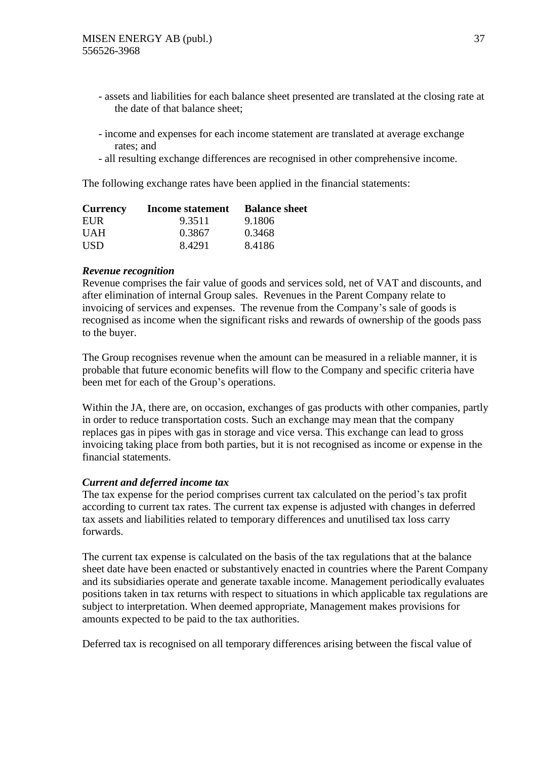- assets and liabilities for each balance sheet presented are translated at the closing rate at the date of that balance sheet;
- income and expenses for each income statement are translated at average exchange rates; and
- all resulting exchange differences are recognised in other comprehensive income.

The following exchange rates have been applied in the financial statements:

| <b>Currency</b> | Income statement | <b>Balance sheet</b> |
|-----------------|------------------|----------------------|
| EUR.            | 9.3511           | 9.1806               |
| <b>UAH</b>      | 0.3867           | 0.3468               |
| <b>USD</b>      | 8.4291           | 8.4186               |

### *Revenue recognition*

Revenue comprises the fair value of goods and services sold, net of VAT and discounts, and after elimination of internal Group sales. Revenues in the Parent Company relate to invoicing of services and expenses. The revenue from the Company's sale of goods is recognised as income when the significant risks and rewards of ownership of the goods pass to the buyer.

The Group recognises revenue when the amount can be measured in a reliable manner, it is probable that future economic benefits will flow to the Company and specific criteria have been met for each of the Group's operations.

Within the JA, there are, on occasion, exchanges of gas products with other companies, partly in order to reduce transportation costs. Such an exchange may mean that the company replaces gas in pipes with gas in storage and vice versa. This exchange can lead to gross invoicing taking place from both parties, but it is not recognised as income or expense in the financial statements.

### *Current and deferred income tax*

The tax expense for the period comprises current tax calculated on the period's tax profit according to current tax rates. The current tax expense is adjusted with changes in deferred tax assets and liabilities related to temporary differences and unutilised tax loss carry forwards.

The current tax expense is calculated on the basis of the tax regulations that at the balance sheet date have been enacted or substantively enacted in countries where the Parent Company and its subsidiaries operate and generate taxable income. Management periodically evaluates positions taken in tax returns with respect to situations in which applicable tax regulations are subject to interpretation. When deemed appropriate, Management makes provisions for amounts expected to be paid to the tax authorities.

Deferred tax is recognised on all temporary differences arising between the fiscal value of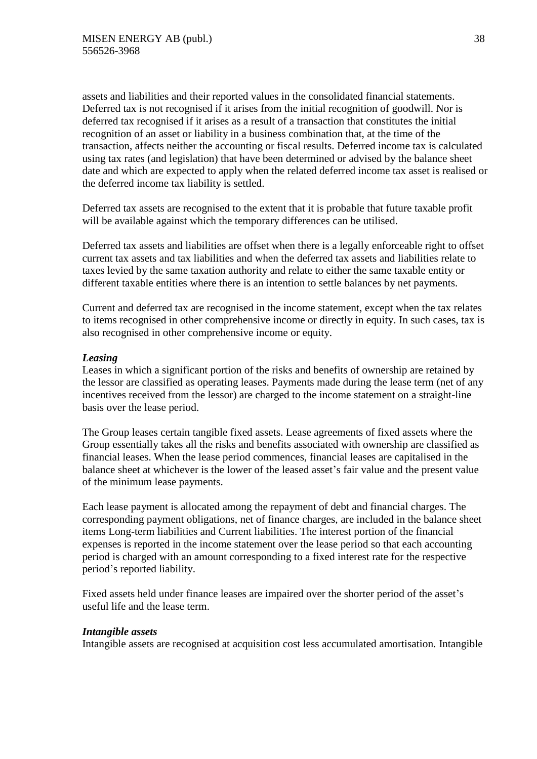assets and liabilities and their reported values in the consolidated financial statements. Deferred tax is not recognised if it arises from the initial recognition of goodwill. Nor is deferred tax recognised if it arises as a result of a transaction that constitutes the initial recognition of an asset or liability in a business combination that, at the time of the transaction, affects neither the accounting or fiscal results. Deferred income tax is calculated using tax rates (and legislation) that have been determined or advised by the balance sheet date and which are expected to apply when the related deferred income tax asset is realised or the deferred income tax liability is settled.

Deferred tax assets are recognised to the extent that it is probable that future taxable profit will be available against which the temporary differences can be utilised.

Deferred tax assets and liabilities are offset when there is a legally enforceable right to offset current tax assets and tax liabilities and when the deferred tax assets and liabilities relate to taxes levied by the same taxation authority and relate to either the same taxable entity or different taxable entities where there is an intention to settle balances by net payments.

Current and deferred tax are recognised in the income statement, except when the tax relates to items recognised in other comprehensive income or directly in equity. In such cases, tax is also recognised in other comprehensive income or equity.

### *Leasing*

Leases in which a significant portion of the risks and benefits of ownership are retained by the lessor are classified as operating leases. Payments made during the lease term (net of any incentives received from the lessor) are charged to the income statement on a straight-line basis over the lease period.

The Group leases certain tangible fixed assets. Lease agreements of fixed assets where the Group essentially takes all the risks and benefits associated with ownership are classified as financial leases. When the lease period commences, financial leases are capitalised in the balance sheet at whichever is the lower of the leased asset's fair value and the present value of the minimum lease payments.

Each lease payment is allocated among the repayment of debt and financial charges. The corresponding payment obligations, net of finance charges, are included in the balance sheet items Long-term liabilities and Current liabilities. The interest portion of the financial expenses is reported in the income statement over the lease period so that each accounting period is charged with an amount corresponding to a fixed interest rate for the respective period's reported liability.

Fixed assets held under finance leases are impaired over the shorter period of the asset's useful life and the lease term.

#### *Intangible assets*

Intangible assets are recognised at acquisition cost less accumulated amortisation. Intangible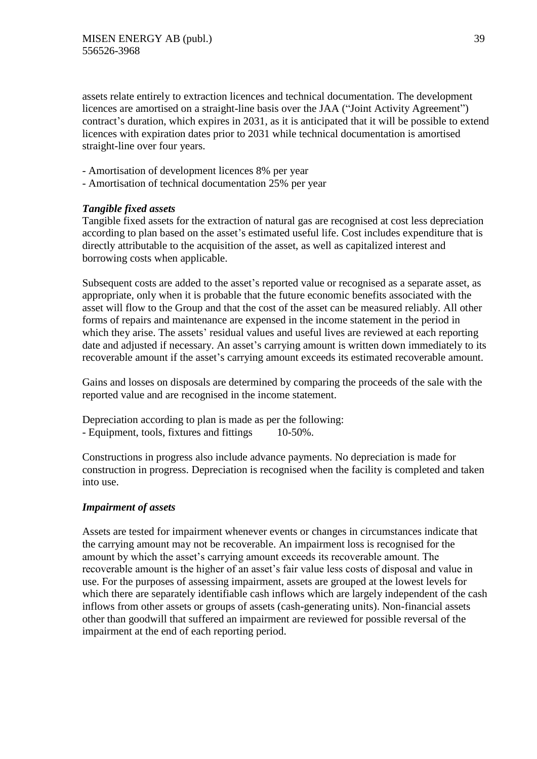assets relate entirely to extraction licences and technical documentation. The development licences are amortised on a straight-line basis over the JAA ("Joint Activity Agreement") contract's duration, which expires in 2031, as it is anticipated that it will be possible to extend licences with expiration dates prior to 2031 while technical documentation is amortised straight-line over four years.

- Amortisation of development licences 8% per year
- Amortisation of technical documentation 25% per year

### *Tangible fixed assets*

Tangible fixed assets for the extraction of natural gas are recognised at cost less depreciation according to plan based on the asset's estimated useful life. Cost includes expenditure that is directly attributable to the acquisition of the asset, as well as capitalized interest and borrowing costs when applicable.

Subsequent costs are added to the asset's reported value or recognised as a separate asset, as appropriate, only when it is probable that the future economic benefits associated with the asset will flow to the Group and that the cost of the asset can be measured reliably. All other forms of repairs and maintenance are expensed in the income statement in the period in which they arise. The assets' residual values and useful lives are reviewed at each reporting date and adjusted if necessary. An asset's carrying amount is written down immediately to its recoverable amount if the asset's carrying amount exceeds its estimated recoverable amount.

Gains and losses on disposals are determined by comparing the proceeds of the sale with the reported value and are recognised in the income statement.

Depreciation according to plan is made as per the following: - Equipment, tools, fixtures and fittings 10-50%.

Constructions in progress also include advance payments. No depreciation is made for construction in progress. Depreciation is recognised when the facility is completed and taken into use.

### *Impairment of assets*

Assets are tested for impairment whenever events or changes in circumstances indicate that the carrying amount may not be recoverable. An impairment loss is recognised for the amount by which the asset's carrying amount exceeds its recoverable amount. The recoverable amount is the higher of an asset's fair value less costs of disposal and value in use. For the purposes of assessing impairment, assets are grouped at the lowest levels for which there are separately identifiable cash inflows which are largely independent of the cash inflows from other assets or groups of assets (cash-generating units). Non-financial assets other than goodwill that suffered an impairment are reviewed for possible reversal of the impairment at the end of each reporting period.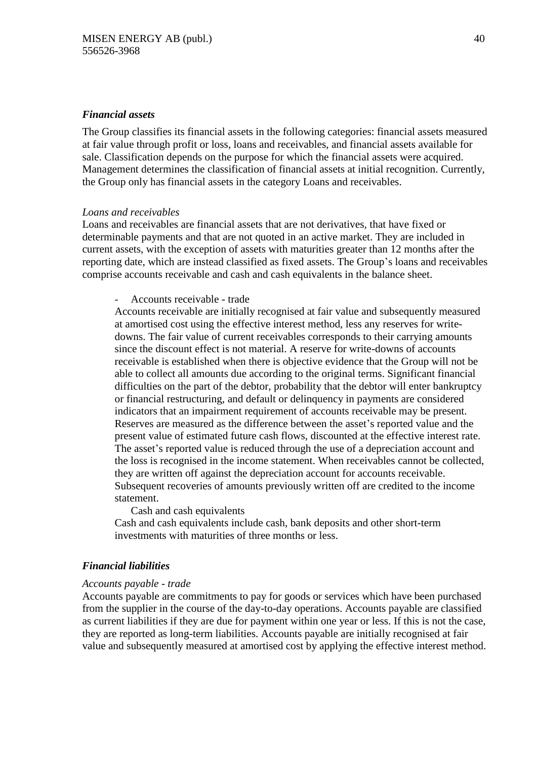### *Financial assets*

The Group classifies its financial assets in the following categories: financial assets measured at fair value through profit or loss, loans and receivables, and financial assets available for sale. Classification depends on the purpose for which the financial assets were acquired. Management determines the classification of financial assets at initial recognition. Currently, the Group only has financial assets in the category Loans and receivables.

#### *Loans and receivables*

Loans and receivables are financial assets that are not derivatives, that have fixed or determinable payments and that are not quoted in an active market. They are included in current assets, with the exception of assets with maturities greater than 12 months after the reporting date, which are instead classified as fixed assets. The Group's loans and receivables comprise accounts receivable and cash and cash equivalents in the balance sheet.

### - Accounts receivable - trade

Accounts receivable are initially recognised at fair value and subsequently measured at amortised cost using the effective interest method, less any reserves for writedowns. The fair value of current receivables corresponds to their carrying amounts since the discount effect is not material. A reserve for write-downs of accounts receivable is established when there is objective evidence that the Group will not be able to collect all amounts due according to the original terms. Significant financial difficulties on the part of the debtor, probability that the debtor will enter bankruptcy or financial restructuring, and default or delinquency in payments are considered indicators that an impairment requirement of accounts receivable may be present. Reserves are measured as the difference between the asset's reported value and the present value of estimated future cash flows, discounted at the effective interest rate. The asset's reported value is reduced through the use of a depreciation account and the loss is recognised in the income statement. When receivables cannot be collected, they are written off against the depreciation account for accounts receivable. Subsequent recoveries of amounts previously written off are credited to the income statement.

Cash and cash equivalents

Cash and cash equivalents include cash, bank deposits and other short-term investments with maturities of three months or less.

### *Financial liabilities*

#### *Accounts payable - trade*

Accounts payable are commitments to pay for goods or services which have been purchased from the supplier in the course of the day-to-day operations. Accounts payable are classified as current liabilities if they are due for payment within one year or less. If this is not the case, they are reported as long-term liabilities. Accounts payable are initially recognised at fair value and subsequently measured at amortised cost by applying the effective interest method.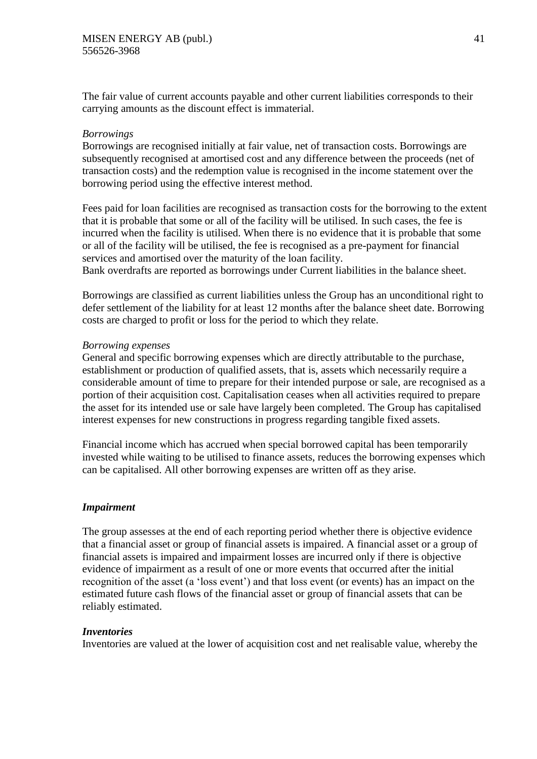The fair value of current accounts payable and other current liabilities corresponds to their carrying amounts as the discount effect is immaterial.

### *Borrowings*

Borrowings are recognised initially at fair value, net of transaction costs. Borrowings are subsequently recognised at amortised cost and any difference between the proceeds (net of transaction costs) and the redemption value is recognised in the income statement over the borrowing period using the effective interest method.

Fees paid for loan facilities are recognised as transaction costs for the borrowing to the extent that it is probable that some or all of the facility will be utilised. In such cases, the fee is incurred when the facility is utilised. When there is no evidence that it is probable that some or all of the facility will be utilised, the fee is recognised as a pre-payment for financial services and amortised over the maturity of the loan facility.

Bank overdrafts are reported as borrowings under Current liabilities in the balance sheet.

Borrowings are classified as current liabilities unless the Group has an unconditional right to defer settlement of the liability for at least 12 months after the balance sheet date. Borrowing costs are charged to profit or loss for the period to which they relate.

### *Borrowing expenses*

General and specific borrowing expenses which are directly attributable to the purchase, establishment or production of qualified assets, that is, assets which necessarily require a considerable amount of time to prepare for their intended purpose or sale, are recognised as a portion of their acquisition cost. Capitalisation ceases when all activities required to prepare the asset for its intended use or sale have largely been completed. The Group has capitalised interest expenses for new constructions in progress regarding tangible fixed assets.

Financial income which has accrued when special borrowed capital has been temporarily invested while waiting to be utilised to finance assets, reduces the borrowing expenses which can be capitalised. All other borrowing expenses are written off as they arise.

### *Impairment*

The group assesses at the end of each reporting period whether there is objective evidence that a financial asset or group of financial assets is impaired. A financial asset or a group of financial assets is impaired and impairment losses are incurred only if there is objective evidence of impairment as a result of one or more events that occurred after the initial recognition of the asset (a 'loss event') and that loss event (or events) has an impact on the estimated future cash flows of the financial asset or group of financial assets that can be reliably estimated.

### *Inventories*

Inventories are valued at the lower of acquisition cost and net realisable value, whereby the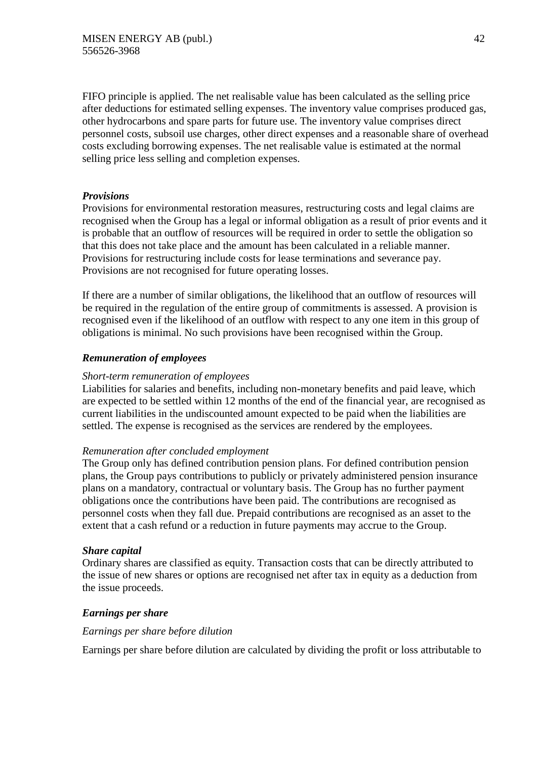FIFO principle is applied. The net realisable value has been calculated as the selling price after deductions for estimated selling expenses. The inventory value comprises produced gas, other hydrocarbons and spare parts for future use. The inventory value comprises direct personnel costs, subsoil use charges, other direct expenses and a reasonable share of overhead costs excluding borrowing expenses. The net realisable value is estimated at the normal selling price less selling and completion expenses.

## *Provisions*

Provisions for environmental restoration measures, restructuring costs and legal claims are recognised when the Group has a legal or informal obligation as a result of prior events and it is probable that an outflow of resources will be required in order to settle the obligation so that this does not take place and the amount has been calculated in a reliable manner. Provisions for restructuring include costs for lease terminations and severance pay. Provisions are not recognised for future operating losses.

If there are a number of similar obligations, the likelihood that an outflow of resources will be required in the regulation of the entire group of commitments is assessed. A provision is recognised even if the likelihood of an outflow with respect to any one item in this group of obligations is minimal. No such provisions have been recognised within the Group.

## *Remuneration of employees*

### *Short-term remuneration of employees*

Liabilities for salaries and benefits, including non-monetary benefits and paid leave, which are expected to be settled within 12 months of the end of the financial year, are recognised as current liabilities in the undiscounted amount expected to be paid when the liabilities are settled. The expense is recognised as the services are rendered by the employees.

### *Remuneration after concluded employment*

The Group only has defined contribution pension plans. For defined contribution pension plans, the Group pays contributions to publicly or privately administered pension insurance plans on a mandatory, contractual or voluntary basis. The Group has no further payment obligations once the contributions have been paid. The contributions are recognised as personnel costs when they fall due. Prepaid contributions are recognised as an asset to the extent that a cash refund or a reduction in future payments may accrue to the Group.

### *Share capital*

Ordinary shares are classified as equity. Transaction costs that can be directly attributed to the issue of new shares or options are recognised net after tax in equity as a deduction from the issue proceeds.

## *Earnings per share*

### *Earnings per share before dilution*

Earnings per share before dilution are calculated by dividing the profit or loss attributable to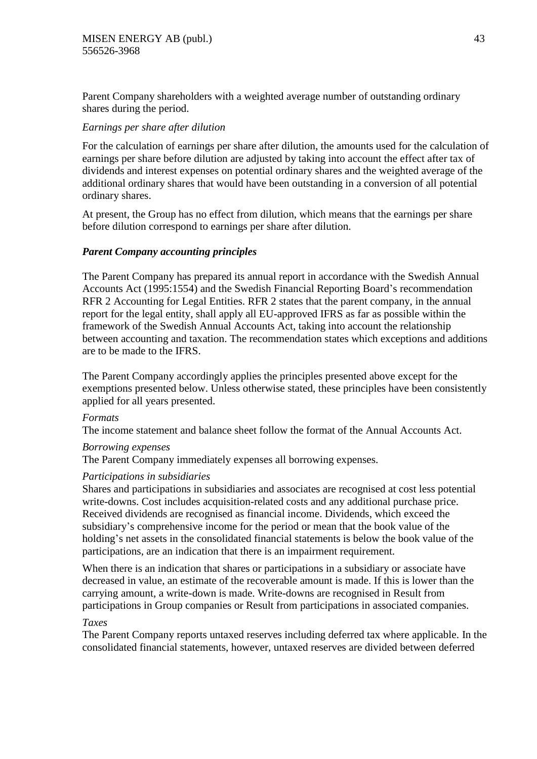Parent Company shareholders with a weighted average number of outstanding ordinary shares during the period.

## *Earnings per share after dilution*

For the calculation of earnings per share after dilution, the amounts used for the calculation of earnings per share before dilution are adjusted by taking into account the effect after tax of dividends and interest expenses on potential ordinary shares and the weighted average of the additional ordinary shares that would have been outstanding in a conversion of all potential ordinary shares.

At present, the Group has no effect from dilution, which means that the earnings per share before dilution correspond to earnings per share after dilution.

## *Parent Company accounting principles*

The Parent Company has prepared its annual report in accordance with the Swedish Annual Accounts Act (1995:1554) and the Swedish Financial Reporting Board's recommendation RFR 2 Accounting for Legal Entities. RFR 2 states that the parent company, in the annual report for the legal entity, shall apply all EU-approved IFRS as far as possible within the framework of the Swedish Annual Accounts Act, taking into account the relationship between accounting and taxation. The recommendation states which exceptions and additions are to be made to the IFRS.

The Parent Company accordingly applies the principles presented above except for the exemptions presented below. Unless otherwise stated, these principles have been consistently applied for all years presented.

### *Formats*

The income statement and balance sheet follow the format of the Annual Accounts Act.

### *Borrowing expenses*

The Parent Company immediately expenses all borrowing expenses.

### *Participations in subsidiaries*

Shares and participations in subsidiaries and associates are recognised at cost less potential write-downs. Cost includes acquisition-related costs and any additional purchase price. Received dividends are recognised as financial income. Dividends, which exceed the subsidiary's comprehensive income for the period or mean that the book value of the holding's net assets in the consolidated financial statements is below the book value of the participations, are an indication that there is an impairment requirement.

When there is an indication that shares or participations in a subsidiary or associate have decreased in value, an estimate of the recoverable amount is made. If this is lower than the carrying amount, a write-down is made. Write-downs are recognised in Result from participations in Group companies or Result from participations in associated companies.

### *Taxes*

The Parent Company reports untaxed reserves including deferred tax where applicable. In the consolidated financial statements, however, untaxed reserves are divided between deferred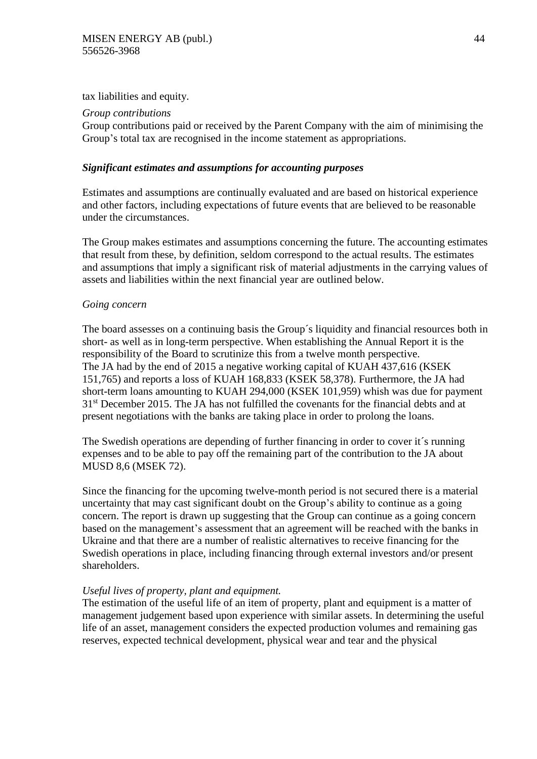tax liabilities and equity.

## *Group contributions*

Group contributions paid or received by the Parent Company with the aim of minimising the Group's total tax are recognised in the income statement as appropriations.

## *Significant estimates and assumptions for accounting purposes*

Estimates and assumptions are continually evaluated and are based on historical experience and other factors, including expectations of future events that are believed to be reasonable under the circumstances.

The Group makes estimates and assumptions concerning the future. The accounting estimates that result from these, by definition, seldom correspond to the actual results. The estimates and assumptions that imply a significant risk of material adjustments in the carrying values of assets and liabilities within the next financial year are outlined below.

## *Going concern*

The board assesses on a continuing basis the Group´s liquidity and financial resources both in short- as well as in long-term perspective. When establishing the Annual Report it is the responsibility of the Board to scrutinize this from a twelve month perspective. The JA had by the end of 2015 a negative working capital of KUAH 437,616 (KSEK 151,765) and reports a loss of KUAH 168,833 (KSEK 58,378). Furthermore, the JA had short-term loans amounting to KUAH 294,000 (KSEK 101,959) whish was due for payment 31st December 2015. The JA has not fulfilled the covenants for the financial debts and at present negotiations with the banks are taking place in order to prolong the loans.

The Swedish operations are depending of further financing in order to cover it´s running expenses and to be able to pay off the remaining part of the contribution to the JA about MUSD 8,6 (MSEK 72).

Since the financing for the upcoming twelve-month period is not secured there is a material uncertainty that may cast significant doubt on the Group's ability to continue as a going concern. The report is drawn up suggesting that the Group can continue as a going concern based on the management's assessment that an agreement will be reached with the banks in Ukraine and that there are a number of realistic alternatives to receive financing for the Swedish operations in place, including financing through external investors and/or present shareholders.

## *Useful lives of property, plant and equipment.*

The estimation of the useful life of an item of property, plant and equipment is a matter of management judgement based upon experience with similar assets. In determining the useful life of an asset, management considers the expected production volumes and remaining gas reserves, expected technical development, physical wear and tear and the physical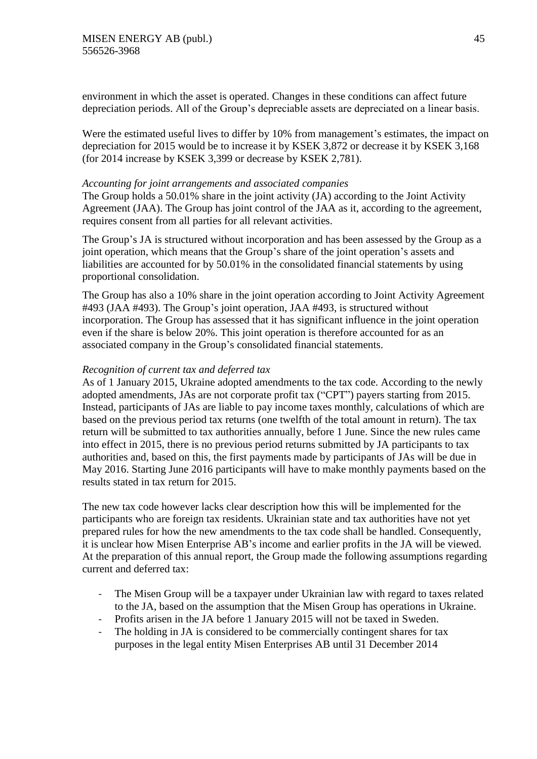environment in which the asset is operated. Changes in these conditions can affect future depreciation periods. All of the Group's depreciable assets are depreciated on a linear basis.

Were the estimated useful lives to differ by 10% from management's estimates, the impact on depreciation for 2015 would be to increase it by KSEK 3,872 or decrease it by KSEK 3,168 (for 2014 increase by KSEK 3,399 or decrease by KSEK 2,781).

#### *Accounting for joint arrangements and associated companies*

The Group holds a 50.01% share in the joint activity (JA) according to the Joint Activity Agreement (JAA). The Group has joint control of the JAA as it, according to the agreement, requires consent from all parties for all relevant activities.

The Group's JA is structured without incorporation and has been assessed by the Group as a joint operation, which means that the Group's share of the joint operation's assets and liabilities are accounted for by 50.01% in the consolidated financial statements by using proportional consolidation.

The Group has also a 10% share in the joint operation according to Joint Activity Agreement #493 (JAA #493). The Group's joint operation, JAA #493, is structured without incorporation. The Group has assessed that it has significant influence in the joint operation even if the share is below 20%. This joint operation is therefore accounted for as an associated company in the Group's consolidated financial statements.

### *Recognition of current tax and deferred tax*

As of 1 January 2015, Ukraine adopted amendments to the tax code. According to the newly adopted amendments, JAs are not corporate profit tax ("CPT") payers starting from 2015. Instead, participants of JAs are liable to pay income taxes monthly, calculations of which are based on the previous period tax returns (one twelfth of the total amount in return). The tax return will be submitted to tax authorities annually, before 1 June. Since the new rules came into effect in 2015, there is no previous period returns submitted by JA participants to tax authorities and, based on this, the first payments made by participants of JAs will be due in May 2016. Starting June 2016 participants will have to make monthly payments based on the results stated in tax return for 2015.

The new tax code however lacks clear description how this will be implemented for the participants who are foreign tax residents. Ukrainian state and tax authorities have not yet prepared rules for how the new amendments to the tax code shall be handled. Consequently, it is unclear how Misen Enterprise AB's income and earlier profits in the JA will be viewed. At the preparation of this annual report, the Group made the following assumptions regarding current and deferred tax:

- The Misen Group will be a taxpayer under Ukrainian law with regard to taxes related to the JA, based on the assumption that the Misen Group has operations in Ukraine.
- Profits arisen in the JA before 1 January 2015 will not be taxed in Sweden.
- The holding in JA is considered to be commercially contingent shares for tax purposes in the legal entity Misen Enterprises AB until 31 December 2014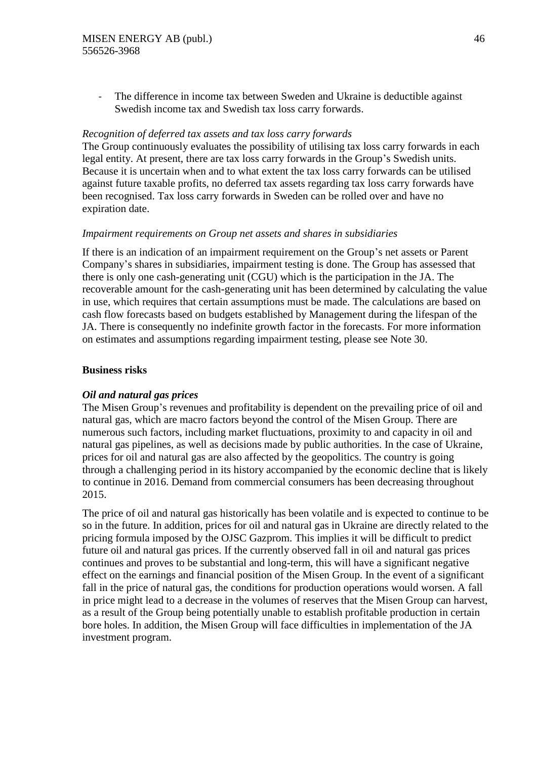The difference in income tax between Sweden and Ukraine is deductible against Swedish income tax and Swedish tax loss carry forwards.

#### *Recognition of deferred tax assets and tax loss carry forwards*

The Group continuously evaluates the possibility of utilising tax loss carry forwards in each legal entity. At present, there are tax loss carry forwards in the Group's Swedish units. Because it is uncertain when and to what extent the tax loss carry forwards can be utilised against future taxable profits, no deferred tax assets regarding tax loss carry forwards have been recognised. Tax loss carry forwards in Sweden can be rolled over and have no expiration date.

### *Impairment requirements on Group net assets and shares in subsidiaries*

If there is an indication of an impairment requirement on the Group's net assets or Parent Company's shares in subsidiaries, impairment testing is done. The Group has assessed that there is only one cash-generating unit (CGU) which is the participation in the JA. The recoverable amount for the cash-generating unit has been determined by calculating the value in use, which requires that certain assumptions must be made. The calculations are based on cash flow forecasts based on budgets established by Management during the lifespan of the JA. There is consequently no indefinite growth factor in the forecasts. For more information on estimates and assumptions regarding impairment testing, please see Note 30.

### **Business risks**

### *Oil and natural gas prices*

The Misen Group's revenues and profitability is dependent on the prevailing price of oil and natural gas, which are macro factors beyond the control of the Misen Group. There are numerous such factors, including market fluctuations, proximity to and capacity in oil and natural gas pipelines, as well as decisions made by public authorities. In the case of Ukraine, prices for oil and natural gas are also affected by the geopolitics. The country is going through a challenging period in its history accompanied by the economic decline that is likely to continue in 2016. Demand from commercial consumers has been decreasing throughout 2015.

The price of oil and natural gas historically has been volatile and is expected to continue to be so in the future. In addition, prices for oil and natural gas in Ukraine are directly related to the pricing formula imposed by the OJSC Gazprom. This implies it will be difficult to predict future oil and natural gas prices. If the currently observed fall in oil and natural gas prices continues and proves to be substantial and long-term, this will have a significant negative effect on the earnings and financial position of the Misen Group. In the event of a significant fall in the price of natural gas, the conditions for production operations would worsen. A fall in price might lead to a decrease in the volumes of reserves that the Misen Group can harvest, as a result of the Group being potentially unable to establish profitable production in certain bore holes. In addition, the Misen Group will face difficulties in implementation of the JA investment program.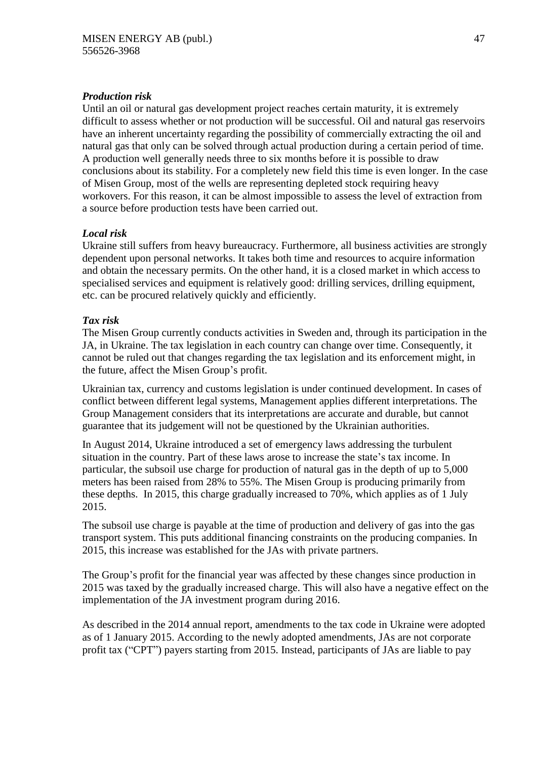## *Production risk*

Until an oil or natural gas development project reaches certain maturity, it is extremely difficult to assess whether or not production will be successful. Oil and natural gas reservoirs have an inherent uncertainty regarding the possibility of commercially extracting the oil and natural gas that only can be solved through actual production during a certain period of time. A production well generally needs three to six months before it is possible to draw conclusions about its stability. For a completely new field this time is even longer. In the case of Misen Group, most of the wells are representing depleted stock requiring heavy workovers. For this reason, it can be almost impossible to assess the level of extraction from a source before production tests have been carried out.

## *Local risk*

Ukraine still suffers from heavy bureaucracy. Furthermore, all business activities are strongly dependent upon personal networks. It takes both time and resources to acquire information and obtain the necessary permits. On the other hand, it is a closed market in which access to specialised services and equipment is relatively good: drilling services, drilling equipment, etc. can be procured relatively quickly and efficiently.

## *Tax risk*

The Misen Group currently conducts activities in Sweden and, through its participation in the JA, in Ukraine. The tax legislation in each country can change over time. Consequently, it cannot be ruled out that changes regarding the tax legislation and its enforcement might, in the future, affect the Misen Group's profit.

Ukrainian tax, currency and customs legislation is under continued development. In cases of conflict between different legal systems, Management applies different interpretations. The Group Management considers that its interpretations are accurate and durable, but cannot guarantee that its judgement will not be questioned by the Ukrainian authorities.

In August 2014, Ukraine introduced a set of emergency laws addressing the turbulent situation in the country. Part of these laws arose to increase the state's tax income. In particular, the subsoil use charge for production of natural gas in the depth of up to 5,000 meters has been raised from 28% to 55%. The Misen Group is producing primarily from these depths. In 2015, this charge gradually increased to 70%, which applies as of 1 July 2015.

The subsoil use charge is payable at the time of production and delivery of gas into the gas transport system. This puts additional financing constraints on the producing companies. In 2015, this increase was established for the JAs with private partners.

The Group's profit for the financial year was affected by these changes since production in 2015 was taxed by the gradually increased charge. This will also have a negative effect on the implementation of the JA investment program during 2016.

As described in the 2014 annual report, amendments to the tax code in Ukraine were adopted as of 1 January 2015. According to the newly adopted amendments, JAs are not corporate profit tax ("CPT") payers starting from 2015. Instead, participants of JAs are liable to pay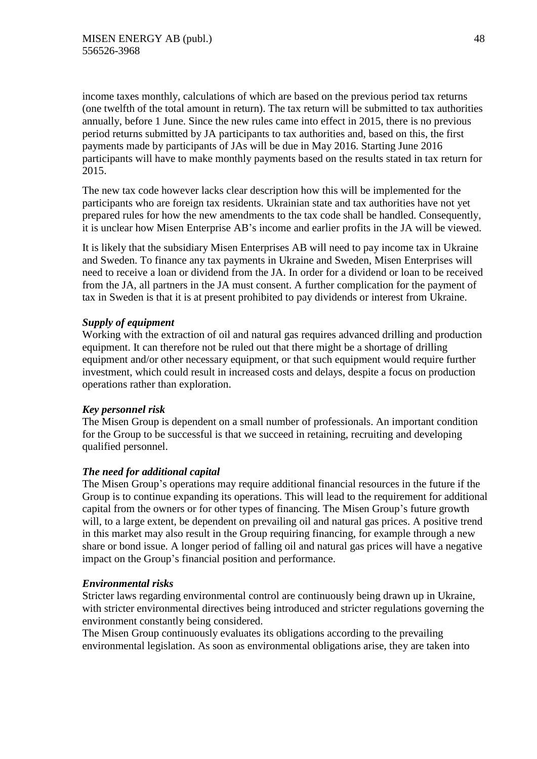income taxes monthly, calculations of which are based on the previous period tax returns (one twelfth of the total amount in return). The tax return will be submitted to tax authorities annually, before 1 June. Since the new rules came into effect in 2015, there is no previous period returns submitted by JA participants to tax authorities and, based on this, the first payments made by participants of JAs will be due in May 2016. Starting June 2016 participants will have to make monthly payments based on the results stated in tax return for 2015.

The new tax code however lacks clear description how this will be implemented for the participants who are foreign tax residents. Ukrainian state and tax authorities have not yet prepared rules for how the new amendments to the tax code shall be handled. Consequently, it is unclear how Misen Enterprise AB's income and earlier profits in the JA will be viewed.

It is likely that the subsidiary Misen Enterprises AB will need to pay income tax in Ukraine and Sweden. To finance any tax payments in Ukraine and Sweden, Misen Enterprises will need to receive a loan or dividend from the JA. In order for a dividend or loan to be received from the JA, all partners in the JA must consent. A further complication for the payment of tax in Sweden is that it is at present prohibited to pay dividends or interest from Ukraine.

## *Supply of equipment*

Working with the extraction of oil and natural gas requires advanced drilling and production equipment. It can therefore not be ruled out that there might be a shortage of drilling equipment and/or other necessary equipment, or that such equipment would require further investment, which could result in increased costs and delays, despite a focus on production operations rather than exploration.

### *Key personnel risk*

The Misen Group is dependent on a small number of professionals. An important condition for the Group to be successful is that we succeed in retaining, recruiting and developing qualified personnel.

## *The need for additional capital*

The Misen Group's operations may require additional financial resources in the future if the Group is to continue expanding its operations. This will lead to the requirement for additional capital from the owners or for other types of financing. The Misen Group's future growth will, to a large extent, be dependent on prevailing oil and natural gas prices. A positive trend in this market may also result in the Group requiring financing, for example through a new share or bond issue. A longer period of falling oil and natural gas prices will have a negative impact on the Group's financial position and performance.

### *Environmental risks*

Stricter laws regarding environmental control are continuously being drawn up in Ukraine, with stricter environmental directives being introduced and stricter regulations governing the environment constantly being considered.

The Misen Group continuously evaluates its obligations according to the prevailing environmental legislation. As soon as environmental obligations arise, they are taken into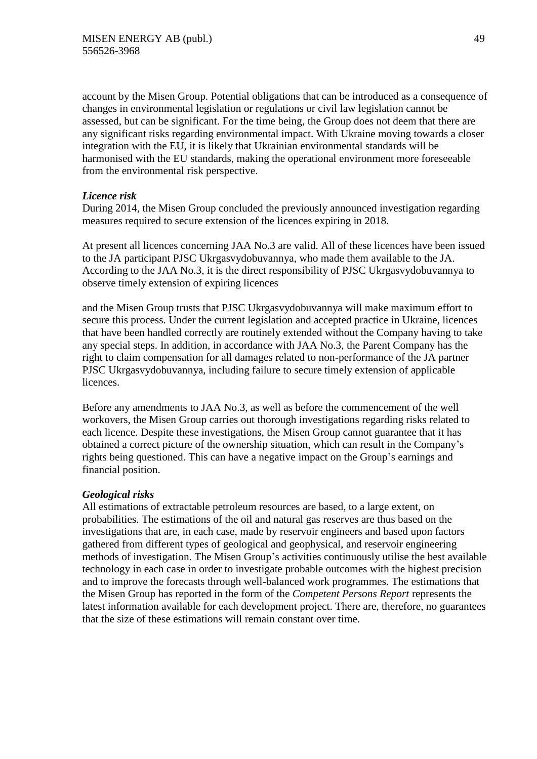account by the Misen Group. Potential obligations that can be introduced as a consequence of changes in environmental legislation or regulations or civil law legislation cannot be assessed, but can be significant. For the time being, the Group does not deem that there are any significant risks regarding environmental impact. With Ukraine moving towards a closer integration with the EU, it is likely that Ukrainian environmental standards will be harmonised with the EU standards, making the operational environment more foreseeable from the environmental risk perspective.

## *Licence risk*

During 2014, the Misen Group concluded the previously announced investigation regarding measures required to secure extension of the licences expiring in 2018.

At present all licences concerning JAA No.3 are valid. All of these licences have been issued to the JA participant PJSC Ukrgasvydobuvannya, who made them available to the JA. According to the JAA No.3, it is the direct responsibility of PJSC Ukrgasvydobuvannya to observe timely extension of expiring licences

and the Misen Group trusts that PJSC Ukrgasvydobuvannya will make maximum effort to secure this process. Under the current legislation and accepted practice in Ukraine, licences that have been handled correctly are routinely extended without the Company having to take any special steps. In addition, in accordance with JAA No.3, the Parent Company has the right to claim compensation for all damages related to non-performance of the JA partner PJSC Ukrgasvydobuvannya, including failure to secure timely extension of applicable licences.

Before any amendments to JAA No.3, as well as before the commencement of the well workovers, the Misen Group carries out thorough investigations regarding risks related to each licence. Despite these investigations, the Misen Group cannot guarantee that it has obtained a correct picture of the ownership situation, which can result in the Company's rights being questioned. This can have a negative impact on the Group's earnings and financial position.

### *Geological risks*

All estimations of extractable petroleum resources are based, to a large extent, on probabilities. The estimations of the oil and natural gas reserves are thus based on the investigations that are, in each case, made by reservoir engineers and based upon factors gathered from different types of geological and geophysical, and reservoir engineering methods of investigation. The Misen Group's activities continuously utilise the best available technology in each case in order to investigate probable outcomes with the highest precision and to improve the forecasts through well-balanced work programmes. The estimations that the Misen Group has reported in the form of the *Competent Persons Report* represents the latest information available for each development project. There are, therefore, no guarantees that the size of these estimations will remain constant over time.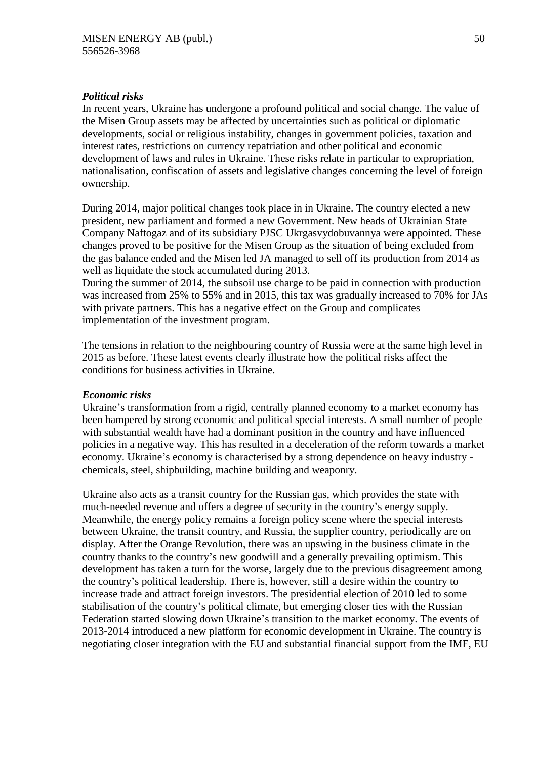### *Political risks*

In recent years, Ukraine has undergone a profound political and social change. The value of the Misen Group assets may be affected by uncertainties such as political or diplomatic developments, social or religious instability, changes in government policies, taxation and interest rates, restrictions on currency repatriation and other political and economic development of laws and rules in Ukraine. These risks relate in particular to expropriation, nationalisation, confiscation of assets and legislative changes concerning the level of foreign ownership.

During 2014, major political changes took place in in Ukraine. The country elected a new president, new parliament and formed a new Government. New heads of Ukrainian State Company Naftogaz and of its subsidiary [PJSC Ukrgasvydobuvannya](http://ugv.com.ua/) were appointed. These changes proved to be positive for the Misen Group as the situation of being excluded from the gas balance ended and the Misen led JA managed to sell off its production from 2014 as well as liquidate the stock accumulated during 2013.

During the summer of 2014, the subsoil use charge to be paid in connection with production was increased from 25% to 55% and in 2015, this tax was gradually increased to 70% for JAs with private partners. This has a negative effect on the Group and complicates implementation of the investment program.

The tensions in relation to the neighbouring country of Russia were at the same high level in 2015 as before. These latest events clearly illustrate how the political risks affect the conditions for business activities in Ukraine.

### *Economic risks*

Ukraine's transformation from a rigid, centrally planned economy to a market economy has been hampered by strong economic and political special interests. A small number of people with substantial wealth have had a dominant position in the country and have influenced policies in a negative way. This has resulted in a deceleration of the reform towards a market economy. Ukraine's economy is characterised by a strong dependence on heavy industry chemicals, steel, shipbuilding, machine building and weaponry.

Ukraine also acts as a transit country for the Russian gas, which provides the state with much-needed revenue and offers a degree of security in the country's energy supply. Meanwhile, the energy policy remains a foreign policy scene where the special interests between Ukraine, the transit country, and Russia, the supplier country, periodically are on display. After the Orange Revolution, there was an upswing in the business climate in the country thanks to the country's new goodwill and a generally prevailing optimism. This development has taken a turn for the worse, largely due to the previous disagreement among the country's political leadership. There is, however, still a desire within the country to increase trade and attract foreign investors. The presidential election of 2010 led to some stabilisation of the country's political climate, but emerging closer ties with the Russian Federation started slowing down Ukraine's transition to the market economy. The events of 2013-2014 introduced a new platform for economic development in Ukraine. The country is negotiating closer integration with the EU and substantial financial support from the IMF, EU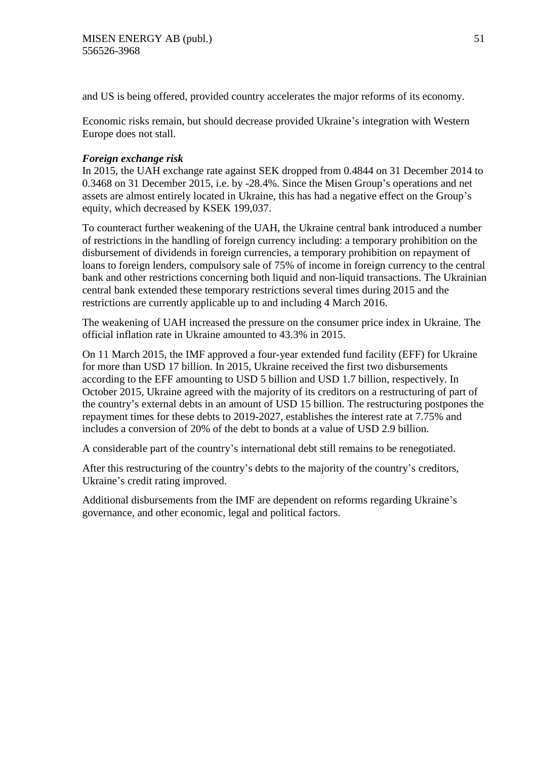and US is being offered, provided country accelerates the major reforms of its economy.

Economic risks remain, but should decrease provided Ukraine's integration with Western Europe does not stall.

### *Foreign exchange risk*

In 2015, the UAH exchange rate against SEK dropped from 0.4844 on 31 December 2014 to 0.3468 on 31 December 2015, i.e. by -28.4%. Since the Misen Group's operations and net assets are almost entirely located in Ukraine, this has had a negative effect on the Group's equity, which decreased by KSEK 199,037.

To counteract further weakening of the UAH, the Ukraine central bank introduced a number of restrictions in the handling of foreign currency including: a temporary prohibition on the disbursement of dividends in foreign currencies, a temporary prohibition on repayment of loans to foreign lenders, compulsory sale of 75% of income in foreign currency to the central bank and other restrictions concerning both liquid and non-liquid transactions. The Ukrainian central bank extended these temporary restrictions several times during 2015 and the restrictions are currently applicable up to and including 4 March 2016.

The weakening of UAH increased the pressure on the consumer price index in Ukraine. The official inflation rate in Ukraine amounted to 43.3% in 2015.

On 11 March 2015, the IMF approved a four-year extended fund facility (EFF) for Ukraine for more than USD 17 billion. In 2015, Ukraine received the first two disbursements according to the EFF amounting to USD 5 billion and USD 1.7 billion, respectively. In October 2015, Ukraine agreed with the majority of its creditors on a restructuring of part of the country's external debts in an amount of USD 15 billion. The restructuring postpones the repayment times for these debts to 2019-2027, establishes the interest rate at 7.75% and includes a conversion of 20% of the debt to bonds at a value of USD 2.9 billion.

A considerable part of the country's international debt still remains to be renegotiated.

After this restructuring of the country's debts to the majority of the country's creditors, Ukraine's credit rating improved.

Additional disbursements from the IMF are dependent on reforms regarding Ukraine's governance, and other economic, legal and political factors.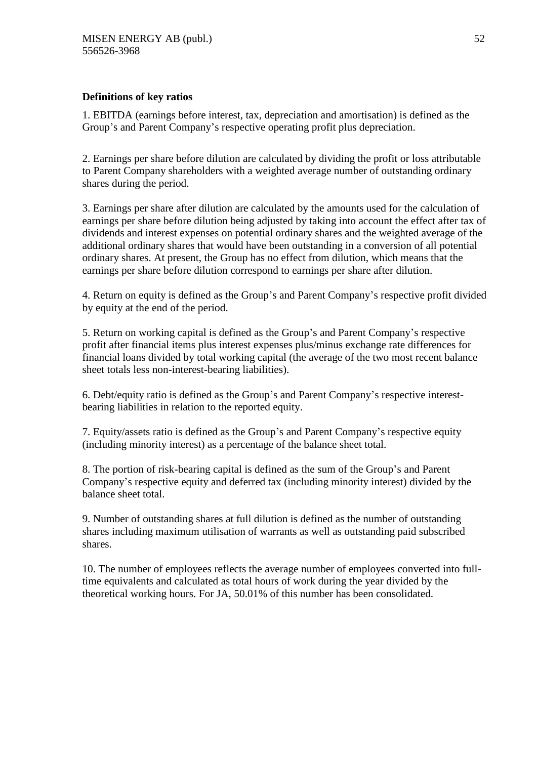## **Definitions of key ratios**

1. EBITDA (earnings before interest, tax, depreciation and amortisation) is defined as the Group's and Parent Company's respective operating profit plus depreciation.

2. Earnings per share before dilution are calculated by dividing the profit or loss attributable to Parent Company shareholders with a weighted average number of outstanding ordinary shares during the period.

3. Earnings per share after dilution are calculated by the amounts used for the calculation of earnings per share before dilution being adjusted by taking into account the effect after tax of dividends and interest expenses on potential ordinary shares and the weighted average of the additional ordinary shares that would have been outstanding in a conversion of all potential ordinary shares. At present, the Group has no effect from dilution, which means that the earnings per share before dilution correspond to earnings per share after dilution.

4. Return on equity is defined as the Group's and Parent Company's respective profit divided by equity at the end of the period.

5. Return on working capital is defined as the Group's and Parent Company's respective profit after financial items plus interest expenses plus/minus exchange rate differences for financial loans divided by total working capital (the average of the two most recent balance sheet totals less non-interest-bearing liabilities).

6. Debt/equity ratio is defined as the Group's and Parent Company's respective interestbearing liabilities in relation to the reported equity.

7. Equity/assets ratio is defined as the Group's and Parent Company's respective equity (including minority interest) as a percentage of the balance sheet total.

8. The portion of risk-bearing capital is defined as the sum of the Group's and Parent Company's respective equity and deferred tax (including minority interest) divided by the balance sheet total.

9. Number of outstanding shares at full dilution is defined as the number of outstanding shares including maximum utilisation of warrants as well as outstanding paid subscribed shares.

10. The number of employees reflects the average number of employees converted into fulltime equivalents and calculated as total hours of work during the year divided by the theoretical working hours. For JA, 50.01% of this number has been consolidated.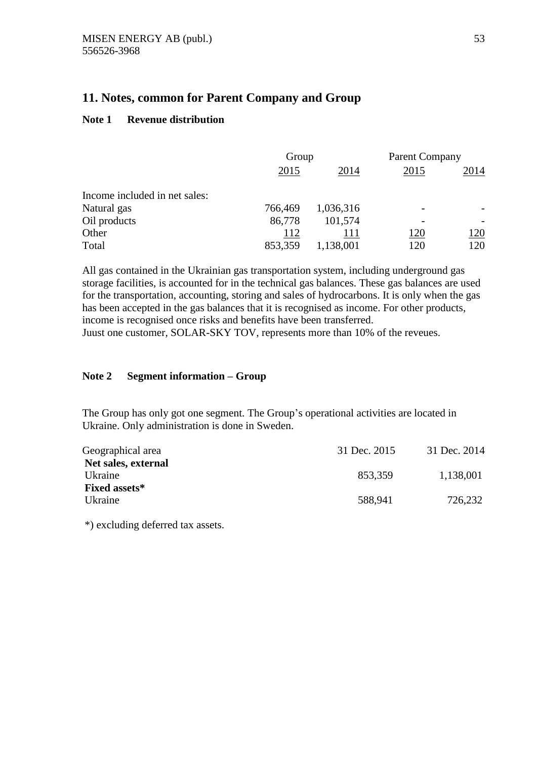## **11. Notes, common for Parent Company and Group**

## **Note 1 Revenue distribution**

|                               | Group   |           | <b>Parent Company</b> |      |
|-------------------------------|---------|-----------|-----------------------|------|
|                               | 2015    | 2014      | 2015                  | 2014 |
| Income included in net sales: |         |           |                       |      |
| Natural gas                   | 766,469 | 1,036,316 | -                     |      |
| Oil products                  | 86,778  | 101,574   |                       |      |
| Other                         | 112     | 111       | 120                   | 120  |
| Total                         | 853,359 | 1,138,001 | 120                   | 120  |

All gas contained in the Ukrainian gas transportation system, including underground gas storage facilities, is accounted for in the technical gas balances. These gas balances are used for the transportation, accounting, storing and sales of hydrocarbons. It is only when the gas has been accepted in the gas balances that it is recognised as income. For other products, income is recognised once risks and benefits have been transferred. Juust one customer, SOLAR-SKY TOV, represents more than 10% of the reveues.

## **Note 2 Segment information – Group**

The Group has only got one segment. The Group's operational activities are located in Ukraine. Only administration is done in Sweden.

| 31 Dec. 2015 | 31 Dec. 2014 |
|--------------|--------------|
|              |              |
| 853,359      | 1,138,001    |
|              |              |
| 588,941      | 726,232      |
|              |              |

\*) excluding deferred tax assets.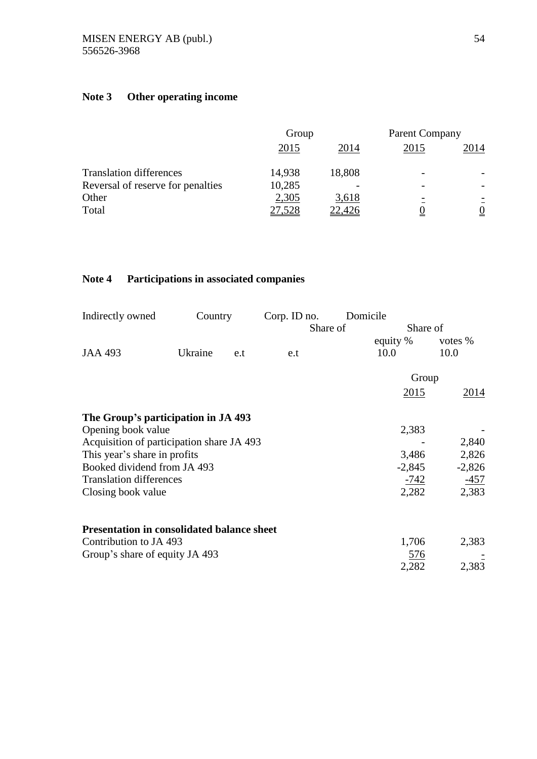# **Note 3 Other operating income**

|                                   | Group  |        | <b>Parent Company</b> |                 |
|-----------------------------------|--------|--------|-----------------------|-----------------|
|                                   | 2015   | 2014   | 2015                  | 2014            |
| <b>Translation differences</b>    | 14,938 | 18,808 |                       |                 |
| Reversal of reserve for penalties | 10,285 |        |                       |                 |
| Other                             | 2,305  | 3,618  |                       |                 |
| Total                             | 27,528 | 22,426 |                       | $\underline{0}$ |

# **Note 4 Participations in associated companies**

| Indirectly owned                                  | Country |     | Corp. ID no. | Domicile |          |
|---------------------------------------------------|---------|-----|--------------|----------|----------|
|                                                   |         |     | Share of     | Share of |          |
|                                                   |         |     |              | equity % | votes %  |
| <b>JAA 493</b>                                    | Ukraine | e.t | e.t          | 10.0     | 10.0     |
|                                                   |         |     |              | Group    |          |
|                                                   |         |     |              | 2015     | 2014     |
| The Group's participation in JA 493               |         |     |              |          |          |
| Opening book value                                |         |     |              | 2,383    |          |
| Acquisition of participation share JA 493         |         |     |              |          | 2,840    |
| This year's share in profits                      |         |     |              | 3,486    | 2,826    |
| Booked dividend from JA 493                       |         |     |              | $-2,845$ | $-2,826$ |
| <b>Translation differences</b>                    |         |     |              | -742     | $-457$   |
| Closing book value                                |         |     |              | 2,282    | 2,383    |
| <b>Presentation in consolidated balance sheet</b> |         |     |              |          |          |
| Contribution to JA 493                            |         |     |              | 1,706    | 2,383    |
| Group's share of equity JA 493                    |         |     |              | 576      |          |
|                                                   |         |     |              | 2,282    | 2,383    |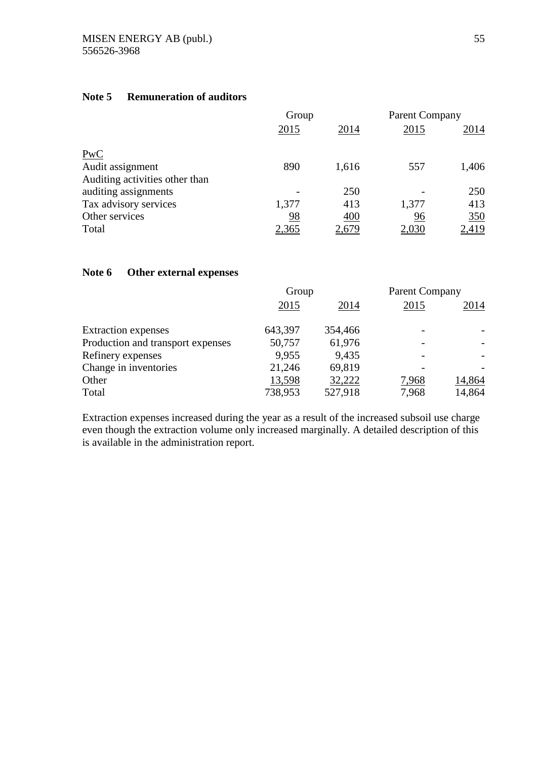## **Note 5 Remuneration of auditors**

|                                | Group        |       | <b>Parent Company</b> |       |
|--------------------------------|--------------|-------|-----------------------|-------|
|                                | 2015         | 2014  | 2015                  | 2014  |
| PwC                            |              |       |                       |       |
| Audit assignment               | 890          | 1,616 | 557                   | 1,406 |
| Auditing activities other than |              |       |                       |       |
| auditing assignments           |              | 250   |                       | 250   |
| Tax advisory services          | 1,377        | 413   | 1,377                 | 413   |
| Other services                 | 98           | 400   | 96                    | 350   |
| Total                          | <u>2,365</u> | 2,679 | <u>2,030</u>          | 2,419 |

## **Note 6 Other external expenses**

|                                   | Group   |         | <b>Parent Company</b> |        |
|-----------------------------------|---------|---------|-----------------------|--------|
|                                   | 2015    | 2014    | 2015                  | 2014   |
| <b>Extraction</b> expenses        | 643,397 | 354,466 |                       |        |
| Production and transport expenses | 50,757  | 61,976  |                       |        |
| Refinery expenses                 | 9,955   | 9,435   |                       |        |
| Change in inventories             | 21,246  | 69,819  |                       |        |
| Other                             | 13,598  | 32,222  | 7,968                 | 14,864 |
| Total                             | 738,953 | 527,918 | 7,968                 | 14,864 |

Extraction expenses increased during the year as a result of the increased subsoil use charge even though the extraction volume only increased marginally. A detailed description of this is available in the administration report.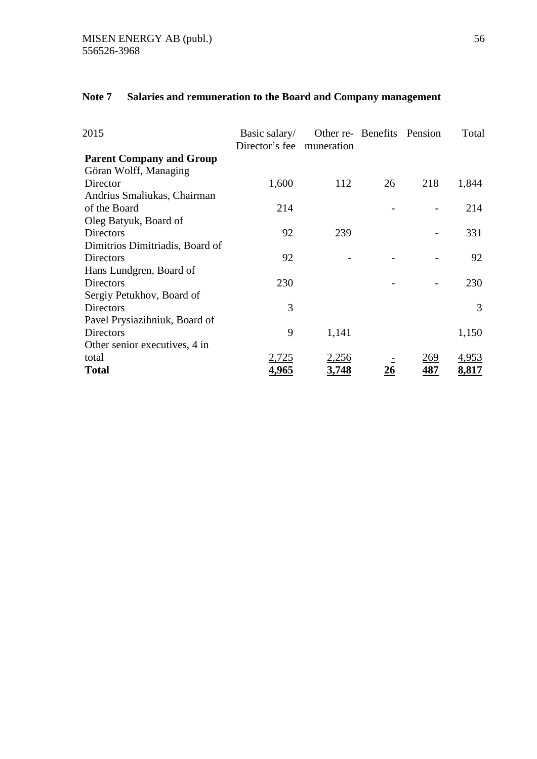# **Note 7 Salaries and remuneration to the Board and Company management**

| 2015                            | Basic salary/<br>Director's fee muneration | Other re- Benefits Pension |    |            | Total        |
|---------------------------------|--------------------------------------------|----------------------------|----|------------|--------------|
| <b>Parent Company and Group</b> |                                            |                            |    |            |              |
| Göran Wolff, Managing           |                                            |                            |    |            |              |
| Director                        | 1,600                                      | 112                        | 26 | 218        | 1,844        |
| Andrius Smaliukas, Chairman     |                                            |                            |    |            |              |
| of the Board                    | 214                                        |                            |    |            | 214          |
| Oleg Batyuk, Board of           |                                            |                            |    |            |              |
| Directors                       | 92                                         | 239                        |    |            | 331          |
| Dimitrios Dimitriadis, Board of |                                            |                            |    |            |              |
| Directors                       | 92                                         |                            |    |            | 92           |
| Hans Lundgren, Board of         |                                            |                            |    |            |              |
| Directors                       | 230                                        |                            |    |            | 230          |
| Sergiy Petukhov, Board of       |                                            |                            |    |            |              |
| Directors                       | 3                                          |                            |    |            | 3            |
| Pavel Prysiazihniuk, Board of   |                                            |                            |    |            |              |
| Directors                       | 9                                          | 1,141                      |    |            | 1,150        |
| Other senior executives, 4 in   |                                            |                            |    |            |              |
| total                           | 2,725                                      | <u>2,256</u>               |    | <u>269</u> | <u>4,953</u> |
| <b>Total</b>                    | 4,965                                      | 3,748                      | 26 | 487        | 8,817        |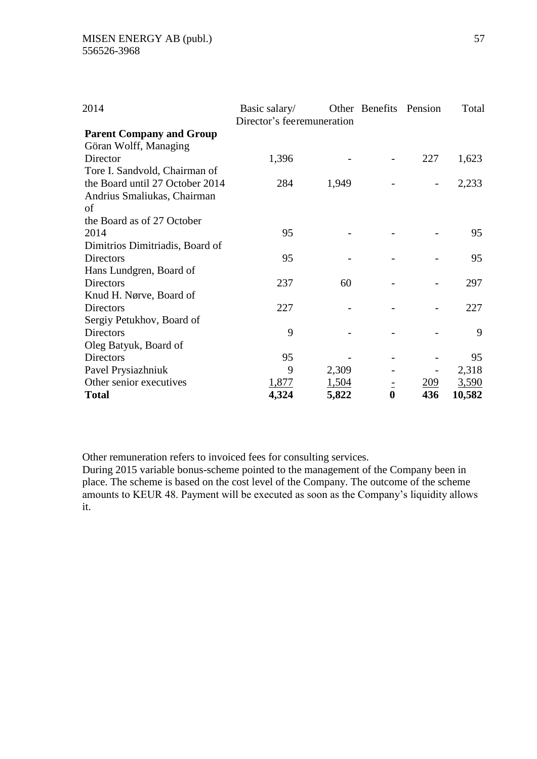| 2014                            | Basic salary/<br>Director's feeremuneration |       | Other Benefits Pension |     | Total  |
|---------------------------------|---------------------------------------------|-------|------------------------|-----|--------|
| <b>Parent Company and Group</b> |                                             |       |                        |     |        |
| Göran Wolff, Managing           |                                             |       |                        |     |        |
| Director                        | 1,396                                       |       |                        | 227 | 1,623  |
| Tore I. Sandvold, Chairman of   |                                             |       |                        |     |        |
| the Board until 27 October 2014 | 284                                         | 1,949 |                        |     | 2,233  |
| Andrius Smaliukas, Chairman     |                                             |       |                        |     |        |
| of                              |                                             |       |                        |     |        |
| the Board as of 27 October      |                                             |       |                        |     |        |
| 2014                            | 95                                          |       |                        |     | 95     |
| Dimitrios Dimitriadis, Board of |                                             |       |                        |     |        |
| Directors                       | 95                                          |       |                        |     | 95     |
| Hans Lundgren, Board of         |                                             |       |                        |     |        |
| Directors                       | 237                                         | 60    |                        |     | 297    |
| Knud H. Nørve, Board of         |                                             |       |                        |     |        |
| <b>Directors</b>                | 227                                         |       |                        |     | 227    |
| Sergiy Petukhov, Board of       |                                             |       |                        |     |        |
| <b>Directors</b>                | 9                                           |       |                        |     | 9      |
| Oleg Batyuk, Board of           |                                             |       |                        |     |        |
| Directors                       | 95                                          |       |                        |     | 95     |
| Pavel Prysiazhniuk              | 9                                           | 2,309 |                        |     | 2,318  |
| Other senior executives         | 1,877                                       | 1,504 |                        | 209 | 3,590  |
| <b>Total</b>                    | 4,324                                       | 5,822 | $\bf{0}$               | 436 | 10,582 |

Other remuneration refers to invoiced fees for consulting services.

During 2015 variable bonus-scheme pointed to the management of the Company been in place. The scheme is based on the cost level of the Company. The outcome of the scheme amounts to KEUR 48. Payment will be executed as soon as the Company's liquidity allows it.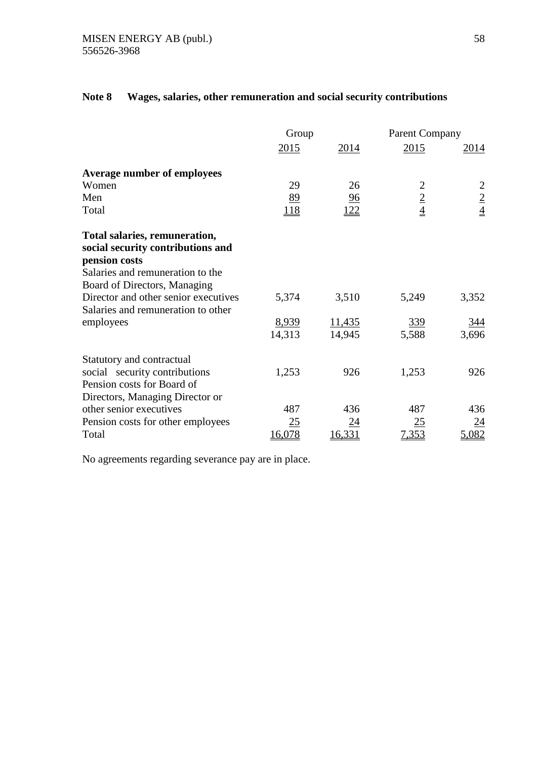|                                                                                     | Group      |        | <b>Parent Company</b> |                |
|-------------------------------------------------------------------------------------|------------|--------|-----------------------|----------------|
|                                                                                     | 2015       | 2014   | 2015                  | 2014           |
| <b>Average number of employees</b>                                                  |            |        |                       |                |
| Women                                                                               | 29         | 26     |                       | $\overline{c}$ |
| Men                                                                                 | 89         | 96     | $rac{2}{4}$           |                |
| Total                                                                               | <b>118</b> | 122    |                       | $rac{2}{4}$    |
| Total salaries, remuneration,<br>social security contributions and<br>pension costs |            |        |                       |                |
| Salaries and remuneration to the                                                    |            |        |                       |                |
| Board of Directors, Managing                                                        |            |        |                       |                |
| Director and other senior executives<br>Salaries and remuneration to other          | 5,374      | 3,510  | 5,249                 | 3,352          |
| employees                                                                           | 8,939      | 11,435 | <u>339</u>            | <u>344</u>     |
|                                                                                     | 14,313     | 14,945 | 5,588                 | 3,696          |
| Statutory and contractual                                                           |            |        |                       |                |
| social security contributions                                                       | 1,253      | 926    | 1,253                 | 926            |
| Pension costs for Board of                                                          |            |        |                       |                |
| Directors, Managing Director or                                                     |            |        |                       |                |
| other senior executives                                                             | 487        | 436    | 487                   | 436            |
| Pension costs for other employees                                                   | 25         | 24     | 25                    | 24             |
| Total                                                                               | 16,078     | 16,331 | 7,353                 | 5,082          |

## **Note 8 Wages, salaries, other remuneration and social security contributions**

No agreements regarding severance pay are in place.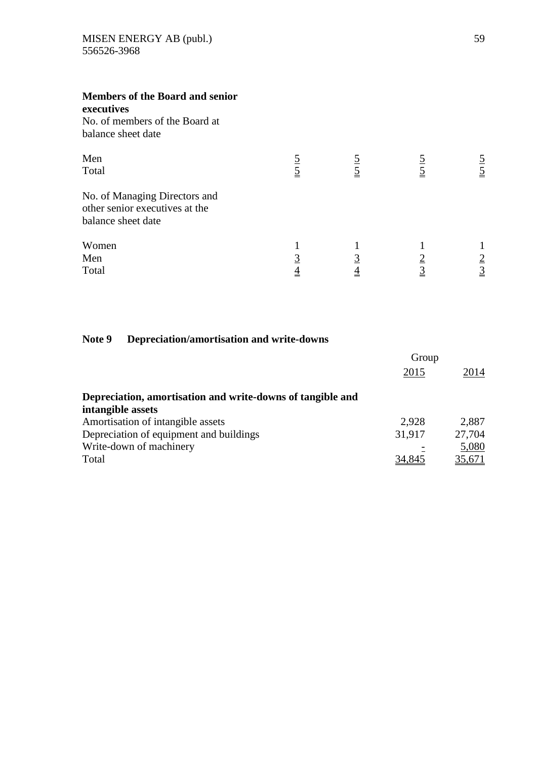| <b>Members of the Board and senior</b><br>executives<br>No. of members of the Board at<br>balance sheet date |             |                |                |               |
|--------------------------------------------------------------------------------------------------------------|-------------|----------------|----------------|---------------|
| Men<br>Total                                                                                                 | $rac{5}{5}$ |                |                | $\frac{5}{5}$ |
| No. of Managing Directors and<br>other senior executives at the<br>balance sheet date                        |             |                |                |               |
| Women<br>Men<br>Total                                                                                        |             | $\overline{4}$ | $\overline{3}$ | $\frac{2}{3}$ |

## **Note 9 Depreciation/amortisation and write-downs**

|                                                            | Group  |        |
|------------------------------------------------------------|--------|--------|
|                                                            | 2015   | 2014   |
| Depreciation, amortisation and write-downs of tangible and |        |        |
| intangible assets                                          |        |        |
| Amortisation of intangible assets                          | 2.928  | 2,887  |
| Depreciation of equipment and buildings                    | 31,917 | 27,704 |
| Write-down of machinery                                    |        | 5,080  |
| Total                                                      | 34,845 | 35,671 |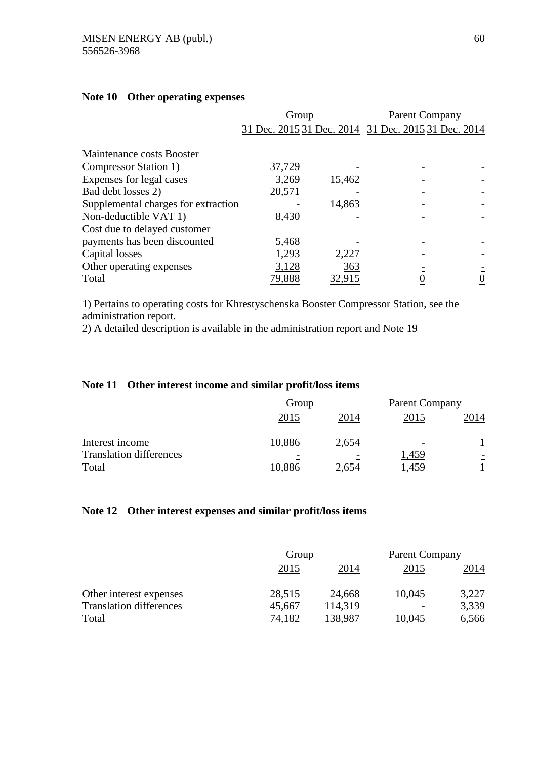|                                     | Group         |        | <b>Parent Company</b>                               |                 |
|-------------------------------------|---------------|--------|-----------------------------------------------------|-----------------|
|                                     |               |        | 31 Dec. 2015 31 Dec. 2014 31 Dec. 2015 31 Dec. 2014 |                 |
|                                     |               |        |                                                     |                 |
| Maintenance costs Booster           |               |        |                                                     |                 |
| Compressor Station 1)               | 37,729        |        |                                                     |                 |
| Expenses for legal cases            | 3,269         | 15,462 |                                                     |                 |
| Bad debt losses 2)                  | 20,571        |        |                                                     |                 |
| Supplemental charges for extraction |               | 14,863 |                                                     |                 |
| Non-deductible VAT 1)               | 8,430         |        |                                                     |                 |
| Cost due to delayed customer        |               |        |                                                     |                 |
| payments has been discounted        | 5,468         |        |                                                     |                 |
| Capital losses                      | 1,293         | 2,227  |                                                     |                 |
| Other operating expenses            | 3,128         | 363    |                                                     |                 |
| Total                               | <u>79,888</u> | 32,915 |                                                     | $\underline{0}$ |

## **Note 10 Other operating expenses**

1) Pertains to operating costs for Khrestyschenska Booster Compressor Station, see the administration report.

2) A detailed description is available in the administration report and Note 19

## **Note 11 Other interest income and similar profit/loss items**

|                                | Group  |       | <b>Parent Company</b>    |      |
|--------------------------------|--------|-------|--------------------------|------|
|                                | 2015   | 2014  | 2015                     | 2014 |
| Interest income                | 10,886 | 2,654 | $\overline{\phantom{0}}$ |      |
| <b>Translation differences</b> |        |       | 1,459                    |      |
| Total                          |        |       |                          |      |

### **Note 12 Other interest expenses and similar profit/loss items**

|                                | Group  |         | Parent Company |       |
|--------------------------------|--------|---------|----------------|-------|
|                                | 2015   | 2014    | 2015           | 2014  |
| Other interest expenses        | 28,515 | 24,668  | 10,045         | 3,227 |
| <b>Translation differences</b> | 45,667 | 114,319 |                | 3,339 |
| Total                          | 74,182 | 138,987 | 10,045         | 6,566 |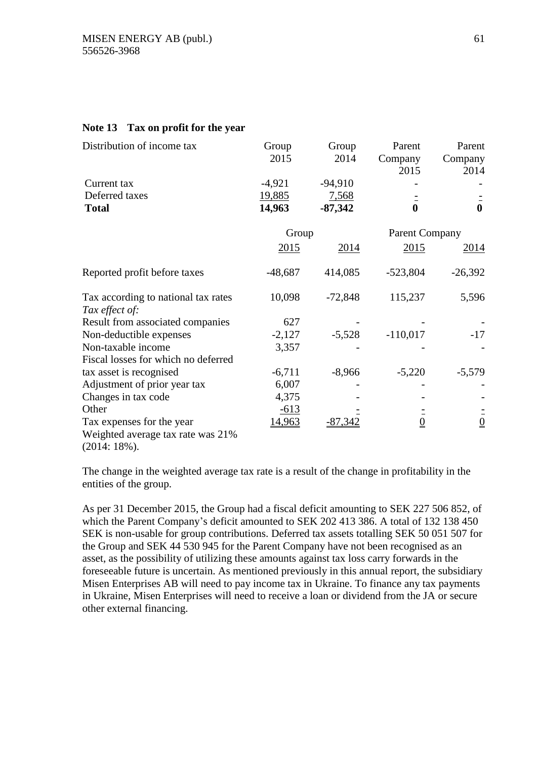### **Note 13 Tax on profit for the year**

| Distribution of income tax          | Group     | Group     | Parent          | Parent        |
|-------------------------------------|-----------|-----------|-----------------|---------------|
|                                     | 2015      | 2014      | Company         | Company       |
|                                     |           |           | 2015            | 2014          |
| Current tax                         | $-4,921$  | $-94,910$ |                 |               |
| Deferred taxes                      | 19,885    | 7,568     |                 |               |
| <b>Total</b>                        | 14,963    | $-87,342$ | $\mathbf{0}$    | $\mathbf 0$   |
|                                     | Group     |           | Parent Company  |               |
|                                     | 2015      | 2014      | 2015            | <u>2014</u>   |
| Reported profit before taxes        | $-48,687$ | 414,085   | $-523,804$      | $-26,392$     |
| Tax according to national tax rates | 10,098    | $-72,848$ | 115,237         | 5,596         |
| Tax effect of:                      |           |           |                 |               |
| Result from associated companies    | 627       |           |                 |               |
| Non-deductible expenses             | $-2,127$  | $-5,528$  | $-110,017$      | $-17$         |
| Non-taxable income                  | 3,357     |           |                 |               |
| Fiscal losses for which no deferred |           |           |                 |               |
| tax asset is recognised             | $-6,711$  | $-8,966$  | $-5,220$        | $-5,579$      |
| Adjustment of prior year tax        | 6,007     |           |                 |               |
| Changes in tax code                 | 4,375     |           |                 |               |
| Other                               | $-613$    |           |                 |               |
| Tax expenses for the year           | 14,963    | $-87,342$ | $\underline{0}$ | $\frac{1}{0}$ |
| Weighted average tax rate was 21%   |           |           |                 |               |
| $(0.014 \pm 1.00)$                  |           |           |                 |               |

(2014: 18%).

The change in the weighted average tax rate is a result of the change in profitability in the entities of the group.

As per 31 December 2015, the Group had a fiscal deficit amounting to SEK 227 506 852, of which the Parent Company's deficit amounted to SEK 202 413 386. A total of 132 138 450 SEK is non-usable for group contributions. Deferred tax assets totalling SEK 50 051 507 for the Group and SEK 44 530 945 for the Parent Company have not been recognised as an asset, as the possibility of utilizing these amounts against tax loss carry forwards in the foreseeable future is uncertain. As mentioned previously in this annual report, the subsidiary Misen Enterprises AB will need to pay income tax in Ukraine. To finance any tax payments in Ukraine, Misen Enterprises will need to receive a loan or dividend from the JA or secure other external financing.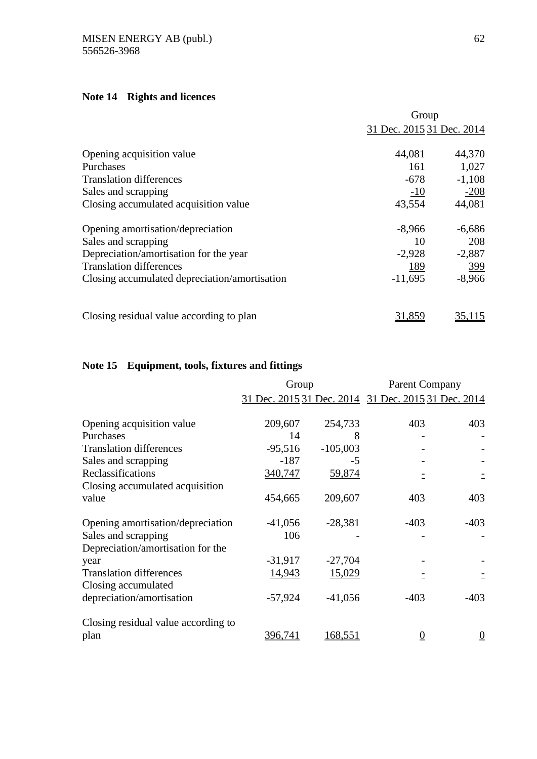# **Note 14 Rights and licences**

|                                               | Group                     |            |
|-----------------------------------------------|---------------------------|------------|
|                                               | 31 Dec. 2015 31 Dec. 2014 |            |
| Opening acquisition value                     | 44,081                    | 44,370     |
| Purchases                                     | 161                       | 1,027      |
| <b>Translation differences</b>                | $-678$                    | $-1,108$   |
| Sales and scrapping                           | $-10$                     | $-208$     |
| Closing accumulated acquisition value         | 43,554                    | 44,081     |
| Opening amortisation/depreciation             | $-8,966$                  | $-6,686$   |
| Sales and scrapping                           | 10                        | 208        |
| Depreciation/amortisation for the year        | $-2,928$                  | $-2,887$   |
| <b>Translation differences</b>                | <u>189</u>                | <u>399</u> |
| Closing accumulated depreciation/amortisation | $-11,695$                 | $-8,966$   |
| Closing residual value according to plan      | 31,859                    | 35,115     |

# **Note 15 Equipment, tools, fixtures and fittings**

|                                     | Group     |            | <b>Parent Company</b>                               |                 |
|-------------------------------------|-----------|------------|-----------------------------------------------------|-----------------|
|                                     |           |            | 31 Dec. 2015 31 Dec. 2014 31 Dec. 2015 31 Dec. 2014 |                 |
| Opening acquisition value           | 209,607   | 254,733    | 403                                                 | 403             |
| Purchases                           | 14        | 8          |                                                     |                 |
| <b>Translation differences</b>      | $-95,516$ | $-105,003$ |                                                     |                 |
| Sales and scrapping                 | $-187$    | $-5$       |                                                     |                 |
| Reclassifications                   | 340,747   | 59,874     |                                                     |                 |
| Closing accumulated acquisition     |           |            |                                                     |                 |
| value                               | 454,665   | 209,607    | 403                                                 | 403             |
| Opening amortisation/depreciation   | $-41,056$ | $-28,381$  | $-403$                                              | $-403$          |
| Sales and scrapping                 | 106       |            |                                                     |                 |
| Depreciation/amortisation for the   |           |            |                                                     |                 |
| year                                | $-31,917$ | $-27,704$  |                                                     |                 |
| <b>Translation differences</b>      | 14,943    | 15,029     |                                                     |                 |
| Closing accumulated                 |           |            |                                                     |                 |
| depreciation/amortisation           | $-57,924$ | $-41,056$  | $-403$                                              | $-403$          |
| Closing residual value according to |           |            |                                                     |                 |
| plan                                | 396,741   | 168,551    | $\overline{0}$                                      | $\underline{0}$ |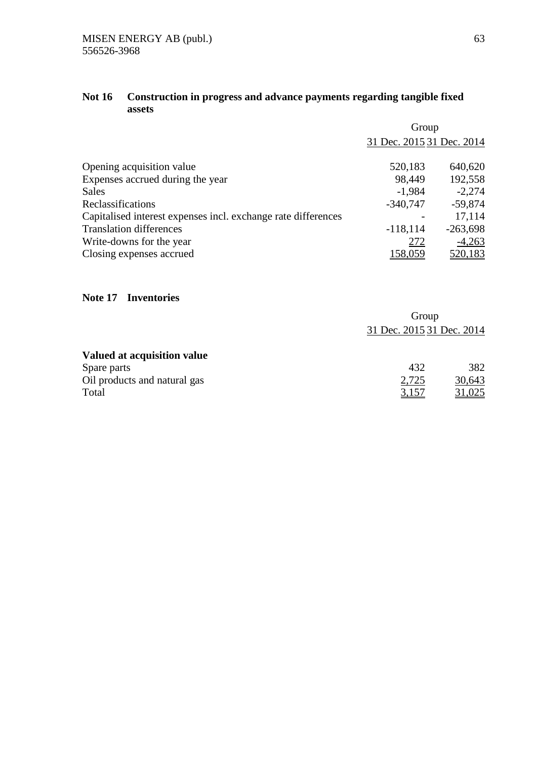## **Not 16 Construction in progress and advance payments regarding tangible fixed assets**

|                                                               | Group                     |            |  |
|---------------------------------------------------------------|---------------------------|------------|--|
|                                                               | 31 Dec. 2015 31 Dec. 2014 |            |  |
| Opening acquisition value                                     | 520,183                   | 640,620    |  |
| Expenses accrued during the year                              | 98,449                    | 192,558    |  |
| <b>Sales</b>                                                  | $-1,984$                  | $-2,274$   |  |
| Reclassifications                                             | $-340,747$                | $-59,874$  |  |
| Capitalised interest expenses incl. exchange rate differences |                           | 17,114     |  |
| <b>Translation differences</b>                                | $-118,114$                | $-263,698$ |  |
| Write-downs for the year                                      | 272                       | $-4,263$   |  |
| Closing expenses accrued                                      | 158,059                   | 520,183    |  |

## **Note 17 Inventories**

|                              | Group                     |               |  |
|------------------------------|---------------------------|---------------|--|
|                              | 31 Dec. 2015 31 Dec. 2014 |               |  |
| Valued at acquisition value  |                           |               |  |
| Spare parts                  | 432                       | 382           |  |
| Oil products and natural gas | 2,725                     | 30,643        |  |
| Total                        | 3,157                     | <u>31,025</u> |  |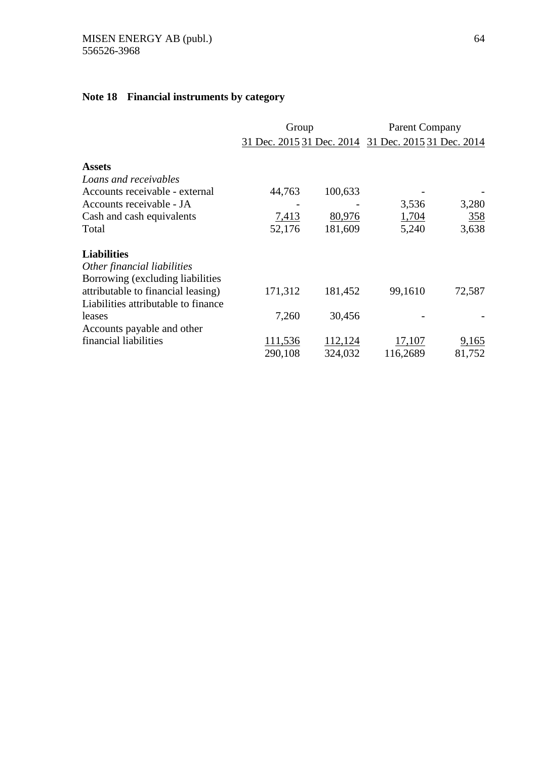# **Note 18 Financial instruments by category**

|                                     | Group   |         | <b>Parent Company</b>                               |        |
|-------------------------------------|---------|---------|-----------------------------------------------------|--------|
|                                     |         |         | 31 Dec. 2015 31 Dec. 2014 31 Dec. 2015 31 Dec. 2014 |        |
| <b>Assets</b>                       |         |         |                                                     |        |
| Loans and receivables               |         |         |                                                     |        |
| Accounts receivable - external      | 44,763  | 100,633 |                                                     |        |
| Accounts receivable - JA            |         |         | 3,536                                               | 3,280  |
| Cash and cash equivalents           | 7,413   | 80,976  | 1,704                                               | 358    |
| Total                               | 52,176  | 181,609 | 5,240                                               | 3,638  |
| <b>Liabilities</b>                  |         |         |                                                     |        |
| Other financial liabilities         |         |         |                                                     |        |
| Borrowing (excluding liabilities    |         |         |                                                     |        |
| attributable to financial leasing)  | 171,312 | 181,452 | 99,1610                                             | 72,587 |
| Liabilities attributable to finance |         |         |                                                     |        |
| leases                              | 7,260   | 30,456  |                                                     |        |
| Accounts payable and other          |         |         |                                                     |        |
| financial liabilities               | 111,536 | 112,124 | 17,107                                              | 9,165  |
|                                     | 290,108 | 324,032 | 116,2689                                            | 81,752 |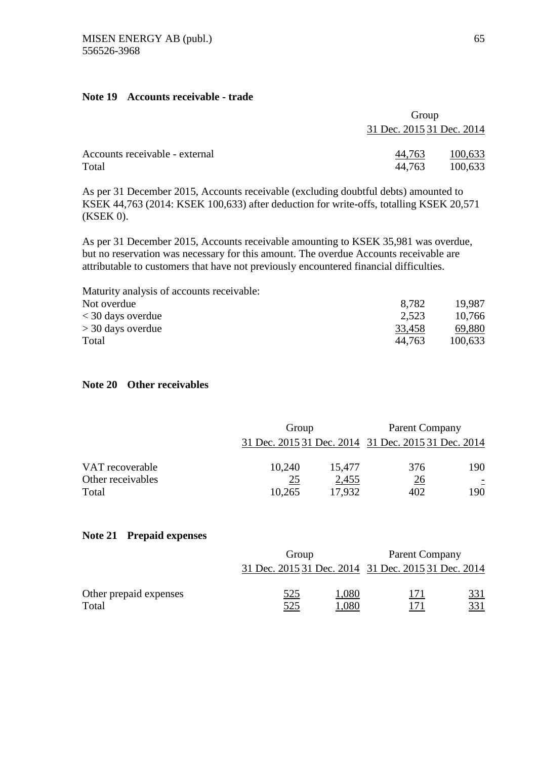### **Note 19 Accounts receivable - trade**

|                                | Group                     |         |
|--------------------------------|---------------------------|---------|
|                                | 31 Dec. 2015 31 Dec. 2014 |         |
| Accounts receivable - external | 44,763                    | 100,633 |
| Total                          | 44.763                    | 100,633 |

As per 31 December 2015, Accounts receivable (excluding doubtful debts) amounted to KSEK 44,763 (2014: KSEK 100,633) after deduction for write-offs, totalling KSEK 20,571 (KSEK 0).

As per 31 December 2015, Accounts receivable amounting to KSEK 35,981 was overdue, but no reservation was necessary for this amount. The overdue Accounts receivable are attributable to customers that have not previously encountered financial difficulties.

| 8.782  | 19.987  |
|--------|---------|
| 2.523  | 10,766  |
| 33,458 | 69,880  |
| 44.763 | 100,633 |
|        |         |

### **Note 20 Other receivables**

|                            | Group        |                 | Parent Company                                      |     |
|----------------------------|--------------|-----------------|-----------------------------------------------------|-----|
|                            |              |                 | 31 Dec. 2015 31 Dec. 2014 31 Dec. 2015 31 Dec. 2014 |     |
| VAT recoverable            | 10,240       | 15,477          | 376                                                 | 190 |
| Other receivables<br>Total | 25<br>10,265 | 2,455<br>17,932 | <u>26</u><br>402                                    | 190 |

### **Note 21 Prepaid expenses**

|                                 | Group                    |               | <b>Parent Company</b>                               |                   |
|---------------------------------|--------------------------|---------------|-----------------------------------------------------|-------------------|
|                                 |                          |               | 31 Dec. 2015 31 Dec. 2014 31 Dec. 2015 31 Dec. 2014 |                   |
| Other prepaid expenses<br>Total | <u>525</u><br><u>525</u> | 1,080<br>,080 | 171<br><u>171</u>                                   | 331<br><u>331</u> |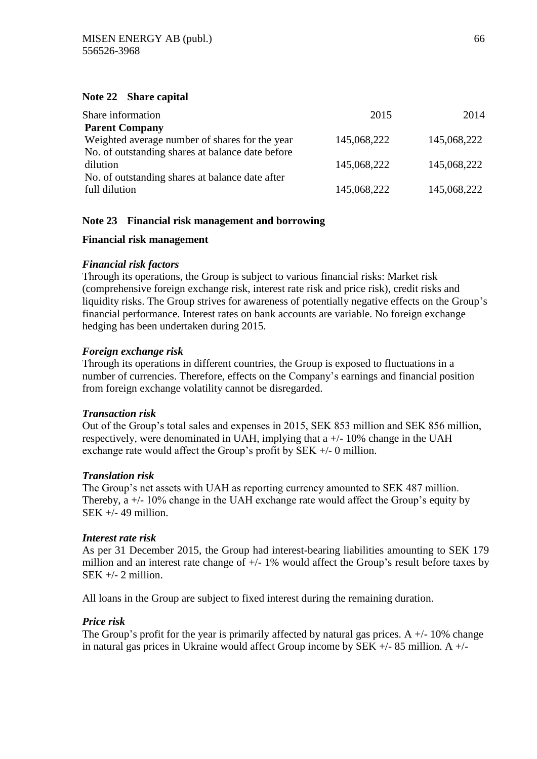### **Note 22 Share capital**

| Share information                                                       | 2015        | 2014        |
|-------------------------------------------------------------------------|-------------|-------------|
| <b>Parent Company</b><br>Weighted average number of shares for the year | 145,068,222 | 145,068,222 |
| No. of outstanding shares at balance date before                        |             |             |
| dilution                                                                | 145,068,222 | 145,068,222 |
| No. of outstanding shares at balance date after<br>full dilution        | 145,068,222 | 145,068,222 |

## **Note 23 Financial risk management and borrowing**

### **Financial risk management**

### *Financial risk factors*

Through its operations, the Group is subject to various financial risks: Market risk (comprehensive foreign exchange risk, interest rate risk and price risk), credit risks and liquidity risks. The Group strives for awareness of potentially negative effects on the Group's financial performance. Interest rates on bank accounts are variable. No foreign exchange hedging has been undertaken during 2015.

### *Foreign exchange risk*

Through its operations in different countries, the Group is exposed to fluctuations in a number of currencies. Therefore, effects on the Company's earnings and financial position from foreign exchange volatility cannot be disregarded.

### *Transaction risk*

Out of the Group's total sales and expenses in 2015, SEK 853 million and SEK 856 million, respectively, were denominated in UAH, implying that a +/- 10% change in the UAH exchange rate would affect the Group's profit by SEK +/- 0 million.

### *Translation risk*

The Group's net assets with UAH as reporting currency amounted to SEK 487 million. Thereby, a +/- 10% change in the UAH exchange rate would affect the Group's equity by  $SEK +/- 49$  million.

### *Interest rate risk*

As per 31 December 2015, the Group had interest-bearing liabilities amounting to SEK 179 million and an interest rate change of  $+/- 1\%$  would affect the Group's result before taxes by  $SEK +/- 2$  million.

All loans in the Group are subject to fixed interest during the remaining duration.

### *Price risk*

The Group's profit for the year is primarily affected by natural gas prices. A  $+/- 10\%$  change in natural gas prices in Ukraine would affect Group income by SEK  $+/-$  85 million. A  $+/-$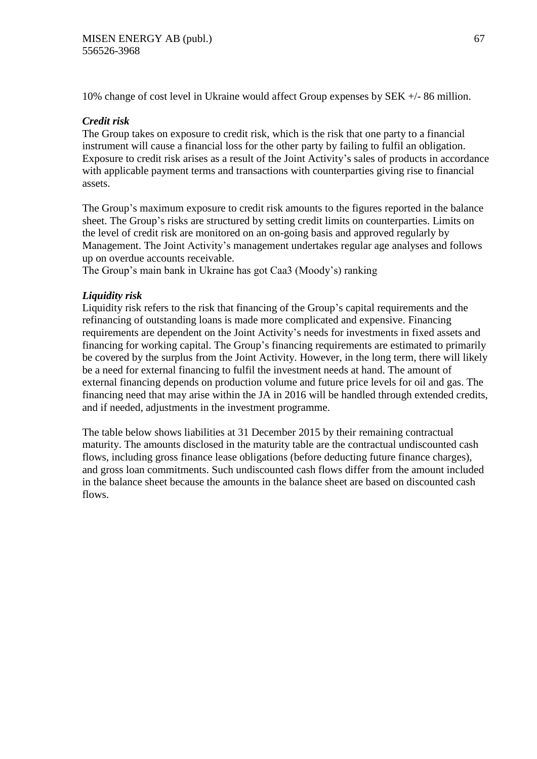10% change of cost level in Ukraine would affect Group expenses by SEK +/- 86 million.

## *Credit risk*

The Group takes on exposure to credit risk, which is the risk that one party to a financial instrument will cause a financial loss for the other party by failing to fulfil an obligation. Exposure to credit risk arises as a result of the Joint Activity's sales of products in accordance with applicable payment terms and transactions with counterparties giving rise to financial assets.

The Group's maximum exposure to credit risk amounts to the figures reported in the balance sheet. The Group's risks are structured by setting credit limits on counterparties. Limits on the level of credit risk are monitored on an on-going basis and approved regularly by Management. The Joint Activity's management undertakes regular age analyses and follows up on overdue accounts receivable.

The Group's main bank in Ukraine has got Caa3 (Moody's) ranking

## *Liquidity risk*

Liquidity risk refers to the risk that financing of the Group's capital requirements and the refinancing of outstanding loans is made more complicated and expensive. Financing requirements are dependent on the Joint Activity's needs for investments in fixed assets and financing for working capital. The Group's financing requirements are estimated to primarily be covered by the surplus from the Joint Activity. However, in the long term, there will likely be a need for external financing to fulfil the investment needs at hand. The amount of external financing depends on production volume and future price levels for oil and gas. The financing need that may arise within the JA in 2016 will be handled through extended credits, and if needed, adjustments in the investment programme.

The table below shows liabilities at 31 December 2015 by their remaining contractual maturity. The amounts disclosed in the maturity table are the contractual undiscounted cash flows, including gross finance lease obligations (before deducting future finance charges), and gross loan commitments. Such undiscounted cash flows differ from the amount included in the balance sheet because the amounts in the balance sheet are based on discounted cash flows.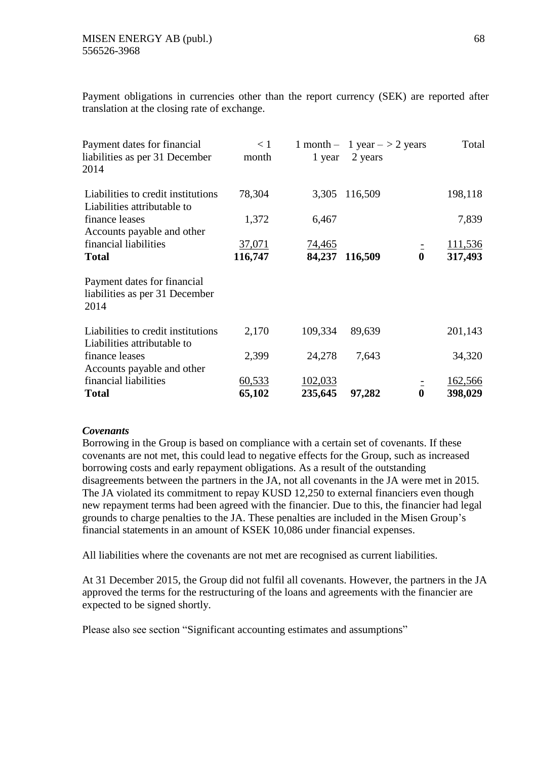Payment obligations in currencies other than the report currency (SEK) are reported after translation at the closing rate of exchange.

| Payment dates for financial<br>liabilities as per 31 December<br>2014 | < 1<br>month | 1 year  | 1 month - 1 year $-$ > 2 years<br>2 years |          | Total   |
|-----------------------------------------------------------------------|--------------|---------|-------------------------------------------|----------|---------|
| Liabilities to credit institutions<br>Liabilities attributable to     | 78,304       | 3,305   | 116,509                                   |          | 198,118 |
| finance leases                                                        | 1,372        | 6,467   |                                           |          | 7,839   |
| Accounts payable and other                                            |              |         |                                           |          |         |
| financial liabilities                                                 | 37,071       | 74,465  |                                           |          | 111,536 |
| <b>Total</b>                                                          | 116,747      | 84,237  | 116,509                                   | $\bf{0}$ | 317,493 |
| Payment dates for financial<br>liabilities as per 31 December<br>2014 |              |         |                                           |          |         |
| Liabilities to credit institutions<br>Liabilities attributable to     | 2,170        | 109,334 | 89,639                                    |          | 201,143 |
| finance leases                                                        | 2,399        | 24,278  | 7,643                                     |          | 34,320  |
| Accounts payable and other                                            |              |         |                                           |          |         |
| financial liabilities                                                 | 60,533       | 102,033 |                                           |          | 162,566 |
| <b>Total</b>                                                          | 65,102       | 235,645 | 97,282                                    | $\bf{0}$ | 398,029 |

### *Covenants*

Borrowing in the Group is based on compliance with a certain set of covenants. If these covenants are not met, this could lead to negative effects for the Group, such as increased borrowing costs and early repayment obligations. As a result of the outstanding disagreements between the partners in the JA, not all covenants in the JA were met in 2015. The JA violated its commitment to repay KUSD 12,250 to external financiers even though new repayment terms had been agreed with the financier. Due to this, the financier had legal grounds to charge penalties to the JA. These penalties are included in the Misen Group's financial statements in an amount of KSEK 10,086 under financial expenses.

All liabilities where the covenants are not met are recognised as current liabilities.

At 31 December 2015, the Group did not fulfil all covenants. However, the partners in the JA approved the terms for the restructuring of the loans and agreements with the financier are expected to be signed shortly.

Please also see section "Significant accounting estimates and assumptions"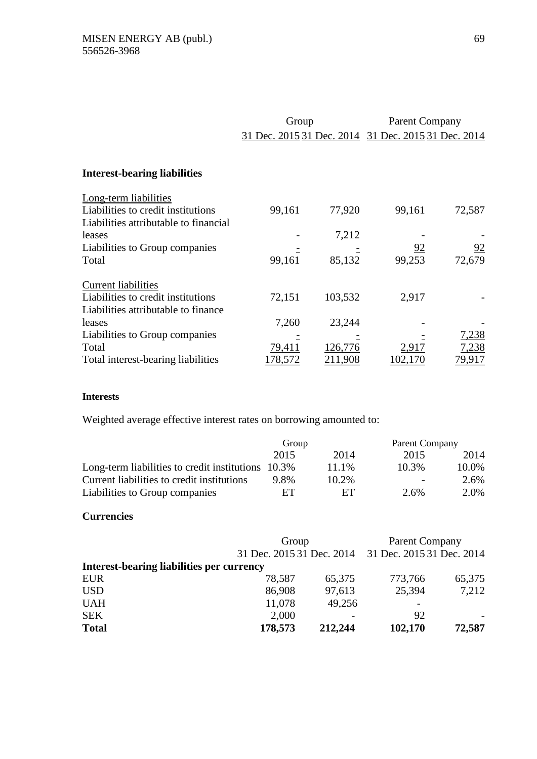|                                                                             | Group   |         | <b>Parent Company</b>                               |        |
|-----------------------------------------------------------------------------|---------|---------|-----------------------------------------------------|--------|
|                                                                             |         |         | 31 Dec. 2015 31 Dec. 2014 31 Dec. 2015 31 Dec. 2014 |        |
| <b>Interest-bearing liabilities</b>                                         |         |         |                                                     |        |
| Long-term liabilities                                                       |         |         |                                                     |        |
| Liabilities to credit institutions<br>Liabilities attributable to financial | 99,161  | 77,920  | 99,161                                              | 72,587 |
| leases                                                                      |         | 7,212   |                                                     |        |
| Liabilities to Group companies                                              |         |         | $\frac{92}{2}$                                      | 92     |
| Total                                                                       | 99,161  | 85,132  | 99,253                                              | 72,679 |
| <b>Current liabilities</b>                                                  |         |         |                                                     |        |
| Liabilities to credit institutions                                          | 72,151  | 103,532 | 2,917                                               |        |
| Liabilities attributable to finance                                         |         |         |                                                     |        |
| leases                                                                      | 7,260   | 23,244  |                                                     |        |
| Liabilities to Group companies                                              |         |         |                                                     | 7,238  |
| Total                                                                       | 79,411  | 126,776 | 2,917                                               | 7,238  |
| Total interest-bearing liabilities                                          | 178,572 | 211,908 | 102,170                                             | 79,917 |

## **Interests**

Weighted average effective interest rates on borrowing amounted to:

|                                                    | Group |       | Parent Company           |         |
|----------------------------------------------------|-------|-------|--------------------------|---------|
|                                                    | 2015  | 2014  | 2015                     | 2014    |
| Long-term liabilities to credit institutions 10.3% |       | 11.1% | 10.3%                    | 10.0%   |
| Current liabilities to credit institutions         | 9.8%  | 10.2% | $\overline{\phantom{0}}$ | $2.6\%$ |
| Liabilities to Group companies                     | FТ    | FТ    | 2.6%                     | 2.0%    |

#### **Currencies**

|                                           | Group                     |         | Parent Company            |        |
|-------------------------------------------|---------------------------|---------|---------------------------|--------|
|                                           | 31 Dec. 2015 31 Dec. 2014 |         | 31 Dec. 2015 31 Dec. 2014 |        |
| Interest-bearing liabilities per currency |                           |         |                           |        |
| <b>EUR</b>                                | 78,587                    | 65,375  | 773,766                   | 65,375 |
| <b>USD</b>                                | 86,908                    | 97,613  | 25,394                    | 7,212  |
| <b>UAH</b>                                | 11,078                    | 49,256  |                           |        |
| <b>SEK</b>                                | 2,000                     |         | 92                        |        |
| <b>Total</b>                              | 178,573                   | 212,244 | 102,170                   | 72,587 |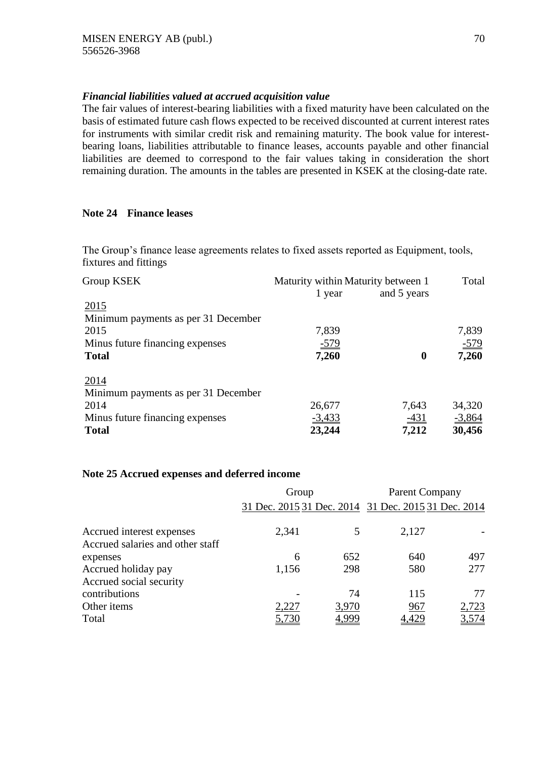## *Financial liabilities valued at accrued acquisition value*

The fair values of interest-bearing liabilities with a fixed maturity have been calculated on the basis of estimated future cash flows expected to be received discounted at current interest rates for instruments with similar credit risk and remaining maturity. The book value for interestbearing loans, liabilities attributable to finance leases, accounts payable and other financial liabilities are deemed to correspond to the fair values taking in consideration the short remaining duration. The amounts in the tables are presented in KSEK at the closing-date rate.

## **Note 24 Finance leases**

The Group's finance lease agreements relates to fixed assets reported as Equipment, tools, fixtures and fittings

| Group KSEK                          | Maturity within Maturity between 1 | Total            |          |
|-------------------------------------|------------------------------------|------------------|----------|
|                                     | 1 year                             | and 5 years      |          |
| 2015                                |                                    |                  |          |
| Minimum payments as per 31 December |                                    |                  |          |
| 2015                                | 7,839                              |                  | 7,839    |
| Minus future financing expenses     | $-579$                             |                  | $-579$   |
| <b>Total</b>                        | 7,260                              | $\boldsymbol{0}$ | 7,260    |
| 2014                                |                                    |                  |          |
| Minimum payments as per 31 December |                                    |                  |          |
| 2014                                | 26,677                             | 7,643            | 34,320   |
| Minus future financing expenses     | $-3,433$                           | $-431$           | $-3,864$ |
| <b>Total</b>                        | 23,244                             | 7,212            | 30,456   |

### **Note 25 Accrued expenses and deferred income**

|                                  | Group                                               |       | <b>Parent Company</b> |       |  |
|----------------------------------|-----------------------------------------------------|-------|-----------------------|-------|--|
|                                  | 31 Dec. 2015 31 Dec. 2014 31 Dec. 2015 31 Dec. 2014 |       |                       |       |  |
| Accrued interest expenses        | 2,341                                               |       | 2,127                 |       |  |
| Accrued salaries and other staff |                                                     |       |                       |       |  |
| expenses                         | 6                                                   | 652   | 640                   | 497   |  |
| Accrued holiday pay              | 1,156                                               | 298   | 580                   | 277   |  |
| Accrued social security          |                                                     |       |                       |       |  |
| contributions                    |                                                     | 74    | 115                   | 77    |  |
| Other items                      | 2,227                                               | 3,970 | 967                   | 2,723 |  |
| Total                            |                                                     | 4,999 | <u>429</u>            | 3,574 |  |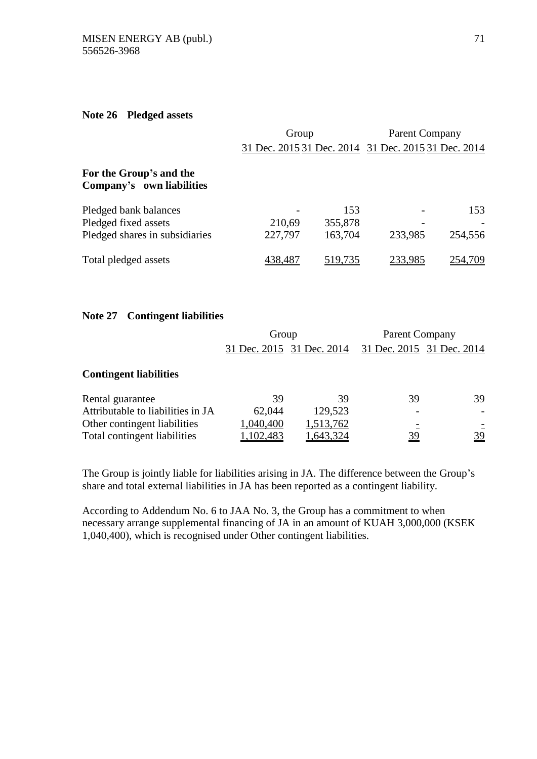#### **Note 26 Pledged assets**

|                                                      | Group   |         | <b>Parent Company</b>                               |         |
|------------------------------------------------------|---------|---------|-----------------------------------------------------|---------|
|                                                      |         |         | 31 Dec. 2015 31 Dec. 2014 31 Dec. 2015 31 Dec. 2014 |         |
| For the Group's and the<br>Company's own liabilities |         |         |                                                     |         |
| Pledged bank balances                                |         | 153     |                                                     | 153     |
| Pledged fixed assets                                 | 210,69  | 355,878 |                                                     |         |
| Pledged shares in subsidiaries                       | 227,797 | 163,704 | 233,985                                             | 254,556 |
| Total pledged assets                                 | 438.481 | 519,735 |                                                     |         |

### **Note 27 Contingent liabilities**

|                                   | Group     |                           | <b>Parent Company</b> |                           |
|-----------------------------------|-----------|---------------------------|-----------------------|---------------------------|
|                                   |           | 31 Dec. 2015 31 Dec. 2014 |                       | 31 Dec. 2015 31 Dec. 2014 |
| <b>Contingent liabilities</b>     |           |                           |                       |                           |
| Rental guarantee                  | 39        | 39                        | 39                    | 39                        |
| Attributable to liabilities in JA | 62,044    | 129,523                   |                       |                           |
| Other contingent liabilities      | 1,040,400 | 1,513,762                 |                       |                           |
| Total contingent liabilities      | 1,102,483 | 1,643,324                 | <u>39</u>             | <u>39</u>                 |

The Group is jointly liable for liabilities arising in JA. The difference between the Group's share and total external liabilities in JA has been reported as a contingent liability.

According to Addendum No. 6 to JAA No. 3, the Group has a commitment to when necessary arrange supplemental financing of JA in an amount of KUAH 3,000,000 (KSEK 1,040,400), which is recognised under Other contingent liabilities.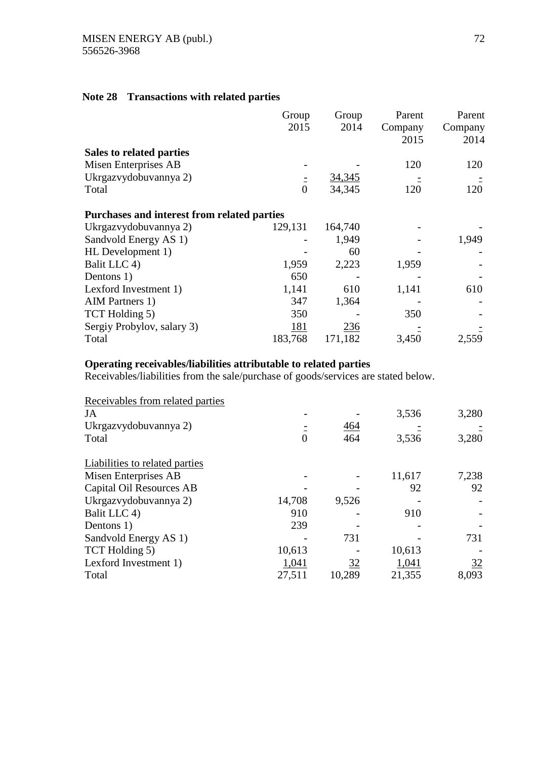## **Note 28 Transactions with related parties**

|                                             | Group          | Group   | Parent  | Parent  |
|---------------------------------------------|----------------|---------|---------|---------|
|                                             | 2015           | 2014    | Company | Company |
|                                             |                |         | 2015    | 2014    |
| Sales to related parties                    |                |         |         |         |
| Misen Enterprises AB                        |                |         | 120     | 120     |
| Ukrgazvydobuvannya 2)                       |                | 34,345  |         |         |
| Total                                       | $\overline{0}$ | 34,345  | 120     | 120     |
| Purchases and interest from related parties |                |         |         |         |
| Ukrgazvydobuvannya 2)                       | 129,131        | 164,740 |         |         |
| Sandvold Energy AS 1)                       |                | 1,949   |         | 1,949   |
| HL Development 1)                           |                | 60      |         |         |
| Balit LLC 4)                                | 1,959          | 2,223   | 1,959   |         |
| Dentons 1)                                  | 650            |         |         |         |
| Lexford Investment 1)                       | 1,141          | 610     | 1,141   | 610     |
| AIM Partners 1)                             | 347            | 1,364   |         |         |
| TCT Holding 5)                              | 350            |         | 350     |         |
| Sergiy Probylov, salary 3)                  | <u>181</u>     | 236     |         |         |
| Total                                       | 183,768        | 171,182 | 3,450   | 2,559   |

# **Operating receivables/liabilities attributable to related parties**

Receivables/liabilities from the sale/purchase of goods/services are stated below.

| Receivables from related parties      |          |        |        |       |
|---------------------------------------|----------|--------|--------|-------|
| JA                                    |          |        | 3,536  | 3,280 |
| Ukrgazyydobuvannya 2)                 |          | 464    |        |       |
| Total                                 | $\Omega$ | 464    | 3,536  | 3,280 |
| <b>Liabilities to related parties</b> |          |        |        |       |
| Misen Enterprises AB                  |          |        | 11,617 | 7,238 |
| Capital Oil Resources AB              |          |        | 92     | 92    |
| Ukrgazvydobuvannya 2)                 | 14,708   | 9,526  |        |       |
| Balit LLC 4)                          | 910      |        | 910    |       |
| Dentons 1)                            | 239      |        |        |       |
| Sandvold Energy AS 1)                 |          | 731    |        | 731   |
| TCT Holding 5)                        | 10,613   |        | 10,613 |       |
| Lexford Investment 1)                 | 1,041    | 32     | 1,041  | 32    |
| Total                                 | 27,511   | 10,289 | 21,355 | 8,093 |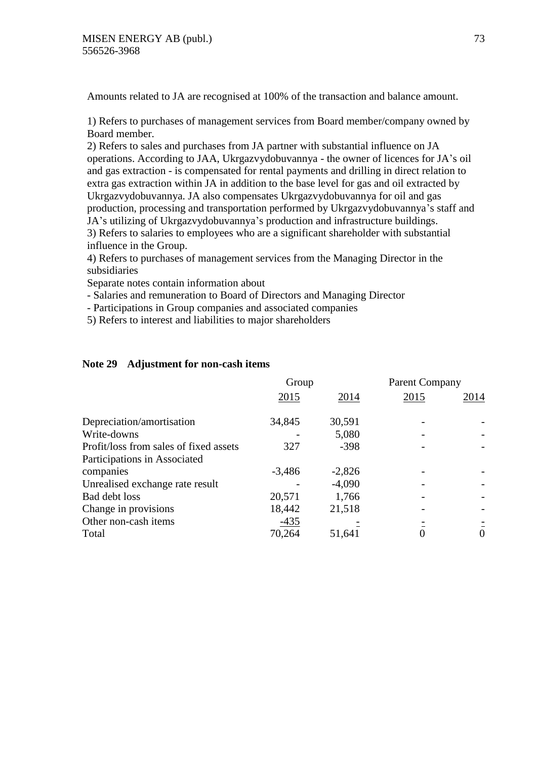Amounts related to JA are recognised at 100% of the transaction and balance amount.

1) Refers to purchases of management services from Board member/company owned by Board member.

2) Refers to sales and purchases from JA partner with substantial influence on JA operations. According to JAA, Ukrgazvydobuvannya - the owner of licences for JA's oil and gas extraction - is compensated for rental payments and drilling in direct relation to extra gas extraction within JA in addition to the base level for gas and oil extracted by Ukrgazvydobuvannya. JA also compensates Ukrgazvydobuvannya for oil and gas production, processing and transportation performed by Ukrgazvydobuvannya's staff and JA's utilizing of Ukrgazvydobuvannya's production and infrastructure buildings. 3) Refers to salaries to employees who are a significant shareholder with substantial influence in the Group.

4) Refers to purchases of management services from the Managing Director in the subsidiaries

Separate notes contain information about

- Salaries and remuneration to Board of Directors and Managing Director

- Participations in Group companies and associated companies

5) Refers to interest and liabilities to major shareholders

# **Note 29 Adjustment for non-cash items**

|                                        | Group    |          | <b>Parent Company</b> |          |
|----------------------------------------|----------|----------|-----------------------|----------|
|                                        | 2015     | 2014     | 2015                  | 2014     |
| Depreciation/amortisation              | 34,845   | 30,591   |                       |          |
| Write-downs                            |          | 5,080    |                       |          |
| Profit/loss from sales of fixed assets | 327      | $-398$   |                       |          |
| Participations in Associated           |          |          |                       |          |
| companies                              | $-3,486$ | $-2,826$ |                       |          |
| Unrealised exchange rate result        |          | $-4,090$ |                       |          |
| Bad debt loss                          | 20,571   | 1,766    |                       |          |
| Change in provisions                   | 18,442   | 21,518   |                       |          |
| Other non-cash items                   | $-435$   |          |                       |          |
| Total                                  | 70,264   | 51,641   |                       | $\theta$ |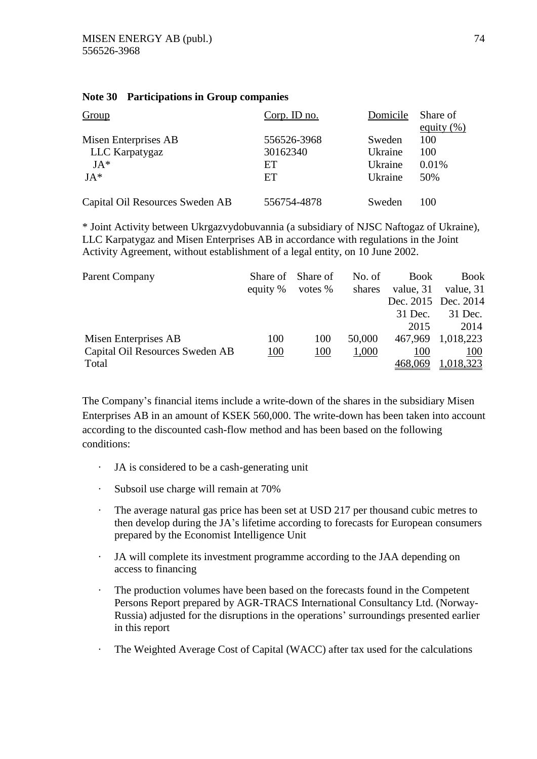# **Note 30 Participations in Group companies**

| Group                           | $Corp.$ ID no. | Domicile | Share of      |
|---------------------------------|----------------|----------|---------------|
|                                 |                |          | equity $(\%)$ |
| Misen Enterprises AB            | 556526-3968    | Sweden   | 100           |
| LLC Karpatygaz                  | 30162340       | Ukraine  | 100           |
| $JA*$                           | ET             | Ukraine  | 0.01%         |
| $JA*$                           | ET             | Ukraine  | 50%           |
| Capital Oil Resources Sweden AB | 556754-4878    | Sweden   | 100           |

\* Joint Activity between Ukrgazvydobuvannia (a subsidiary of NJSC Naftogaz of Ukraine), LLC Karpatygaz and Misen Enterprises AB in accordance with regulations in the Joint Activity Agreement, without establishment of a legal entity, on 10 June 2002.

| <b>Parent Company</b>           | Share of Share of<br>equity % | votes $%$ | No. of<br>shares | <b>Book</b><br>value, 31 | <b>Book</b><br>value, 31 |
|---------------------------------|-------------------------------|-----------|------------------|--------------------------|--------------------------|
|                                 |                               |           |                  | Dec. 2015 Dec. 2014      |                          |
|                                 |                               |           |                  | 31 Dec.                  | 31 Dec.                  |
|                                 |                               |           |                  | 2015                     | 2014                     |
| Misen Enterprises AB            | 100                           | 100       | 50,000           |                          | 467,969 1,018,223        |
| Capital Oil Resources Sweden AB | 100                           | 100       | 1,000            | 100                      | 100                      |
| Total                           |                               |           |                  | 468,069                  | 1,018,323                |

The Company's financial items include a write-down of the shares in the subsidiary Misen Enterprises AB in an amount of KSEK 560,000. The write-down has been taken into account according to the discounted cash-flow method and has been based on the following conditions:

- · JA is considered to be a cash-generating unit
- · Subsoil use charge will remain at 70%
- · The average natural gas price has been set at USD 217 per thousand cubic metres to then develop during the JA's lifetime according to forecasts for European consumers prepared by the Economist Intelligence Unit
- JA will complete its investment programme according to the JAA depending on access to financing
- The production volumes have been based on the forecasts found in the Competent Persons Report prepared by AGR-TRACS International Consultancy Ltd. (Norway-Russia) adjusted for the disruptions in the operations' surroundings presented earlier in this report
- The Weighted Average Cost of Capital (WACC) after tax used for the calculations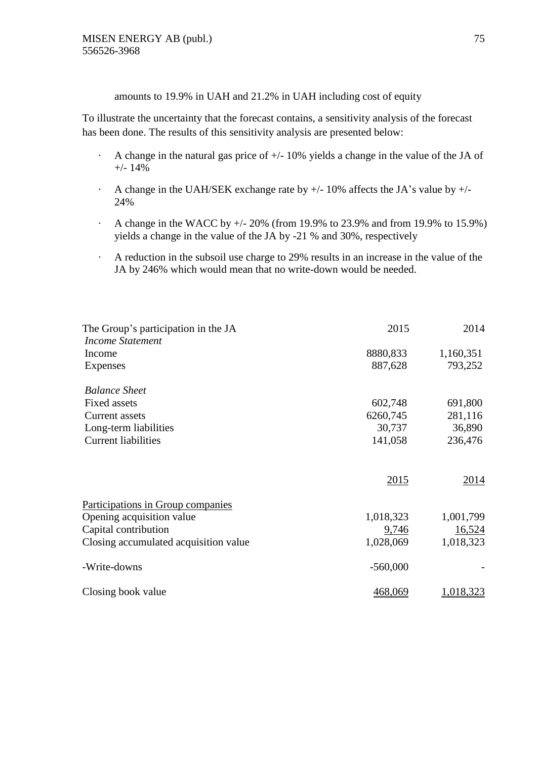amounts to 19.9% in UAH and 21.2% in UAH including cost of equity

To illustrate the uncertainty that the forecast contains, a sensitivity analysis of the forecast has been done. The results of this sensitivity analysis are presented below:

- $\cdot$  A change in the natural gas price of  $\pm$ /-10% yields a change in the value of the JA of +/- 14%
- $\cdot$  A change in the UAH/SEK exchange rate by  $+/-10\%$  affects the JA's value by  $+/-$ 24%
- A change in the WACC by  $+/- 20\%$  (from 19.9% to 23.9% and from 19.9% to 15.9%) yields a change in the value of the JA by -21 % and 30%, respectively
- · A reduction in the subsoil use charge to 29% results in an increase in the value of the JA by 246% which would mean that no write-down would be needed.

| The Group's participation in the JA   | 2015       | 2014      |
|---------------------------------------|------------|-----------|
| <b>Income Statement</b>               |            |           |
| Income                                | 8880,833   | 1,160,351 |
| Expenses                              | 887,628    | 793,252   |
| <b>Balance Sheet</b>                  |            |           |
| <b>Fixed assets</b>                   | 602,748    | 691,800   |
| <b>Current</b> assets                 | 6260,745   | 281,116   |
| Long-term liabilities                 | 30,737     | 36,890    |
| <b>Current liabilities</b>            | 141,058    | 236,476   |
|                                       | 2015       | 2014      |
| Participations in Group companies     |            |           |
| Opening acquisition value             | 1,018,323  | 1,001,799 |
| Capital contribution                  | 9,746      | 16,524    |
| Closing accumulated acquisition value | 1,028,069  | 1,018,323 |
| -Write-downs                          | $-560,000$ |           |
| Closing book value                    | 468,069    | 1,018,323 |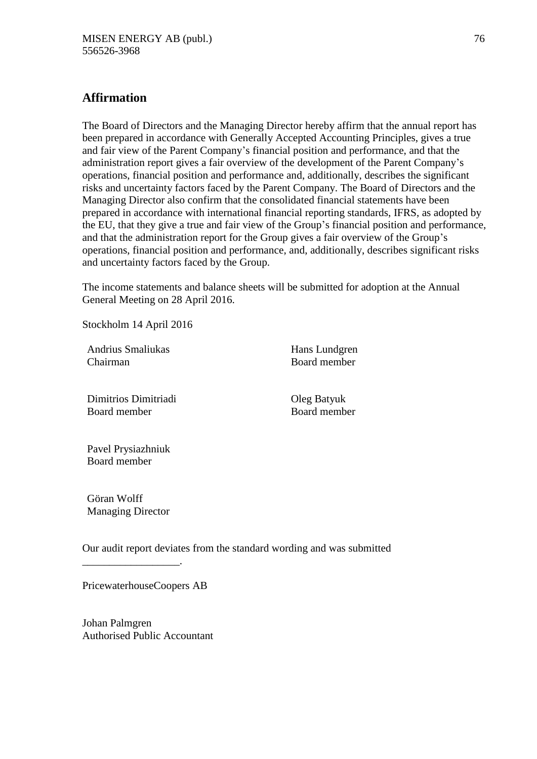# **Affirmation**

The Board of Directors and the Managing Director hereby affirm that the annual report has been prepared in accordance with Generally Accepted Accounting Principles, gives a true and fair view of the Parent Company's financial position and performance, and that the administration report gives a fair overview of the development of the Parent Company's operations, financial position and performance and, additionally, describes the significant risks and uncertainty factors faced by the Parent Company. The Board of Directors and the Managing Director also confirm that the consolidated financial statements have been prepared in accordance with international financial reporting standards, IFRS, as adopted by the EU, that they give a true and fair view of the Group's financial position and performance, and that the administration report for the Group gives a fair overview of the Group's operations, financial position and performance, and, additionally, describes significant risks and uncertainty factors faced by the Group.

The income statements and balance sheets will be submitted for adoption at the Annual General Meeting on 28 April 2016.

Stockholm 14 April 2016

Andrius Smaliukas Chairman

Hans Lundgren Board member

Dimitrios Dimitriadi Board member

Oleg Batyuk Board member

Pavel Prysiazhniuk Board member

Göran Wolff Managing Director

\_\_\_\_\_\_\_\_\_\_\_\_\_\_\_\_\_\_.

Our audit report deviates from the standard wording and was submitted

PricewaterhouseCoopers AB

Johan Palmgren Authorised Public Accountant